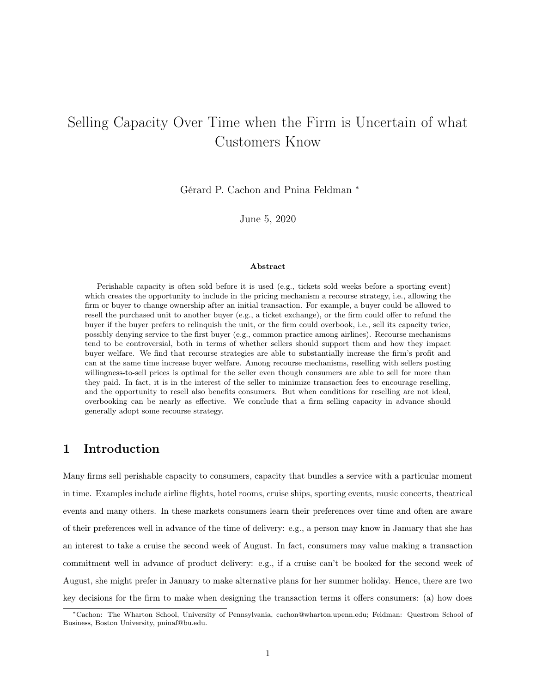# Selling Capacity Over Time when the Firm is Uncertain of what Customers Know

Gérard P. Cachon and Pnina Feldman <sup>∗</sup>

June 5, 2020

#### Abstract

Perishable capacity is often sold before it is used (e.g., tickets sold weeks before a sporting event) which creates the opportunity to include in the pricing mechanism a recourse strategy, i.e., allowing the firm or buyer to change ownership after an initial transaction. For example, a buyer could be allowed to resell the purchased unit to another buyer (e.g., a ticket exchange), or the firm could offer to refund the buyer if the buyer prefers to relinquish the unit, or the firm could overbook, i.e., sell its capacity twice, possibly denying service to the first buyer (e.g., common practice among airlines). Recourse mechanisms tend to be controversial, both in terms of whether sellers should support them and how they impact buyer welfare. We find that recourse strategies are able to substantially increase the firm's profit and can at the same time increase buyer welfare. Among recourse mechanisms, reselling with sellers posting willingness-to-sell prices is optimal for the seller even though consumers are able to sell for more than they paid. In fact, it is in the interest of the seller to minimize transaction fees to encourage reselling, and the opportunity to resell also benefits consumers. But when conditions for reselling are not ideal, overbooking can be nearly as effective. We conclude that a firm selling capacity in advance should generally adopt some recourse strategy.

# 1 Introduction

Many firms sell perishable capacity to consumers, capacity that bundles a service with a particular moment in time. Examples include airline flights, hotel rooms, cruise ships, sporting events, music concerts, theatrical events and many others. In these markets consumers learn their preferences over time and often are aware of their preferences well in advance of the time of delivery: e.g., a person may know in January that she has an interest to take a cruise the second week of August. In fact, consumers may value making a transaction commitment well in advance of product delivery: e.g., if a cruise can't be booked for the second week of August, she might prefer in January to make alternative plans for her summer holiday. Hence, there are two key decisions for the firm to make when designing the transaction terms it offers consumers: (a) how does

<sup>∗</sup>Cachon: The Wharton School, University of Pennsylvania, cachon@wharton.upenn.edu; Feldman: Questrom School of Business, Boston University, pninaf@bu.edu.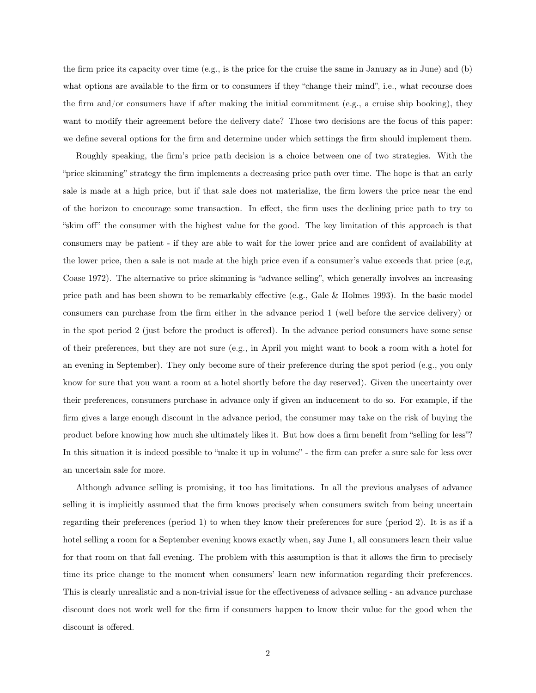the firm price its capacity over time (e.g., is the price for the cruise the same in January as in June) and (b) what options are available to the firm or to consumers if they "change their mind", i.e., what recourse does the firm and/or consumers have if after making the initial commitment (e.g., a cruise ship booking), they want to modify their agreement before the delivery date? Those two decisions are the focus of this paper: we define several options for the firm and determine under which settings the firm should implement them.

Roughly speaking, the firm's price path decision is a choice between one of two strategies. With the "price skimming" strategy the firm implements a decreasing price path over time. The hope is that an early sale is made at a high price, but if that sale does not materialize, the firm lowers the price near the end of the horizon to encourage some transaction. In effect, the firm uses the declining price path to try to "skim off" the consumer with the highest value for the good. The key limitation of this approach is that consumers may be patient - if they are able to wait for the lower price and are confident of availability at the lower price, then a sale is not made at the high price even if a consumer's value exceeds that price (e.g, Coase 1972). The alternative to price skimming is "advance selling", which generally involves an increasing price path and has been shown to be remarkably effective (e.g., Gale & Holmes 1993). In the basic model consumers can purchase from the firm either in the advance period 1 (well before the service delivery) or in the spot period 2 (just before the product is offered). In the advance period consumers have some sense of their preferences, but they are not sure (e.g., in April you might want to book a room with a hotel for an evening in September). They only become sure of their preference during the spot period (e.g., you only know for sure that you want a room at a hotel shortly before the day reserved). Given the uncertainty over their preferences, consumers purchase in advance only if given an inducement to do so. For example, if the firm gives a large enough discount in the advance period, the consumer may take on the risk of buying the product before knowing how much she ultimately likes it. But how does a firm benefit from "selling for less"? In this situation it is indeed possible to "make it up in volume" - the firm can prefer a sure sale for less over an uncertain sale for more.

Although advance selling is promising, it too has limitations. In all the previous analyses of advance selling it is implicitly assumed that the firm knows precisely when consumers switch from being uncertain regarding their preferences (period 1) to when they know their preferences for sure (period 2). It is as if a hotel selling a room for a September evening knows exactly when, say June 1, all consumers learn their value for that room on that fall evening. The problem with this assumption is that it allows the firm to precisely time its price change to the moment when consumers' learn new information regarding their preferences. This is clearly unrealistic and a non-trivial issue for the effectiveness of advance selling - an advance purchase discount does not work well for the firm if consumers happen to know their value for the good when the discount is offered.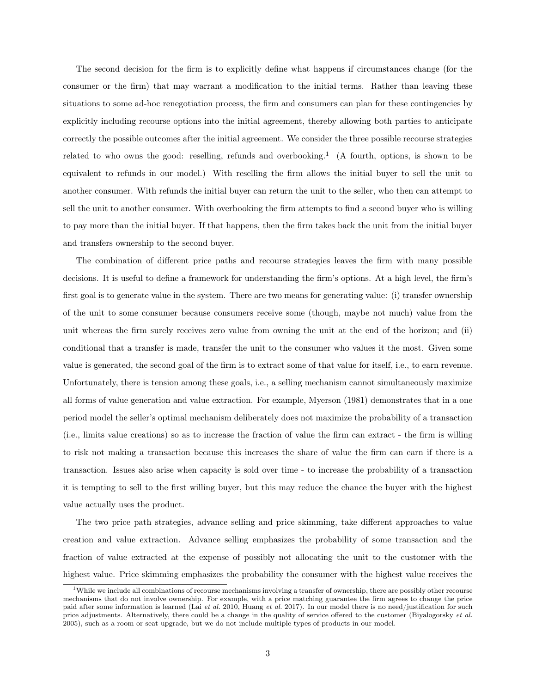The second decision for the firm is to explicitly define what happens if circumstances change (for the consumer or the firm) that may warrant a modification to the initial terms. Rather than leaving these situations to some ad-hoc renegotiation process, the firm and consumers can plan for these contingencies by explicitly including recourse options into the initial agreement, thereby allowing both parties to anticipate correctly the possible outcomes after the initial agreement. We consider the three possible recourse strategies related to who owns the good: reselling, refunds and overbooking.<sup>1</sup> (A fourth, options, is shown to be equivalent to refunds in our model.) With reselling the firm allows the initial buyer to sell the unit to another consumer. With refunds the initial buyer can return the unit to the seller, who then can attempt to sell the unit to another consumer. With overbooking the firm attempts to find a second buyer who is willing to pay more than the initial buyer. If that happens, then the firm takes back the unit from the initial buyer and transfers ownership to the second buyer.

The combination of different price paths and recourse strategies leaves the firm with many possible decisions. It is useful to define a framework for understanding the firm's options. At a high level, the firm's first goal is to generate value in the system. There are two means for generating value: (i) transfer ownership of the unit to some consumer because consumers receive some (though, maybe not much) value from the unit whereas the firm surely receives zero value from owning the unit at the end of the horizon; and (ii) conditional that a transfer is made, transfer the unit to the consumer who values it the most. Given some value is generated, the second goal of the firm is to extract some of that value for itself, i.e., to earn revenue. Unfortunately, there is tension among these goals, i.e., a selling mechanism cannot simultaneously maximize all forms of value generation and value extraction. For example, Myerson (1981) demonstrates that in a one period model the seller's optimal mechanism deliberately does not maximize the probability of a transaction (i.e., limits value creations) so as to increase the fraction of value the firm can extract - the firm is willing to risk not making a transaction because this increases the share of value the firm can earn if there is a transaction. Issues also arise when capacity is sold over time - to increase the probability of a transaction it is tempting to sell to the first willing buyer, but this may reduce the chance the buyer with the highest value actually uses the product.

The two price path strategies, advance selling and price skimming, take different approaches to value creation and value extraction. Advance selling emphasizes the probability of some transaction and the fraction of value extracted at the expense of possibly not allocating the unit to the customer with the highest value. Price skimming emphasizes the probability the consumer with the highest value receives the

 $1$ While we include all combinations of recourse mechanisms involving a transfer of ownership, there are possibly other recourse mechanisms that do not involve ownership. For example, with a price matching guarantee the firm agrees to change the price paid after some information is learned (Lai et al. 2010, Huang et al. 2017). In our model there is no need/justification for such price adjustments. Alternatively, there could be a change in the quality of service offered to the customer (Biyalogorsky et al. 2005), such as a room or seat upgrade, but we do not include multiple types of products in our model.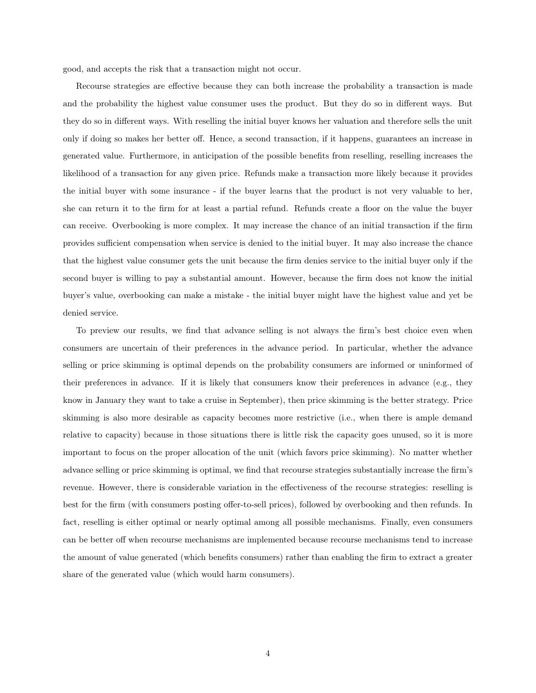good, and accepts the risk that a transaction might not occur.

Recourse strategies are effective because they can both increase the probability a transaction is made and the probability the highest value consumer uses the product. But they do so in different ways. But they do so in different ways. With reselling the initial buyer knows her valuation and therefore sells the unit only if doing so makes her better off. Hence, a second transaction, if it happens, guarantees an increase in generated value. Furthermore, in anticipation of the possible benefits from reselling, reselling increases the likelihood of a transaction for any given price. Refunds make a transaction more likely because it provides the initial buyer with some insurance - if the buyer learns that the product is not very valuable to her, she can return it to the firm for at least a partial refund. Refunds create a floor on the value the buyer can receive. Overbooking is more complex. It may increase the chance of an initial transaction if the firm provides sufficient compensation when service is denied to the initial buyer. It may also increase the chance that the highest value consumer gets the unit because the firm denies service to the initial buyer only if the second buyer is willing to pay a substantial amount. However, because the firm does not know the initial buyer's value, overbooking can make a mistake - the initial buyer might have the highest value and yet be denied service.

To preview our results, we find that advance selling is not always the firm's best choice even when consumers are uncertain of their preferences in the advance period. In particular, whether the advance selling or price skimming is optimal depends on the probability consumers are informed or uninformed of their preferences in advance. If it is likely that consumers know their preferences in advance (e.g., they know in January they want to take a cruise in September), then price skimming is the better strategy. Price skimming is also more desirable as capacity becomes more restrictive (i.e., when there is ample demand relative to capacity) because in those situations there is little risk the capacity goes unused, so it is more important to focus on the proper allocation of the unit (which favors price skimming). No matter whether advance selling or price skimming is optimal, we find that recourse strategies substantially increase the firm's revenue. However, there is considerable variation in the effectiveness of the recourse strategies: reselling is best for the firm (with consumers posting offer-to-sell prices), followed by overbooking and then refunds. In fact, reselling is either optimal or nearly optimal among all possible mechanisms. Finally, even consumers can be better off when recourse mechanisms are implemented because recourse mechanisms tend to increase the amount of value generated (which benefits consumers) rather than enabling the firm to extract a greater share of the generated value (which would harm consumers).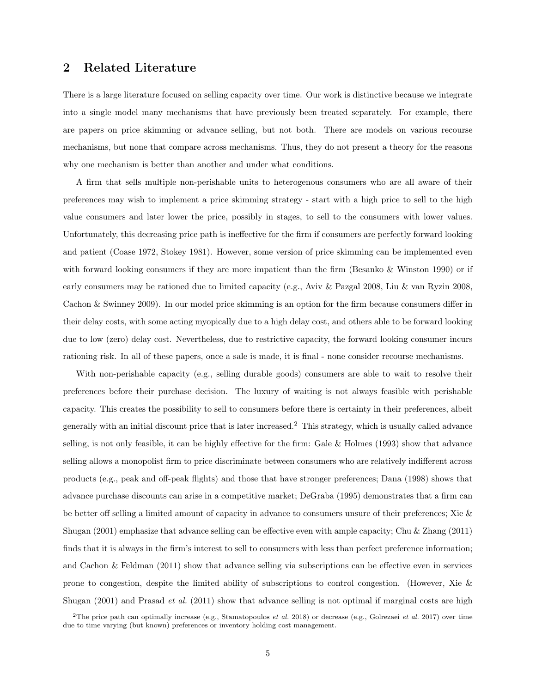#### 2 Related Literature

There is a large literature focused on selling capacity over time. Our work is distinctive because we integrate into a single model many mechanisms that have previously been treated separately. For example, there are papers on price skimming or advance selling, but not both. There are models on various recourse mechanisms, but none that compare across mechanisms. Thus, they do not present a theory for the reasons why one mechanism is better than another and under what conditions.

A firm that sells multiple non-perishable units to heterogenous consumers who are all aware of their preferences may wish to implement a price skimming strategy - start with a high price to sell to the high value consumers and later lower the price, possibly in stages, to sell to the consumers with lower values. Unfortunately, this decreasing price path is ineffective for the firm if consumers are perfectly forward looking and patient (Coase 1972, Stokey 1981). However, some version of price skimming can be implemented even with forward looking consumers if they are more impatient than the firm (Besanko & Winston 1990) or if early consumers may be rationed due to limited capacity (e.g., Aviv & Pazgal 2008, Liu & van Ryzin 2008, Cachon & Swinney 2009). In our model price skimming is an option for the firm because consumers differ in their delay costs, with some acting myopically due to a high delay cost, and others able to be forward looking due to low (zero) delay cost. Nevertheless, due to restrictive capacity, the forward looking consumer incurs rationing risk. In all of these papers, once a sale is made, it is final - none consider recourse mechanisms.

With non-perishable capacity (e.g., selling durable goods) consumers are able to wait to resolve their preferences before their purchase decision. The luxury of waiting is not always feasible with perishable capacity. This creates the possibility to sell to consumers before there is certainty in their preferences, albeit generally with an initial discount price that is later increased.<sup>2</sup> This strategy, which is usually called advance selling, is not only feasible, it can be highly effective for the firm: Gale & Holmes (1993) show that advance selling allows a monopolist firm to price discriminate between consumers who are relatively indifferent across products (e.g., peak and off-peak flights) and those that have stronger preferences; Dana (1998) shows that advance purchase discounts can arise in a competitive market; DeGraba (1995) demonstrates that a firm can be better off selling a limited amount of capacity in advance to consumers unsure of their preferences; Xie & Shugan (2001) emphasize that advance selling can be effective even with ample capacity; Chu & Zhang (2011) finds that it is always in the firm's interest to sell to consumers with less than perfect preference information; and Cachon & Feldman (2011) show that advance selling via subscriptions can be effective even in services prone to congestion, despite the limited ability of subscriptions to control congestion. (However, Xie & Shugan (2001) and Prasad *et al.* (2011) show that advance selling is not optimal if marginal costs are high

<sup>&</sup>lt;sup>2</sup>The price path can optimally increase (e.g., Stamatopoulos *et al.* 2018) or decrease (e.g., Golrezaei *et al.* 2017) over time due to time varying (but known) preferences or inventory holding cost management.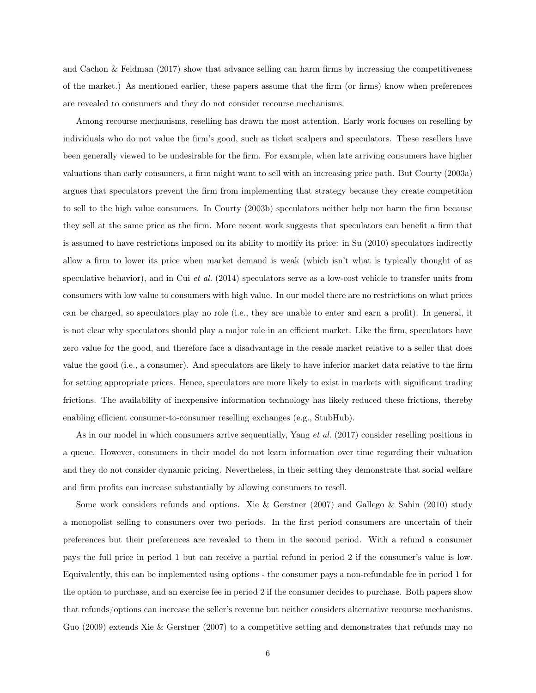and Cachon & Feldman (2017) show that advance selling can harm firms by increasing the competitiveness of the market.) As mentioned earlier, these papers assume that the firm (or firms) know when preferences are revealed to consumers and they do not consider recourse mechanisms.

Among recourse mechanisms, reselling has drawn the most attention. Early work focuses on reselling by individuals who do not value the firm's good, such as ticket scalpers and speculators. These resellers have been generally viewed to be undesirable for the firm. For example, when late arriving consumers have higher valuations than early consumers, a firm might want to sell with an increasing price path. But Courty (2003a) argues that speculators prevent the firm from implementing that strategy because they create competition to sell to the high value consumers. In Courty (2003b) speculators neither help nor harm the firm because they sell at the same price as the firm. More recent work suggests that speculators can benefit a firm that is assumed to have restrictions imposed on its ability to modify its price: in Su (2010) speculators indirectly allow a firm to lower its price when market demand is weak (which isn't what is typically thought of as speculative behavior), and in Cui et al.  $(2014)$  speculators serve as a low-cost vehicle to transfer units from consumers with low value to consumers with high value. In our model there are no restrictions on what prices can be charged, so speculators play no role (i.e., they are unable to enter and earn a profit). In general, it is not clear why speculators should play a major role in an efficient market. Like the firm, speculators have zero value for the good, and therefore face a disadvantage in the resale market relative to a seller that does value the good (i.e., a consumer). And speculators are likely to have inferior market data relative to the firm for setting appropriate prices. Hence, speculators are more likely to exist in markets with significant trading frictions. The availability of inexpensive information technology has likely reduced these frictions, thereby enabling efficient consumer-to-consumer reselling exchanges (e.g., StubHub).

As in our model in which consumers arrive sequentially, Yang et al. (2017) consider reselling positions in a queue. However, consumers in their model do not learn information over time regarding their valuation and they do not consider dynamic pricing. Nevertheless, in their setting they demonstrate that social welfare and firm profits can increase substantially by allowing consumers to resell.

Some work considers refunds and options. Xie & Gerstner (2007) and Gallego & Sahin (2010) study a monopolist selling to consumers over two periods. In the first period consumers are uncertain of their preferences but their preferences are revealed to them in the second period. With a refund a consumer pays the full price in period 1 but can receive a partial refund in period 2 if the consumer's value is low. Equivalently, this can be implemented using options - the consumer pays a non-refundable fee in period 1 for the option to purchase, and an exercise fee in period 2 if the consumer decides to purchase. Both papers show that refunds/options can increase the seller's revenue but neither considers alternative recourse mechanisms. Guo (2009) extends Xie & Gerstner (2007) to a competitive setting and demonstrates that refunds may no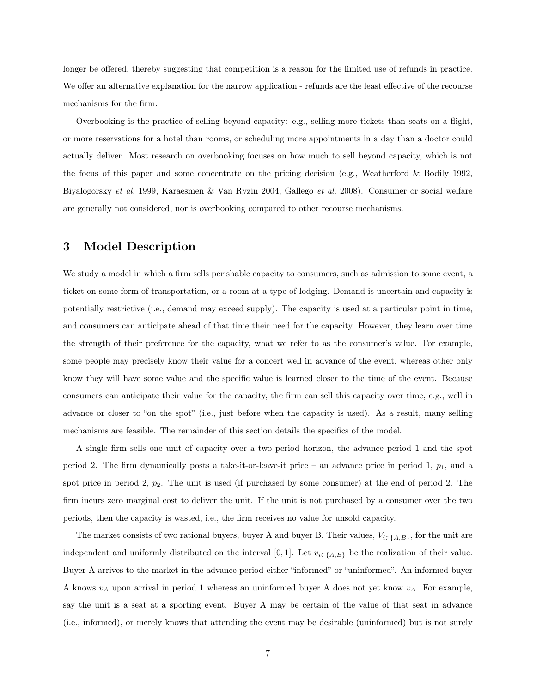longer be offered, thereby suggesting that competition is a reason for the limited use of refunds in practice. We offer an alternative explanation for the narrow application - refunds are the least effective of the recourse mechanisms for the firm.

Overbooking is the practice of selling beyond capacity: e.g., selling more tickets than seats on a flight, or more reservations for a hotel than rooms, or scheduling more appointments in a day than a doctor could actually deliver. Most research on overbooking focuses on how much to sell beyond capacity, which is not the focus of this paper and some concentrate on the pricing decision (e.g., Weatherford & Bodily 1992, Biyalogorsky et al. 1999, Karaesmen & Van Ryzin 2004, Gallego et al. 2008). Consumer or social welfare are generally not considered, nor is overbooking compared to other recourse mechanisms.

### 3 Model Description

We study a model in which a firm sells perishable capacity to consumers, such as admission to some event, a ticket on some form of transportation, or a room at a type of lodging. Demand is uncertain and capacity is potentially restrictive (i.e., demand may exceed supply). The capacity is used at a particular point in time, and consumers can anticipate ahead of that time their need for the capacity. However, they learn over time the strength of their preference for the capacity, what we refer to as the consumer's value. For example, some people may precisely know their value for a concert well in advance of the event, whereas other only know they will have some value and the specific value is learned closer to the time of the event. Because consumers can anticipate their value for the capacity, the firm can sell this capacity over time, e.g., well in advance or closer to "on the spot" (i.e., just before when the capacity is used). As a result, many selling mechanisms are feasible. The remainder of this section details the specifics of the model.

A single firm sells one unit of capacity over a two period horizon, the advance period 1 and the spot period 2. The firm dynamically posts a take-it-or-leave-it price – an advance price in period 1,  $p_1$ , and a spot price in period 2,  $p_2$ . The unit is used (if purchased by some consumer) at the end of period 2. The firm incurs zero marginal cost to deliver the unit. If the unit is not purchased by a consumer over the two periods, then the capacity is wasted, i.e., the firm receives no value for unsold capacity.

The market consists of two rational buyers, buyer A and buyer B. Their values,  $V_{i\in\{A,B\}}$ , for the unit are independent and uniformly distributed on the interval [0, 1]. Let  $v_{i\in\{A,B\}}$  be the realization of their value. Buyer A arrives to the market in the advance period either "informed" or "uninformed". An informed buyer A knows  $v_A$  upon arrival in period 1 whereas an uninformed buyer A does not yet know  $v_A$ . For example, say the unit is a seat at a sporting event. Buyer A may be certain of the value of that seat in advance (i.e., informed), or merely knows that attending the event may be desirable (uninformed) but is not surely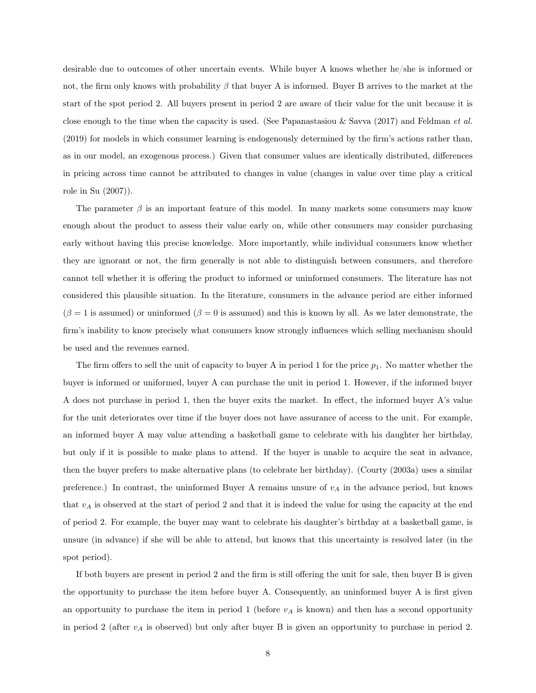desirable due to outcomes of other uncertain events. While buyer A knows whether he/she is informed or not, the firm only knows with probability  $\beta$  that buyer A is informed. Buyer B arrives to the market at the start of the spot period 2. All buyers present in period 2 are aware of their value for the unit because it is close enough to the time when the capacity is used. (See Papanastasiou & Savva  $(2017)$  and Feldman *et al.*) (2019) for models in which consumer learning is endogenously determined by the firm's actions rather than, as in our model, an exogenous process.) Given that consumer values are identically distributed, differences in pricing across time cannot be attributed to changes in value (changes in value over time play a critical role in Su (2007)).

The parameter  $\beta$  is an important feature of this model. In many markets some consumers may know enough about the product to assess their value early on, while other consumers may consider purchasing early without having this precise knowledge. More importantly, while individual consumers know whether they are ignorant or not, the firm generally is not able to distinguish between consumers, and therefore cannot tell whether it is offering the product to informed or uninformed consumers. The literature has not considered this plausible situation. In the literature, consumers in the advance period are either informed  $(\beta = 1$  is assumed) or uninformed  $(\beta = 0$  is assumed) and this is known by all. As we later demonstrate, the firm's inability to know precisely what consumers know strongly influences which selling mechanism should be used and the revenues earned.

The firm offers to sell the unit of capacity to buyer A in period 1 for the price  $p_1$ . No matter whether the buyer is informed or uniformed, buyer A can purchase the unit in period 1. However, if the informed buyer A does not purchase in period 1, then the buyer exits the market. In effect, the informed buyer A's value for the unit deteriorates over time if the buyer does not have assurance of access to the unit. For example, an informed buyer A may value attending a basketball game to celebrate with his daughter her birthday, but only if it is possible to make plans to attend. If the buyer is unable to acquire the seat in advance, then the buyer prefers to make alternative plans (to celebrate her birthday). (Courty (2003a) uses a similar preference.) In contrast, the uninformed Buyer A remains unsure of  $v_A$  in the advance period, but knows that  $v_A$  is observed at the start of period 2 and that it is indeed the value for using the capacity at the end of period 2. For example, the buyer may want to celebrate his daughter's birthday at a basketball game, is unsure (in advance) if she will be able to attend, but knows that this uncertainty is resolved later (in the spot period).

If both buyers are present in period 2 and the firm is still offering the unit for sale, then buyer B is given the opportunity to purchase the item before buyer A. Consequently, an uninformed buyer A is first given an opportunity to purchase the item in period 1 (before  $v_A$  is known) and then has a second opportunity in period 2 (after  $v_A$  is observed) but only after buyer B is given an opportunity to purchase in period 2.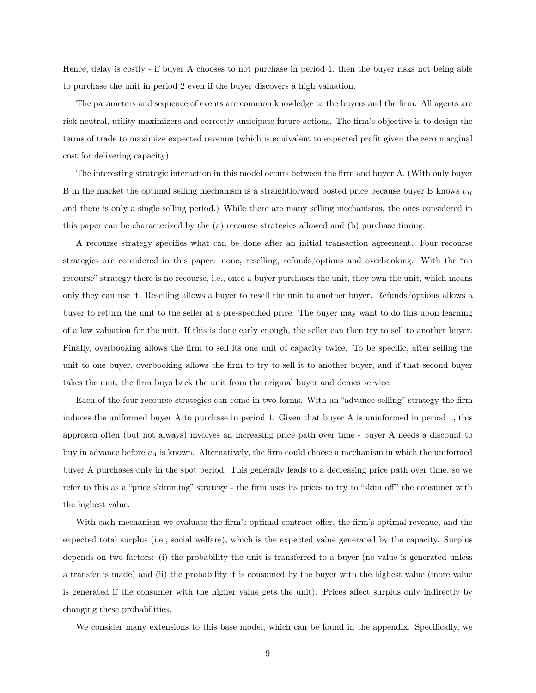Hence, delay is costly - if buyer A chooses to not purchase in period 1, then the buyer risks not being able to purchase the unit in period 2 even if the buyer discovers a high valuation.

The parameters and sequence of events are common knowledge to the buyers and the firm. All agents are risk-neutral, utility maximizers and correctly anticipate future actions. The firm's objective is to design the terms of trade to maximize expected revenue (which is equivalent to expected profit given the zero marginal cost for delivering capacity).

The interesting strategic interaction in this model occurs between the firm and buyer A. (With only buyer B in the market the optimal selling mechanism is a straightforward posted price because buyer B knows  $v_B$ and there is only a single selling period.) While there are many selling mechanisms, the ones considered in this paper can be characterized by the (a) recourse strategies allowed and (b) purchase timing.

A recourse strategy specifies what can be done after an initial transaction agreement. Four recourse strategies are considered in this paper: none, reselling, refunds/options and overbooking. With the "no recourse" strategy there is no recourse, i.e., once a buyer purchases the unit, they own the unit, which means only they can use it. Reselling allows a buyer to resell the unit to another buyer. Refunds/options allows a buyer to return the unit to the seller at a pre-specified price. The buyer may want to do this upon learning of a low valuation for the unit. If this is done early enough, the seller can then try to sell to another buyer. Finally, overbooking allows the firm to sell its one unit of capacity twice. To be specific, after selling the unit to one buyer, overbooking allows the firm to try to sell it to another buyer, and if that second buyer takes the unit, the firm buys back the unit from the original buyer and denies service.

Each of the four recourse strategies can come in two forms. With an "advance selling" strategy the firm induces the uniformed buyer A to purchase in period 1. Given that buyer A is uninformed in period 1, this approach often (but not always) involves an increasing price path over time - buyer A needs a discount to buy in advance before  $v_A$  is known. Alternatively, the firm could choose a mechanism in which the uniformed buyer A purchases only in the spot period. This generally leads to a decreasing price path over time, so we refer to this as a "price skimming" strategy - the firm uses its prices to try to "skim off" the consumer with the highest value.

With each mechanism we evaluate the firm's optimal contract offer, the firm's optimal revenue, and the expected total surplus (i.e., social welfare), which is the expected value generated by the capacity. Surplus depends on two factors: (i) the probability the unit is transferred to a buyer (no value is generated unless a transfer is made) and (ii) the probability it is consumed by the buyer with the highest value (more value is generated if the consumer with the higher value gets the unit). Prices affect surplus only indirectly by changing these probabilities.

We consider many extensions to this base model, which can be found in the appendix. Specifically, we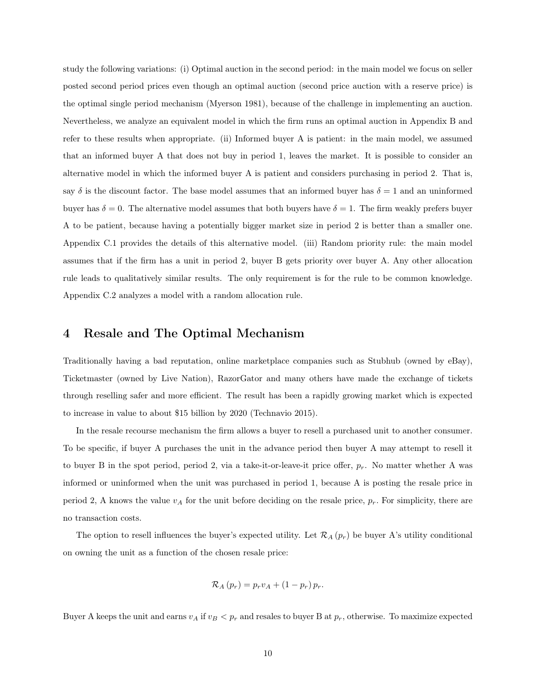study the following variations: (i) Optimal auction in the second period: in the main model we focus on seller posted second period prices even though an optimal auction (second price auction with a reserve price) is the optimal single period mechanism (Myerson 1981), because of the challenge in implementing an auction. Nevertheless, we analyze an equivalent model in which the firm runs an optimal auction in Appendix B and refer to these results when appropriate. (ii) Informed buyer A is patient: in the main model, we assumed that an informed buyer A that does not buy in period 1, leaves the market. It is possible to consider an alternative model in which the informed buyer A is patient and considers purchasing in period 2. That is, say  $\delta$  is the discount factor. The base model assumes that an informed buyer has  $\delta = 1$  and an uninformed buyer has  $\delta = 0$ . The alternative model assumes that both buyers have  $\delta = 1$ . The firm weakly prefers buyer A to be patient, because having a potentially bigger market size in period 2 is better than a smaller one. Appendix C.1 provides the details of this alternative model. (iii) Random priority rule: the main model assumes that if the firm has a unit in period 2, buyer B gets priority over buyer A. Any other allocation rule leads to qualitatively similar results. The only requirement is for the rule to be common knowledge. Appendix C.2 analyzes a model with a random allocation rule.

#### 4 Resale and The Optimal Mechanism

Traditionally having a bad reputation, online marketplace companies such as Stubhub (owned by eBay), Ticketmaster (owned by Live Nation), RazorGator and many others have made the exchange of tickets through reselling safer and more efficient. The result has been a rapidly growing market which is expected to increase in value to about \$15 billion by 2020 (Technavio 2015).

In the resale recourse mechanism the firm allows a buyer to resell a purchased unit to another consumer. To be specific, if buyer A purchases the unit in the advance period then buyer A may attempt to resell it to buyer B in the spot period, period 2, via a take-it-or-leave-it price offer,  $p_r$ . No matter whether A was informed or uninformed when the unit was purchased in period 1, because A is posting the resale price in period 2, A knows the value  $v_A$  for the unit before deciding on the resale price,  $p_r$ . For simplicity, there are no transaction costs.

The option to resell influences the buyer's expected utility. Let  $\mathcal{R}_A(p_r)$  be buyer A's utility conditional on owning the unit as a function of the chosen resale price:

$$
\mathcal{R}_A(p_r) = p_r v_A + (1 - p_r) p_r.
$$

Buyer A keeps the unit and earns  $v_A$  if  $v_B < p_r$  and resales to buyer B at  $p_r$ , otherwise. To maximize expected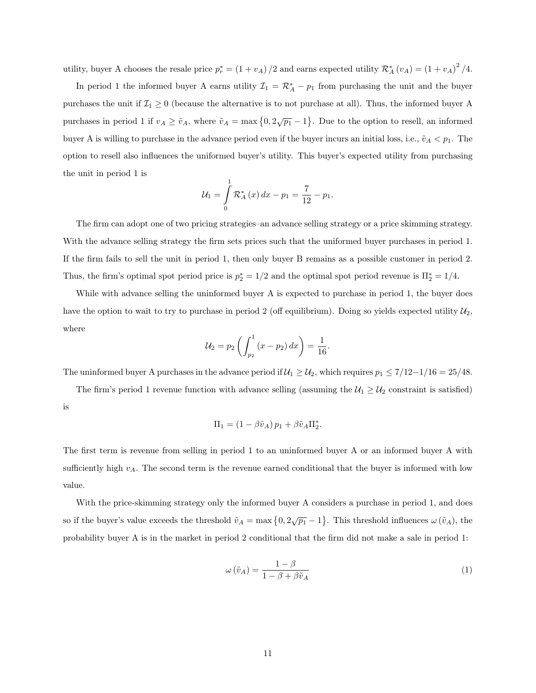utility, buyer A chooses the resale price  $p_r^* = (1 + v_A)/2$  and earns expected utility  $\mathcal{R}_A^* (v_A) = (1 + v_A)^2 / 4$ .

In period 1 the informed buyer A earns utility  $\mathcal{I}_1 = \mathcal{R}_A^* - p_1$  from purchasing the unit and the buyer purchases the unit if  $\mathcal{I}_1 \geq 0$  (because the alternative is to not purchase at all). Thus, the informed buyer A purchases in period 1 if  $v_A \ge \tilde{v}_A$ , where  $\tilde{v}_A = \max\{0, 2\sqrt{p_1} - 1\}$ . Due to the option to resell, an informed buyer A is willing to purchase in the advance period even if the buyer incurs an initial loss, i.e.,  $\tilde{v}_A < p_1$ . The option to resell also influences the uniformed buyer's utility. This buyer's expected utility from purchasing the unit in period 1 is

$$
U_1 = \int_0^1 \mathcal{R}_A^* (x) dx - p_1 = \frac{7}{12} - p_1.
$$

The firm can adopt one of two pricing strategies–an advance selling strategy or a price skimming strategy. With the advance selling strategy the firm sets prices such that the uniformed buyer purchases in period 1. If the firm fails to sell the unit in period 1, then only buyer B remains as a possible customer in period 2. Thus, the firm's optimal spot period price is  $p_2^* = 1/2$  and the optimal spot period revenue is  $\Pi_2^* = 1/4$ .

While with advance selling the uninformed buyer A is expected to purchase in period 1, the buyer does have the option to wait to try to purchase in period 2 (off equilibrium). Doing so yields expected utility  $\mathcal{U}_2$ , where

$$
u_2 = p_2 \left( \int_{p_2}^1 (x - p_2) \, dx \right) = \frac{1}{16}.
$$

The uninformed buyer A purchases in the advance period if  $U_1 \ge U_2$ , which requires  $p_1 \le 7/12-1/16 = 25/48$ .

The firm's period 1 revenue function with advance selling (assuming the  $U_1 \geq U_2$  constraint is satisfied) is

$$
\Pi_1 = (1 - \beta \tilde{v}_A) p_1 + \beta \tilde{v}_A \Pi_2^*.
$$

The first term is revenue from selling in period 1 to an uninformed buyer A or an informed buyer A with sufficiently high  $v_A$ . The second term is the revenue earned conditional that the buyer is informed with low value.

With the price-skimming strategy only the informed buyer A considers a purchase in period 1, and does so if the buyer's value exceeds the threshold  $\tilde{v}_A = \max\{0, 2\sqrt{p_1} - 1\}$ . This threshold influences  $\omega(\tilde{v}_A)$ , the probability buyer A is in the market in period 2 conditional that the firm did not make a sale in period 1:

$$
\omega(\tilde{v}_A) = \frac{1 - \beta}{1 - \beta + \beta \tilde{v}_A} \tag{1}
$$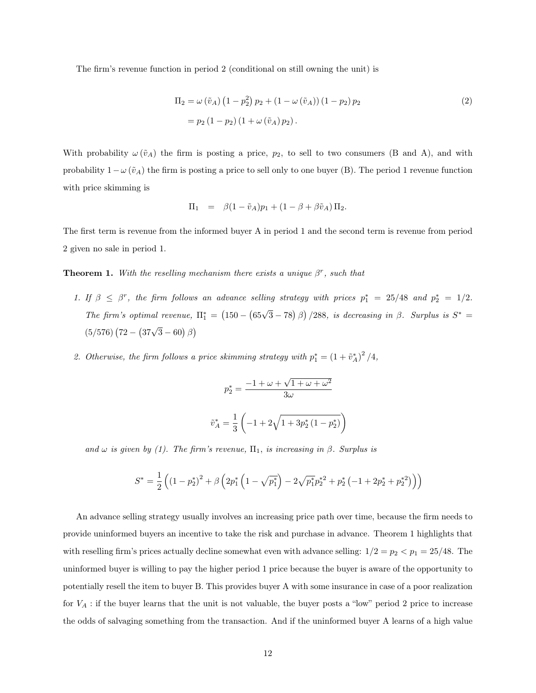The firm's revenue function in period 2 (conditional on still owning the unit) is

$$
\Pi_2 = \omega (\tilde{v}_A) (1 - p_2^2) p_2 + (1 - \omega (\tilde{v}_A)) (1 - p_2) p_2
$$
  
=  $p_2 (1 - p_2) (1 + \omega (\tilde{v}_A) p_2).$  (2)

With probability  $\omega(\tilde{v}_A)$  the firm is posting a price,  $p_2$ , to sell to two consumers (B and A), and with probability  $1-\omega(\tilde{v}_A)$  the firm is posting a price to sell only to one buyer (B). The period 1 revenue function with price skimming is

$$
\Pi_1 = \beta(1 - \tilde{v}_A)p_1 + (1 - \beta + \beta \tilde{v}_A)\Pi_2.
$$

The first term is revenue from the informed buyer A in period 1 and the second term is revenue from period 2 given no sale in period 1.

**Theorem 1.** With the reselling mechanism there exists a unique  $\beta^r$ , such that

- 1. If  $\beta \leq \beta^r$ , the firm follows an advance selling strategy with prices  $p_1^* = 25/48$  and  $p_2^* = 1/2$ . The firm's optimal revenue,  $\Pi_1^* = (150 - (65\sqrt{3} - 78) \beta) / 288$ , is decreasing in  $\beta$ . Surplus is  $S^* =$  $(5/576) (72 - (37\sqrt{3} - 60) \beta)$
- 2. Otherwise, the firm follows a price skimming strategy with  $p_1^* = (1 + \tilde{v}_A^*)^2/4$ ,

$$
p_2^* = \frac{-1 + \omega + \sqrt{1 + \omega + \omega^2}}{3\omega}
$$

$$
\tilde{v}_A^* = \frac{1}{3} \left( -1 + 2\sqrt{1 + 3p_2^*(1 - p_2^*)} \right)
$$

and  $\omega$  is given by (1). The firm's revenue,  $\Pi_1$ , is increasing in  $\beta$ . Surplus is

$$
S^* = \frac{1}{2} \left( \left(1 - p_2^*\right)^2 + \beta \left(2 p_1^* \left(1 - \sqrt{p_1^*}\right) - 2 \sqrt{p_1^*} p_2^{*2} + p_2^* \left(-1 + 2 p_2^* + p_2^{*2}\right)\right)\right)
$$

An advance selling strategy usually involves an increasing price path over time, because the firm needs to provide uninformed buyers an incentive to take the risk and purchase in advance. Theorem 1 highlights that with reselling firm's prices actually decline somewhat even with advance selling:  $1/2 = p_2 < p_1 = 25/48$ . The uninformed buyer is willing to pay the higher period 1 price because the buyer is aware of the opportunity to potentially resell the item to buyer B. This provides buyer A with some insurance in case of a poor realization for  $V_A$ : if the buyer learns that the unit is not valuable, the buyer posts a "low" period 2 price to increase the odds of salvaging something from the transaction. And if the uninformed buyer A learns of a high value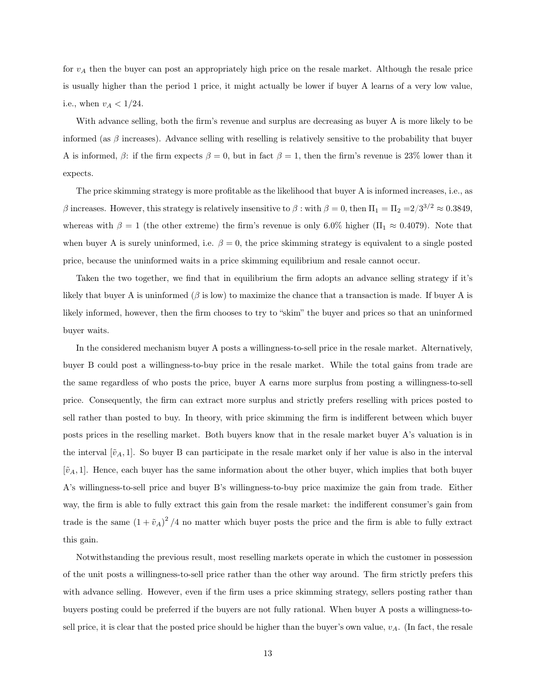for  $v_A$  then the buyer can post an appropriately high price on the resale market. Although the resale price is usually higher than the period 1 price, it might actually be lower if buyer A learns of a very low value, i.e., when  $v_A < 1/24$ .

With advance selling, both the firm's revenue and surplus are decreasing as buyer A is more likely to be informed (as  $\beta$  increases). Advance selling with reselling is relatively sensitive to the probability that buyer A is informed,  $\beta$ : if the firm expects  $\beta = 0$ , but in fact  $\beta = 1$ , then the firm's revenue is 23% lower than it expects.

The price skimming strategy is more profitable as the likelihood that buyer A is informed increases, i.e., as β increases. However, this strategy is relatively insensitive to  $β$  : with  $β = 0$ , then  $\Pi_1 = \Pi_2 = 2/3^{3/2} \approx 0.3849$ , whereas with  $\beta = 1$  (the other extreme) the firm's revenue is only 6.0% higher ( $\Pi_1 \approx 0.4079$ ). Note that when buyer A is surely uninformed, i.e.  $\beta = 0$ , the price skimming strategy is equivalent to a single posted price, because the uninformed waits in a price skimming equilibrium and resale cannot occur.

Taken the two together, we find that in equilibrium the firm adopts an advance selling strategy if it's likely that buyer A is uninformed ( $\beta$  is low) to maximize the chance that a transaction is made. If buyer A is likely informed, however, then the firm chooses to try to "skim" the buyer and prices so that an uninformed buyer waits.

In the considered mechanism buyer A posts a willingness-to-sell price in the resale market. Alternatively, buyer B could post a willingness-to-buy price in the resale market. While the total gains from trade are the same regardless of who posts the price, buyer A earns more surplus from posting a willingness-to-sell price. Consequently, the firm can extract more surplus and strictly prefers reselling with prices posted to sell rather than posted to buy. In theory, with price skimming the firm is indifferent between which buyer posts prices in the reselling market. Both buyers know that in the resale market buyer A's valuation is in the interval  $[\tilde{v}_A, 1]$ . So buyer B can participate in the resale market only if her value is also in the interval  $[\tilde{v}_A, 1]$ . Hence, each buyer has the same information about the other buyer, which implies that both buyer A's willingness-to-sell price and buyer B's willingness-to-buy price maximize the gain from trade. Either way, the firm is able to fully extract this gain from the resale market: the indifferent consumer's gain from trade is the same  $(1 + \tilde{v}_A)^2/4$  no matter which buyer posts the price and the firm is able to fully extract this gain.

Notwithstanding the previous result, most reselling markets operate in which the customer in possession of the unit posts a willingness-to-sell price rather than the other way around. The firm strictly prefers this with advance selling. However, even if the firm uses a price skimming strategy, sellers posting rather than buyers posting could be preferred if the buyers are not fully rational. When buyer A posts a willingness-tosell price, it is clear that the posted price should be higher than the buyer's own value,  $v_A$ . (In fact, the resale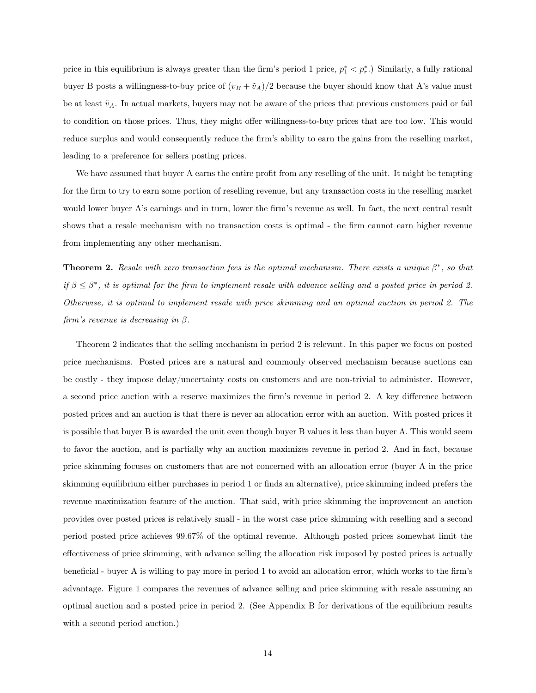price in this equilibrium is always greater than the firm's period 1 price,  $p_1^* < p_r^*$ .) Similarly, a fully rational buyer B posts a willingness-to-buy price of  $(v_B + \tilde{v}_A)/2$  because the buyer should know that A's value must be at least  $\tilde{v}_A$ . In actual markets, buyers may not be aware of the prices that previous customers paid or fail to condition on those prices. Thus, they might offer willingness-to-buy prices that are too low. This would reduce surplus and would consequently reduce the firm's ability to earn the gains from the reselling market, leading to a preference for sellers posting prices.

We have assumed that buyer A earns the entire profit from any reselling of the unit. It might be tempting for the firm to try to earn some portion of reselling revenue, but any transaction costs in the reselling market would lower buyer A's earnings and in turn, lower the firm's revenue as well. In fact, the next central result shows that a resale mechanism with no transaction costs is optimal - the firm cannot earn higher revenue from implementing any other mechanism.

**Theorem 2.** Resale with zero transaction fees is the optimal mechanism. There exists a unique  $\beta^*$ , so that if  $\beta \leq \beta^*$ , it is optimal for the firm to implement resale with advance selling and a posted price in period 2. Otherwise, it is optimal to implement resale with price skimming and an optimal auction in period 2. The  $f_{\text{l}}$ *firm's revenue is decreasing in*  $\beta$ *.* 

Theorem 2 indicates that the selling mechanism in period 2 is relevant. In this paper we focus on posted price mechanisms. Posted prices are a natural and commonly observed mechanism because auctions can be costly - they impose delay/uncertainty costs on customers and are non-trivial to administer. However, a second price auction with a reserve maximizes the firm's revenue in period 2. A key difference between posted prices and an auction is that there is never an allocation error with an auction. With posted prices it is possible that buyer B is awarded the unit even though buyer B values it less than buyer A. This would seem to favor the auction, and is partially why an auction maximizes revenue in period 2. And in fact, because price skimming focuses on customers that are not concerned with an allocation error (buyer A in the price skimming equilibrium either purchases in period 1 or finds an alternative), price skimming indeed prefers the revenue maximization feature of the auction. That said, with price skimming the improvement an auction provides over posted prices is relatively small - in the worst case price skimming with reselling and a second period posted price achieves 99.67% of the optimal revenue. Although posted prices somewhat limit the effectiveness of price skimming, with advance selling the allocation risk imposed by posted prices is actually beneficial - buyer A is willing to pay more in period 1 to avoid an allocation error, which works to the firm's advantage. Figure 1 compares the revenues of advance selling and price skimming with resale assuming an optimal auction and a posted price in period 2. (See Appendix B for derivations of the equilibrium results with a second period auction.)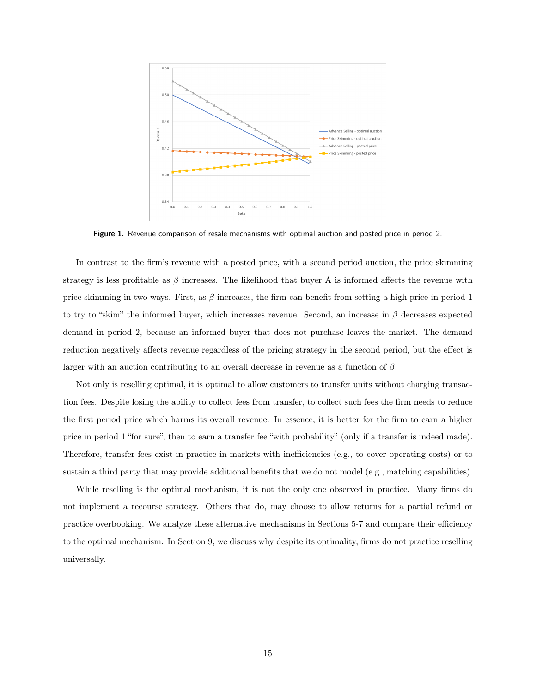

Figure 1. Revenue comparison of resale mechanisms with optimal auction and posted price in period 2.

In contrast to the firm's revenue with a posted price, with a second period auction, the price skimming strategy is less profitable as  $\beta$  increases. The likelihood that buyer A is informed affects the revenue with price skimming in two ways. First, as  $\beta$  increases, the firm can benefit from setting a high price in period 1 to try to "skim" the informed buyer, which increases revenue. Second, an increase in  $\beta$  decreases expected demand in period 2, because an informed buyer that does not purchase leaves the market. The demand reduction negatively affects revenue regardless of the pricing strategy in the second period, but the effect is larger with an auction contributing to an overall decrease in revenue as a function of  $\beta$ .

Not only is reselling optimal, it is optimal to allow customers to transfer units without charging transaction fees. Despite losing the ability to collect fees from transfer, to collect such fees the firm needs to reduce the first period price which harms its overall revenue. In essence, it is better for the firm to earn a higher price in period 1 "for sure", then to earn a transfer fee "with probability" (only if a transfer is indeed made). Therefore, transfer fees exist in practice in markets with inefficiencies (e.g., to cover operating costs) or to sustain a third party that may provide additional benefits that we do not model (e.g., matching capabilities).

While reselling is the optimal mechanism, it is not the only one observed in practice. Many firms do not implement a recourse strategy. Others that do, may choose to allow returns for a partial refund or practice overbooking. We analyze these alternative mechanisms in Sections 5-7 and compare their efficiency to the optimal mechanism. In Section 9, we discuss why despite its optimality, firms do not practice reselling universally.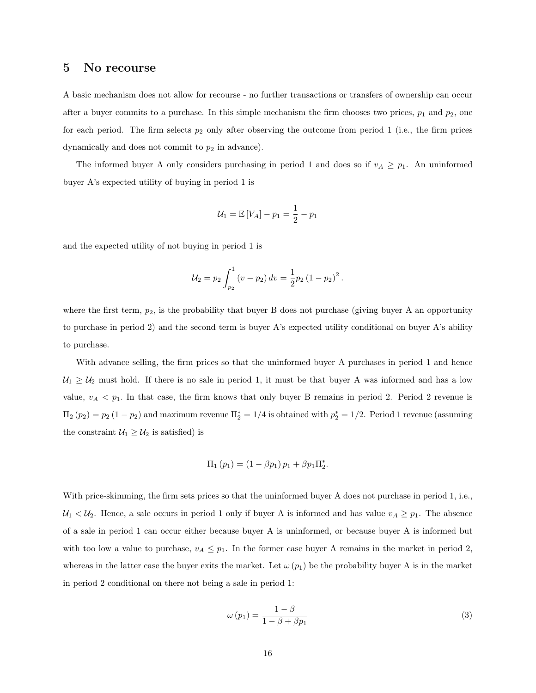### 5 No recourse

A basic mechanism does not allow for recourse - no further transactions or transfers of ownership can occur after a buyer commits to a purchase. In this simple mechanism the firm chooses two prices,  $p_1$  and  $p_2$ , one for each period. The firm selects  $p_2$  only after observing the outcome from period 1 (i.e., the firm prices dynamically and does not commit to  $p_2$  in advance).

The informed buyer A only considers purchasing in period 1 and does so if  $v_A \geq p_1$ . An uninformed buyer A's expected utility of buying in period 1 is

$$
\mathcal{U}_1 = \mathbb{E}\left[V_A\right] - p_1 = \frac{1}{2} - p_1
$$

and the expected utility of not buying in period 1 is

$$
\mathcal{U}_2 = p_2 \int_{p_2}^1 (v - p_2) dv = \frac{1}{2} p_2 (1 - p_2)^2.
$$

where the first term,  $p_2$ , is the probability that buyer B does not purchase (giving buyer A an opportunity to purchase in period 2) and the second term is buyer A's expected utility conditional on buyer A's ability to purchase.

With advance selling, the firm prices so that the uninformed buyer A purchases in period 1 and hence  $U_1 \geq U_2$  must hold. If there is no sale in period 1, it must be that buyer A was informed and has a low value,  $v_A < p_1$ . In that case, the firm knows that only buyer B remains in period 2. Period 2 revenue is  $\Pi_2(p_2) = p_2(1-p_2)$  and maximum revenue  $\Pi_2^* = 1/4$  is obtained with  $p_2^* = 1/2$ . Period 1 revenue (assuming the constraint  $\mathcal{U}_1 \geq \mathcal{U}_2$  is satisfied) is

$$
\Pi_1 (p_1) = (1 - \beta p_1) p_1 + \beta p_1 \Pi_2^*.
$$

With price-skimming, the firm sets prices so that the uninformed buyer A does not purchase in period 1, i.e.,  $U_1 < U_2$ . Hence, a sale occurs in period 1 only if buyer A is informed and has value  $v_A \geq p_1$ . The absence of a sale in period 1 can occur either because buyer A is uninformed, or because buyer A is informed but with too low a value to purchase,  $v_A \leq p_1$ . In the former case buyer A remains in the market in period 2, whereas in the latter case the buyer exits the market. Let  $\omega(p_1)$  be the probability buyer A is in the market in period 2 conditional on there not being a sale in period 1:

$$
\omega(p_1) = \frac{1 - \beta}{1 - \beta + \beta p_1} \tag{3}
$$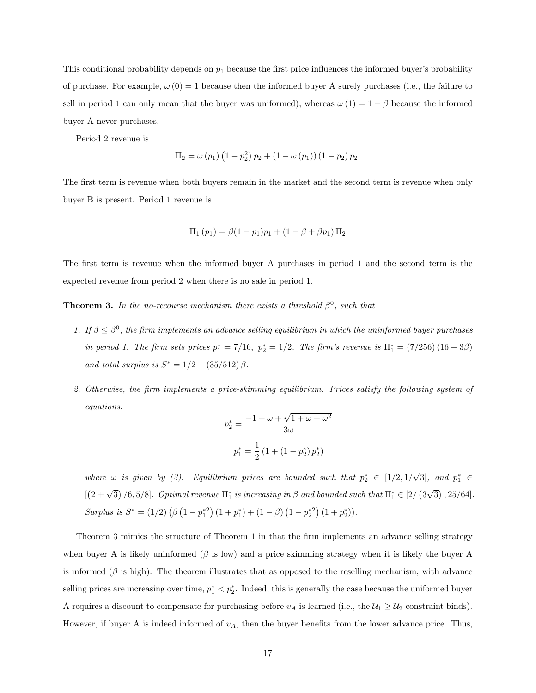This conditional probability depends on  $p_1$  because the first price influences the informed buyer's probability of purchase. For example,  $\omega(0) = 1$  because then the informed buyer A surely purchases (i.e., the failure to sell in period 1 can only mean that the buyer was uniformed), whereas  $\omega(1) = 1 - \beta$  because the informed buyer A never purchases.

Period 2 revenue is

$$
\Pi_2 = \omega (p_1) (1 - p_2^2) p_2 + (1 - \omega (p_1)) (1 - p_2) p_2.
$$

The first term is revenue when both buyers remain in the market and the second term is revenue when only buyer B is present. Period 1 revenue is

$$
\Pi_1 (p_1) = \beta (1 - p_1) p_1 + (1 - \beta + \beta p_1) \Pi_2
$$

The first term is revenue when the informed buyer A purchases in period 1 and the second term is the expected revenue from period 2 when there is no sale in period 1.

**Theorem 3.** In the no-recourse mechanism there exists a threshold  $\beta^0$ , such that

- 1. If  $\beta \leq \beta^0$ , the firm implements an advance selling equilibrium in which the uninformed buyer purchases in period 1. The firm sets prices  $p_1^* = 7/16$ ,  $p_2^* = 1/2$ . The firm's revenue is  $\Pi_1^* = (7/256) (16 - 3\beta)$ and total surplus is  $S^* = 1/2 + (35/512) \beta$ .
- 2. Otherwise, the firm implements a price-skimming equilibrium. Prices satisfy the following system of equations: √

$$
p_2^* = \frac{-1 + \omega + \sqrt{1 + \omega + \omega^2}}{3\omega}
$$

$$
p_1^* = \frac{1}{2} \left( 1 + \left( 1 - p_2^* \right) p_2^* \right)
$$

where  $\omega$  is given by (3). Equilibrium prices are bounded such that  $p_2^* \in [1/2, 1/2]$ √  $\overline{3}$ , and  $p_1^* \in$  $[(2+\sqrt{3})/6, 5/8]$ . Optimal revenue  $\Pi_1^*$  is increasing in  $\beta$  and bounded such that  $\Pi_1^* \in [2/(3)]$ √  $\overline{3})$  , 25/64]. Surplus is  $S^* = (1/2) \left( \beta \left( 1 - p_1^* \right) (1 + p_1^*) + (1 - \beta) \left( 1 - p_2^* \right) (1 + p_2^*) \right)$ .

Theorem 3 mimics the structure of Theorem 1 in that the firm implements an advance selling strategy when buyer A is likely uninformed ( $\beta$  is low) and a price skimming strategy when it is likely the buyer A is informed  $(\beta$  is high). The theorem illustrates that as opposed to the reselling mechanism, with advance selling prices are increasing over time,  $p_1^* < p_2^*$ . Indeed, this is generally the case because the uniformed buyer A requires a discount to compensate for purchasing before  $v_A$  is learned (i.e., the  $\mathcal{U}_1 \geq \mathcal{U}_2$  constraint binds). However, if buyer A is indeed informed of  $v_A$ , then the buyer benefits from the lower advance price. Thus,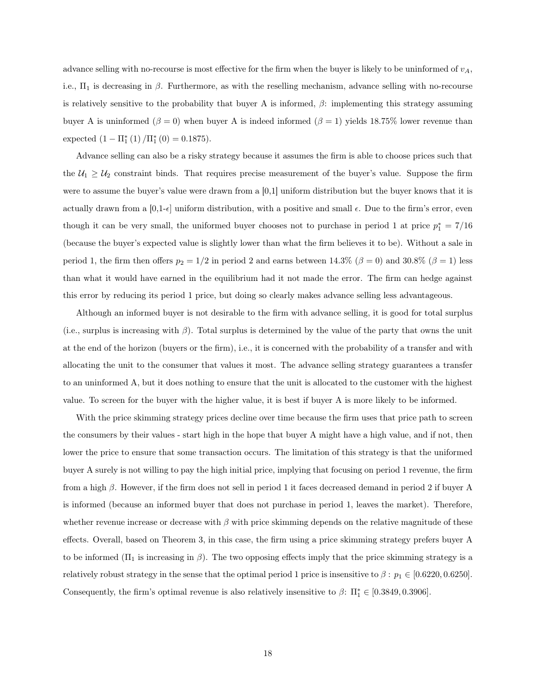advance selling with no-recourse is most effective for the firm when the buyer is likely to be uninformed of  $v_A$ , i.e.,  $\Pi_1$  is decreasing in  $\beta$ . Furthermore, as with the reselling mechanism, advance selling with no-recourse is relatively sensitive to the probability that buyer A is informed,  $\beta$ : implementing this strategy assuming buyer A is uninformed ( $\beta = 0$ ) when buyer A is indeed informed ( $\beta = 1$ ) yields 18.75% lower revenue than expected  $(1 - \Pi_1^* (1) / \Pi_1^* (0) = 0.1875)$ .

Advance selling can also be a risky strategy because it assumes the firm is able to choose prices such that the  $U_1 \geq U_2$  constraint binds. That requires precise measurement of the buyer's value. Suppose the firm were to assume the buyer's value were drawn from a [0,1] uniform distribution but the buyer knows that it is actually drawn from a  $[0,1-\epsilon]$  uniform distribution, with a positive and small  $\epsilon$ . Due to the firm's error, even though it can be very small, the uniformed buyer chooses not to purchase in period 1 at price  $p_1^* = 7/16$ (because the buyer's expected value is slightly lower than what the firm believes it to be). Without a sale in period 1, the firm then offers  $p_2 = 1/2$  in period 2 and earns between 14.3% ( $\beta = 0$ ) and 30.8% ( $\beta = 1$ ) less than what it would have earned in the equilibrium had it not made the error. The firm can hedge against this error by reducing its period 1 price, but doing so clearly makes advance selling less advantageous.

Although an informed buyer is not desirable to the firm with advance selling, it is good for total surplus (i.e., surplus is increasing with  $\beta$ ). Total surplus is determined by the value of the party that owns the unit at the end of the horizon (buyers or the firm), i.e., it is concerned with the probability of a transfer and with allocating the unit to the consumer that values it most. The advance selling strategy guarantees a transfer to an uninformed A, but it does nothing to ensure that the unit is allocated to the customer with the highest value. To screen for the buyer with the higher value, it is best if buyer A is more likely to be informed.

With the price skimming strategy prices decline over time because the firm uses that price path to screen the consumers by their values - start high in the hope that buyer A might have a high value, and if not, then lower the price to ensure that some transaction occurs. The limitation of this strategy is that the uniformed buyer A surely is not willing to pay the high initial price, implying that focusing on period 1 revenue, the firm from a high β. However, if the firm does not sell in period 1 it faces decreased demand in period 2 if buyer A is informed (because an informed buyer that does not purchase in period 1, leaves the market). Therefore, whether revenue increase or decrease with  $\beta$  with price skimming depends on the relative magnitude of these effects. Overall, based on Theorem 3, in this case, the firm using a price skimming strategy prefers buyer A to be informed  $(\Pi_1$  is increasing in  $\beta$ ). The two opposing effects imply that the price skimming strategy is a relatively robust strategy in the sense that the optimal period 1 price is insensitive to  $\beta : p_1 \in [0.6220, 0.6250]$ . Consequently, the firm's optimal revenue is also relatively insensitive to  $\beta$ :  $\Pi_1^* \in [0.3849, 0.3906]$ .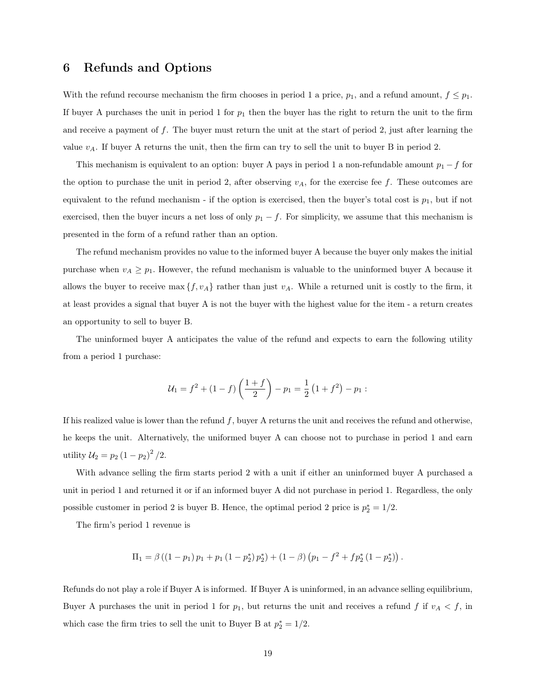#### 6 Refunds and Options

With the refund recourse mechanism the firm chooses in period 1 a price,  $p_1$ , and a refund amount,  $f \leq p_1$ . If buyer A purchases the unit in period 1 for  $p_1$  then the buyer has the right to return the unit to the firm and receive a payment of  $f$ . The buyer must return the unit at the start of period 2, just after learning the value  $v_A$ . If buyer A returns the unit, then the firm can try to sell the unit to buyer B in period 2.

This mechanism is equivalent to an option: buyer A pays in period 1 a non-refundable amount  $p_1 - f$  for the option to purchase the unit in period 2, after observing  $v_A$ , for the exercise fee f. These outcomes are equivalent to the refund mechanism - if the option is exercised, then the buyer's total cost is  $p_1$ , but if not exercised, then the buyer incurs a net loss of only  $p_1 - f$ . For simplicity, we assume that this mechanism is presented in the form of a refund rather than an option.

The refund mechanism provides no value to the informed buyer A because the buyer only makes the initial purchase when  $v_A \geq p_1$ . However, the refund mechanism is valuable to the uninformed buyer A because it allows the buyer to receive max  $\{f, v_A\}$  rather than just  $v_A$ . While a returned unit is costly to the firm, it at least provides a signal that buyer A is not the buyer with the highest value for the item - a return creates an opportunity to sell to buyer B.

The uninformed buyer A anticipates the value of the refund and expects to earn the following utility from a period 1 purchase:

$$
U_1 = f^2 + (1 - f) \left( \frac{1 + f}{2} \right) - p_1 = \frac{1}{2} (1 + f^2) - p_1 :
$$

If his realized value is lower than the refund  $f$ , buyer A returns the unit and receives the refund and otherwise, he keeps the unit. Alternatively, the uniformed buyer A can choose not to purchase in period 1 and earn utility  $U_2 = p_2 (1 - p_2)^2 / 2$ .

With advance selling the firm starts period 2 with a unit if either an uninformed buyer A purchased a unit in period 1 and returned it or if an informed buyer A did not purchase in period 1. Regardless, the only possible customer in period 2 is buyer B. Hence, the optimal period 2 price is  $p_2^* = 1/2$ .

The firm's period 1 revenue is

$$
\Pi_1 = \beta ((1 - p_1) p_1 + p_1 (1 - p_2^*) p_2^*) + (1 - \beta) (p_1 - f^2 + f p_2^* (1 - p_2^*)).
$$

Refunds do not play a role if Buyer A is informed. If Buyer A is uninformed, in an advance selling equilibrium, Buyer A purchases the unit in period 1 for  $p_1$ , but returns the unit and receives a refund f if  $v_A < f$ , in which case the firm tries to sell the unit to Buyer B at  $p_2^* = 1/2$ .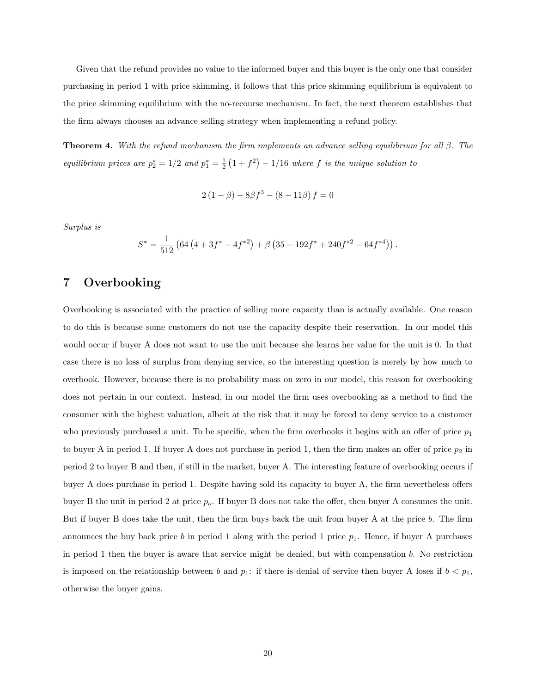Given that the refund provides no value to the informed buyer and this buyer is the only one that consider purchasing in period 1 with price skimming, it follows that this price skimming equilibrium is equivalent to the price skimming equilibrium with the no-recourse mechanism. In fact, the next theorem establishes that the firm always chooses an advance selling strategy when implementing a refund policy.

**Theorem 4.** With the refund mechanism the firm implements an advance selling equilibrium for all  $\beta$ . The equilibrium prices are  $p_2^* = 1/2$  and  $p_1^* = \frac{1}{2}(1+f^2) - 1/16$  where f is the unique solution to

$$
2(1 - \beta) - 8\beta f^3 - (8 - 11\beta) f = 0
$$

Surplus is

$$
S^* = \frac{1}{512} \left( 64 \left( 4 + 3 f^* - 4 f^{*2} \right) + \beta \left( 35 - 192 f^* + 240 f^{*2} - 64 f^{*4} \right) \right).
$$

### 7 Overbooking

Overbooking is associated with the practice of selling more capacity than is actually available. One reason to do this is because some customers do not use the capacity despite their reservation. In our model this would occur if buyer A does not want to use the unit because she learns her value for the unit is 0. In that case there is no loss of surplus from denying service, so the interesting question is merely by how much to overbook. However, because there is no probability mass on zero in our model, this reason for overbooking does not pertain in our context. Instead, in our model the firm uses overbooking as a method to find the consumer with the highest valuation, albeit at the risk that it may be forced to deny service to a customer who previously purchased a unit. To be specific, when the firm overbooks it begins with an offer of price  $p_1$ to buyer A in period 1. If buyer A does not purchase in period 1, then the firm makes an offer of price  $p_2$  in period 2 to buyer B and then, if still in the market, buyer A. The interesting feature of overbooking occurs if buyer A does purchase in period 1. Despite having sold its capacity to buyer A, the firm nevertheless offers buyer B the unit in period 2 at price  $p<sub>o</sub>$ . If buyer B does not take the offer, then buyer A consumes the unit. But if buyer B does take the unit, then the firm buys back the unit from buyer A at the price b. The firm announces the buy back price b in period 1 along with the period 1 price  $p_1$ . Hence, if buyer A purchases in period 1 then the buyer is aware that service might be denied, but with compensation b. No restriction is imposed on the relationship between b and  $p_1$ : if there is denial of service then buyer A loses if  $b < p_1$ , otherwise the buyer gains.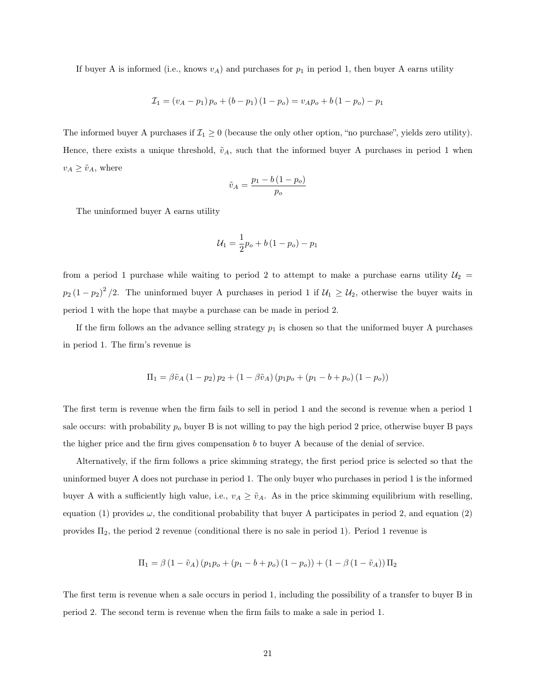If buyer A is informed (i.e., knows  $v_A$ ) and purchases for  $p_1$  in period 1, then buyer A earns utility

$$
\mathcal{I}_1 = (v_A - p_1) p_o + (b - p_1) (1 - p_o) = v_A p_o + b (1 - p_o) - p_1
$$

The informed buyer A purchases if  $\mathcal{I}_1 \geq 0$  (because the only other option, "no purchase", yields zero utility). Hence, there exists a unique threshold,  $\tilde{v}_A$ , such that the informed buyer A purchases in period 1 when  $v_A \geq \tilde{v}_A$ , where

$$
\tilde{v}_A = \frac{p_1 - b(1 - p_o)}{p_o}
$$

The uninformed buyer A earns utility

$$
U_1 = \frac{1}{2}p_o + b(1 - p_o) - p_1
$$

from a period 1 purchase while waiting to period 2 to attempt to make a purchase earns utility  $U_2$  =  $p_2(1-p_2)^2/2$ . The uninformed buyer A purchases in period 1 if  $\mathcal{U}_1 \geq \mathcal{U}_2$ , otherwise the buyer waits in period 1 with the hope that maybe a purchase can be made in period 2.

If the firm follows an the advance selling strategy  $p_1$  is chosen so that the uniformed buyer A purchases in period 1. The firm's revenue is

$$
\Pi_1 = \beta \tilde{v}_A (1 - p_2) p_2 + (1 - \beta \tilde{v}_A) (p_1 p_o + (p_1 - b + p_o) (1 - p_o))
$$

The first term is revenue when the firm fails to sell in period 1 and the second is revenue when a period 1 sale occurs: with probability  $p<sub>o</sub>$  buyer B is not willing to pay the high period 2 price, otherwise buyer B pays the higher price and the firm gives compensation  $b$  to buyer A because of the denial of service.

Alternatively, if the firm follows a price skimming strategy, the first period price is selected so that the uninformed buyer A does not purchase in period 1. The only buyer who purchases in period 1 is the informed buyer A with a sufficiently high value, i.e.,  $v_A \geq \tilde{v}_A$ . As in the price skimming equilibrium with reselling, equation (1) provides  $\omega$ , the conditional probability that buyer A participates in period 2, and equation (2) provides  $\Pi_2$ , the period 2 revenue (conditional there is no sale in period 1). Period 1 revenue is

$$
\Pi_1 = \beta (1 - \tilde{v}_A) (p_1 p_o + (p_1 - b + p_o) (1 - p_o)) + (1 - \beta (1 - \tilde{v}_A)) \Pi_2
$$

The first term is revenue when a sale occurs in period 1, including the possibility of a transfer to buyer B in period 2. The second term is revenue when the firm fails to make a sale in period 1.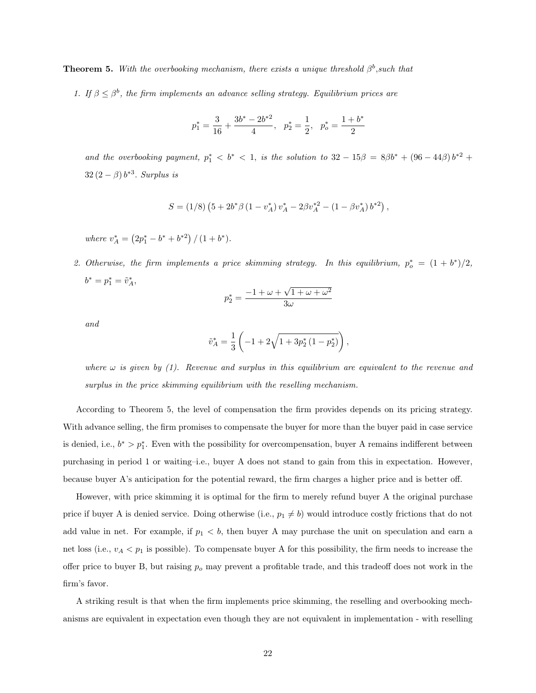**Theorem 5.** With the overbooking mechanism, there exists a unique threshold  $\beta^b$ , such that

1. If  $\beta \leq \beta^b$ , the firm implements an advance selling strategy. Equilibrium prices are

$$
p_1^*=\frac{3}{16}+\frac{3b^*-2b^{*2}}{4}, \ \ p_2^*=\frac{1}{2}, \ \ p_o^*=\frac{1+b^*}{2}
$$

and the overbooking payment,  $p_1^* < b^* < 1$ , is the solution to  $32 - 15\beta = 8\beta b^* + (96 - 44\beta) b^{*2} +$  $32(2-\beta) b^{*3}$ . Surplus is

$$
S = (1/8) \left(5 + 2b^*\beta \left(1 - v_A^*\right)v_A^* - 2\beta v_A^{*2} - \left(1 - \beta v_A^*\right)b^{*2}\right),
$$

where  $v_A^* = (2p_1^* - b^* + b^{*2}) / (1 + b^*)$ .

2. Otherwise, the firm implements a price skimming strategy. In this equilibrium,  $p_o^* = (1 + b^*)/2$ ,  $b^* = p_1^* = \tilde{v}_A^*,$ √

$$
p_2^* = \frac{-1 + \omega + \sqrt{1 + \omega + \omega^2}}{3\omega}
$$

and

$$
\tilde{v}_A^* = \frac{1}{3} \left( -1 + 2\sqrt{1 + 3p_2^* \left(1 - p_2^* \right)} \right),\,
$$

where  $\omega$  is given by (1). Revenue and surplus in this equilibrium are equivalent to the revenue and surplus in the price skimming equilibrium with the reselling mechanism.

According to Theorem 5, the level of compensation the firm provides depends on its pricing strategy. With advance selling, the firm promises to compensate the buyer for more than the buyer paid in case service is denied, i.e.,  $b^* > p_1^*$ . Even with the possibility for overcompensation, buyer A remains indifferent between purchasing in period 1 or waiting–i.e., buyer A does not stand to gain from this in expectation. However, because buyer A's anticipation for the potential reward, the firm charges a higher price and is better off.

However, with price skimming it is optimal for the firm to merely refund buyer A the original purchase price if buyer A is denied service. Doing otherwise (i.e.,  $p_1 \neq b$ ) would introduce costly frictions that do not add value in net. For example, if  $p_1 < b$ , then buyer A may purchase the unit on speculation and earn a net loss (i.e.,  $v_A < p_1$  is possible). To compensate buyer A for this possibility, the firm needs to increase the offer price to buyer B, but raising  $p<sub>o</sub>$  may prevent a profitable trade, and this tradeoff does not work in the firm's favor.

A striking result is that when the firm implements price skimming, the reselling and overbooking mechanisms are equivalent in expectation even though they are not equivalent in implementation - with reselling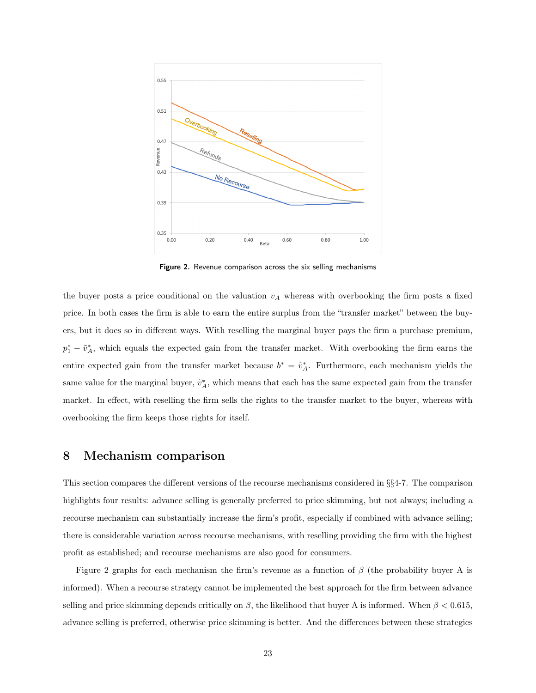

Figure 2. Revenue comparison across the six selling mechanisms

the buyer posts a price conditional on the valuation  $v_A$  whereas with overbooking the firm posts a fixed price. In both cases the firm is able to earn the entire surplus from the "transfer market" between the buyers, but it does so in different ways. With reselling the marginal buyer pays the firm a purchase premium,  $p_1^* - \tilde{v}_A^*$ , which equals the expected gain from the transfer market. With overbooking the firm earns the entire expected gain from the transfer market because  $b^* = \tilde{v}_A^*$ . Furthermore, each mechanism yields the same value for the marginal buyer,  $\tilde{v}_A^*$ , which means that each has the same expected gain from the transfer market. In effect, with reselling the firm sells the rights to the transfer market to the buyer, whereas with overbooking the firm keeps those rights for itself.

#### 8 Mechanism comparison

This section compares the different versions of the recourse mechanisms considered in §§4-7. The comparison highlights four results: advance selling is generally preferred to price skimming, but not always; including a recourse mechanism can substantially increase the firm's profit, especially if combined with advance selling; there is considerable variation across recourse mechanisms, with reselling providing the firm with the highest profit as established; and recourse mechanisms are also good for consumers.

Figure 2 graphs for each mechanism the firm's revenue as a function of  $\beta$  (the probability buyer A is informed). When a recourse strategy cannot be implemented the best approach for the firm between advance selling and price skimming depends critically on  $\beta$ , the likelihood that buyer A is informed. When  $\beta$  < 0.615, advance selling is preferred, otherwise price skimming is better. And the differences between these strategies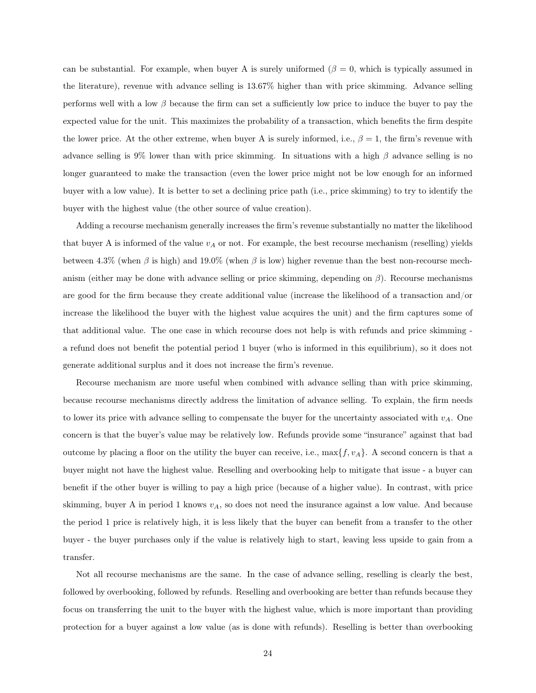can be substantial. For example, when buyer A is surely uniformed ( $\beta = 0$ , which is typically assumed in the literature), revenue with advance selling is 13.67% higher than with price skimming. Advance selling performs well with a low  $\beta$  because the firm can set a sufficiently low price to induce the buyer to pay the expected value for the unit. This maximizes the probability of a transaction, which benefits the firm despite the lower price. At the other extreme, when buyer A is surely informed, i.e.,  $\beta = 1$ , the firm's revenue with advance selling is 9% lower than with price skimming. In situations with a high  $\beta$  advance selling is no longer guaranteed to make the transaction (even the lower price might not be low enough for an informed buyer with a low value). It is better to set a declining price path (i.e., price skimming) to try to identify the buyer with the highest value (the other source of value creation).

Adding a recourse mechanism generally increases the firm's revenue substantially no matter the likelihood that buyer A is informed of the value  $v_A$  or not. For example, the best recourse mechanism (reselling) yields between 4.3% (when  $\beta$  is high) and 19.0% (when  $\beta$  is low) higher revenue than the best non-recourse mechanism (either may be done with advance selling or price skimming, depending on  $\beta$ ). Recourse mechanisms are good for the firm because they create additional value (increase the likelihood of a transaction and/or increase the likelihood the buyer with the highest value acquires the unit) and the firm captures some of that additional value. The one case in which recourse does not help is with refunds and price skimming a refund does not benefit the potential period 1 buyer (who is informed in this equilibrium), so it does not generate additional surplus and it does not increase the firm's revenue.

Recourse mechanism are more useful when combined with advance selling than with price skimming, because recourse mechanisms directly address the limitation of advance selling. To explain, the firm needs to lower its price with advance selling to compensate the buyer for the uncertainty associated with  $v_A$ . One concern is that the buyer's value may be relatively low. Refunds provide some "insurance" against that bad outcome by placing a floor on the utility the buyer can receive, i.e.,  $\max\{f, v_A\}$ . A second concern is that a buyer might not have the highest value. Reselling and overbooking help to mitigate that issue - a buyer can benefit if the other buyer is willing to pay a high price (because of a higher value). In contrast, with price skimming, buyer A in period 1 knows  $v_A$ , so does not need the insurance against a low value. And because the period 1 price is relatively high, it is less likely that the buyer can benefit from a transfer to the other buyer - the buyer purchases only if the value is relatively high to start, leaving less upside to gain from a transfer.

Not all recourse mechanisms are the same. In the case of advance selling, reselling is clearly the best, followed by overbooking, followed by refunds. Reselling and overbooking are better than refunds because they focus on transferring the unit to the buyer with the highest value, which is more important than providing protection for a buyer against a low value (as is done with refunds). Reselling is better than overbooking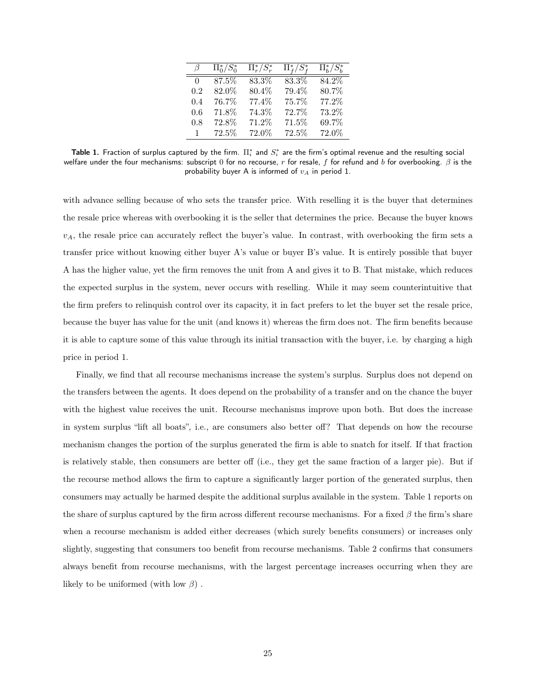| B   | $\Pi_0^*/S_0^*$ | $\Pi_r^*/S_r^*$ | $\Pi_f^*/S_f^*$ | $\Pi_h^*/S_h^*$ |
|-----|-----------------|-----------------|-----------------|-----------------|
| 0   | 87.5%           | 83.3%           | 83.3%           | 84.2%           |
| 0.2 | 82.0%           | 80.4%           | 79.4%           | 80.7%           |
| 0.4 | 76.7%           | 77.4%           | 75.7%           | 77.2%           |
| 0.6 | 71.8%           | 74.3%           | 72.7%           | 73.2%           |
| 0.8 | 72.8%           | 71.2%           | 71.5%           | 69.7%           |
| 1   | 72.5%           | 72.0%           | 72.5%           | 72.0%           |

Table 1. Fraction of surplus captured by the firm.  $\Pi_i^*$  and  $S_i^*$  are the firm's optimal revenue and the resulting social welfare under the four mechanisms: subscript 0 for no recourse, r for resale, f for refund and b for overbooking.  $\beta$  is the probability buyer A is informed of  $v_A$  in period 1.

with advance selling because of who sets the transfer price. With reselling it is the buyer that determines the resale price whereas with overbooking it is the seller that determines the price. Because the buyer knows  $v_A$ , the resale price can accurately reflect the buyer's value. In contrast, with overbooking the firm sets a transfer price without knowing either buyer A's value or buyer B's value. It is entirely possible that buyer A has the higher value, yet the firm removes the unit from A and gives it to B. That mistake, which reduces the expected surplus in the system, never occurs with reselling. While it may seem counterintuitive that the firm prefers to relinquish control over its capacity, it in fact prefers to let the buyer set the resale price, because the buyer has value for the unit (and knows it) whereas the firm does not. The firm benefits because it is able to capture some of this value through its initial transaction with the buyer, i.e. by charging a high price in period 1.

Finally, we find that all recourse mechanisms increase the system's surplus. Surplus does not depend on the transfers between the agents. It does depend on the probability of a transfer and on the chance the buyer with the highest value receives the unit. Recourse mechanisms improve upon both. But does the increase in system surplus "lift all boats", i.e., are consumers also better off? That depends on how the recourse mechanism changes the portion of the surplus generated the firm is able to snatch for itself. If that fraction is relatively stable, then consumers are better off (i.e., they get the same fraction of a larger pie). But if the recourse method allows the firm to capture a significantly larger portion of the generated surplus, then consumers may actually be harmed despite the additional surplus available in the system. Table 1 reports on the share of surplus captured by the firm across different recourse mechanisms. For a fixed  $\beta$  the firm's share when a recourse mechanism is added either decreases (which surely benefits consumers) or increases only slightly, suggesting that consumers too benefit from recourse mechanisms. Table 2 confirms that consumers always benefit from recourse mechanisms, with the largest percentage increases occurring when they are likely to be uniformed (with low  $\beta$ ).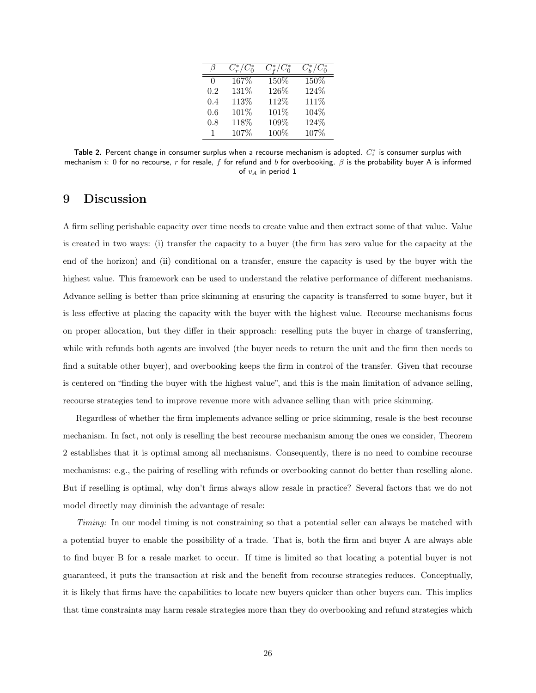|          | $C_{r}^{*}/C_{0}^{*}$ | $C_{f}^{*}/C_{0}^{*}$ | $C_{h}^{*}/C_{0}^{*}$ |
|----------|-----------------------|-----------------------|-----------------------|
| $\Omega$ | 167%                  | 150%                  | $150\%$               |
| 0.2      | 131%                  | 126%                  | 124%                  |
| 0.4      | 113%                  | 112\%                 | 111\%                 |
| 0.6      | 101%                  | 101%                  | 104%                  |
| 0.8      | 118%                  | 109%                  | 124%                  |
| 1        | 107%                  | 100%                  | 107%                  |

Table 2. Percent change in consumer surplus when a recourse mechanism is adopted.  $C_i^*$  is consumer surplus with mechanism i: 0 for no recourse, r for resale, f for refund and b for overbooking.  $\beta$  is the probability buyer A is informed of  $v_A$  in period 1

### 9 Discussion

A firm selling perishable capacity over time needs to create value and then extract some of that value. Value is created in two ways: (i) transfer the capacity to a buyer (the firm has zero value for the capacity at the end of the horizon) and (ii) conditional on a transfer, ensure the capacity is used by the buyer with the highest value. This framework can be used to understand the relative performance of different mechanisms. Advance selling is better than price skimming at ensuring the capacity is transferred to some buyer, but it is less effective at placing the capacity with the buyer with the highest value. Recourse mechanisms focus on proper allocation, but they differ in their approach: reselling puts the buyer in charge of transferring, while with refunds both agents are involved (the buyer needs to return the unit and the firm then needs to find a suitable other buyer), and overbooking keeps the firm in control of the transfer. Given that recourse is centered on "finding the buyer with the highest value", and this is the main limitation of advance selling, recourse strategies tend to improve revenue more with advance selling than with price skimming.

Regardless of whether the firm implements advance selling or price skimming, resale is the best recourse mechanism. In fact, not only is reselling the best recourse mechanism among the ones we consider, Theorem 2 establishes that it is optimal among all mechanisms. Consequently, there is no need to combine recourse mechanisms: e.g., the pairing of reselling with refunds or overbooking cannot do better than reselling alone. But if reselling is optimal, why don't firms always allow resale in practice? Several factors that we do not model directly may diminish the advantage of resale:

Timing: In our model timing is not constraining so that a potential seller can always be matched with a potential buyer to enable the possibility of a trade. That is, both the firm and buyer A are always able to find buyer B for a resale market to occur. If time is limited so that locating a potential buyer is not guaranteed, it puts the transaction at risk and the benefit from recourse strategies reduces. Conceptually, it is likely that firms have the capabilities to locate new buyers quicker than other buyers can. This implies that time constraints may harm resale strategies more than they do overbooking and refund strategies which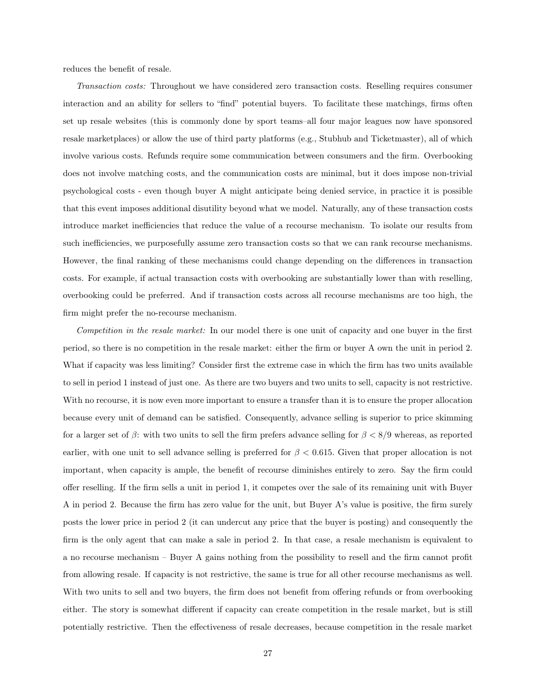reduces the benefit of resale.

Transaction costs: Throughout we have considered zero transaction costs. Reselling requires consumer interaction and an ability for sellers to "find" potential buyers. To facilitate these matchings, firms often set up resale websites (this is commonly done by sport teams–all four major leagues now have sponsored resale marketplaces) or allow the use of third party platforms (e.g., Stubhub and Ticketmaster), all of which involve various costs. Refunds require some communication between consumers and the firm. Overbooking does not involve matching costs, and the communication costs are minimal, but it does impose non-trivial psychological costs - even though buyer A might anticipate being denied service, in practice it is possible that this event imposes additional disutility beyond what we model. Naturally, any of these transaction costs introduce market inefficiencies that reduce the value of a recourse mechanism. To isolate our results from such inefficiencies, we purposefully assume zero transaction costs so that we can rank recourse mechanisms. However, the final ranking of these mechanisms could change depending on the differences in transaction costs. For example, if actual transaction costs with overbooking are substantially lower than with reselling, overbooking could be preferred. And if transaction costs across all recourse mechanisms are too high, the firm might prefer the no-recourse mechanism.

Competition in the resale market: In our model there is one unit of capacity and one buyer in the first period, so there is no competition in the resale market: either the firm or buyer A own the unit in period 2. What if capacity was less limiting? Consider first the extreme case in which the firm has two units available to sell in period 1 instead of just one. As there are two buyers and two units to sell, capacity is not restrictive. With no recourse, it is now even more important to ensure a transfer than it is to ensure the proper allocation because every unit of demand can be satisfied. Consequently, advance selling is superior to price skimming for a larger set of  $\beta$ : with two units to sell the firm prefers advance selling for  $\beta < 8/9$  whereas, as reported earlier, with one unit to sell advance selling is preferred for  $\beta < 0.615$ . Given that proper allocation is not important, when capacity is ample, the benefit of recourse diminishes entirely to zero. Say the firm could offer reselling. If the firm sells a unit in period 1, it competes over the sale of its remaining unit with Buyer A in period 2. Because the firm has zero value for the unit, but Buyer A's value is positive, the firm surely posts the lower price in period 2 (it can undercut any price that the buyer is posting) and consequently the firm is the only agent that can make a sale in period 2. In that case, a resale mechanism is equivalent to a no recourse mechanism – Buyer A gains nothing from the possibility to resell and the firm cannot profit from allowing resale. If capacity is not restrictive, the same is true for all other recourse mechanisms as well. With two units to sell and two buyers, the firm does not benefit from offering refunds or from overbooking either. The story is somewhat different if capacity can create competition in the resale market, but is still potentially restrictive. Then the effectiveness of resale decreases, because competition in the resale market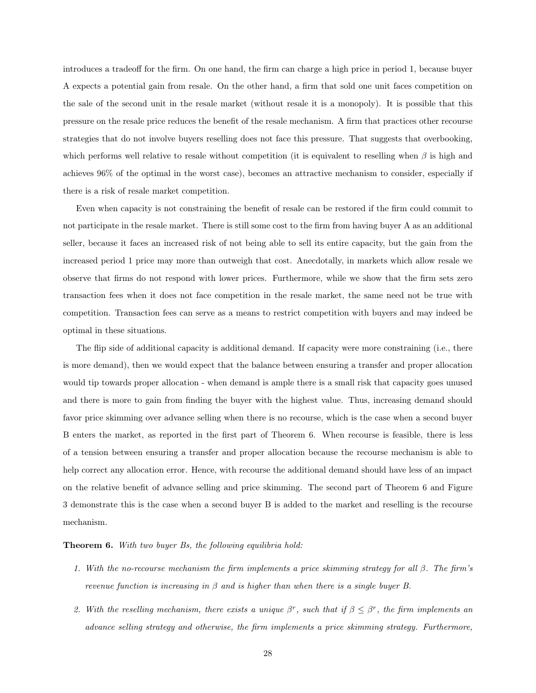introduces a tradeoff for the firm. On one hand, the firm can charge a high price in period 1, because buyer A expects a potential gain from resale. On the other hand, a firm that sold one unit faces competition on the sale of the second unit in the resale market (without resale it is a monopoly). It is possible that this pressure on the resale price reduces the benefit of the resale mechanism. A firm that practices other recourse strategies that do not involve buyers reselling does not face this pressure. That suggests that overbooking, which performs well relative to resale without competition (it is equivalent to reselling when  $\beta$  is high and achieves 96% of the optimal in the worst case), becomes an attractive mechanism to consider, especially if there is a risk of resale market competition.

Even when capacity is not constraining the benefit of resale can be restored if the firm could commit to not participate in the resale market. There is still some cost to the firm from having buyer A as an additional seller, because it faces an increased risk of not being able to sell its entire capacity, but the gain from the increased period 1 price may more than outweigh that cost. Anecdotally, in markets which allow resale we observe that firms do not respond with lower prices. Furthermore, while we show that the firm sets zero transaction fees when it does not face competition in the resale market, the same need not be true with competition. Transaction fees can serve as a means to restrict competition with buyers and may indeed be optimal in these situations.

The flip side of additional capacity is additional demand. If capacity were more constraining (i.e., there is more demand), then we would expect that the balance between ensuring a transfer and proper allocation would tip towards proper allocation - when demand is ample there is a small risk that capacity goes unused and there is more to gain from finding the buyer with the highest value. Thus, increasing demand should favor price skimming over advance selling when there is no recourse, which is the case when a second buyer B enters the market, as reported in the first part of Theorem 6. When recourse is feasible, there is less of a tension between ensuring a transfer and proper allocation because the recourse mechanism is able to help correct any allocation error. Hence, with recourse the additional demand should have less of an impact on the relative benefit of advance selling and price skimming. The second part of Theorem 6 and Figure 3 demonstrate this is the case when a second buyer B is added to the market and reselling is the recourse mechanism.

#### Theorem 6. With two buyer Bs, the following equilibria hold:

- 1. With the no-recourse mechanism the firm implements a price skimming strategy for all  $\beta$ . The firm's revenue function is increasing in  $\beta$  and is higher than when there is a single buyer B.
- 2. With the reselling mechanism, there exists a unique  $\beta^r$ , such that if  $\beta \leq \beta^r$ , the firm implements an advance selling strategy and otherwise, the firm implements a price skimming strategy. Furthermore,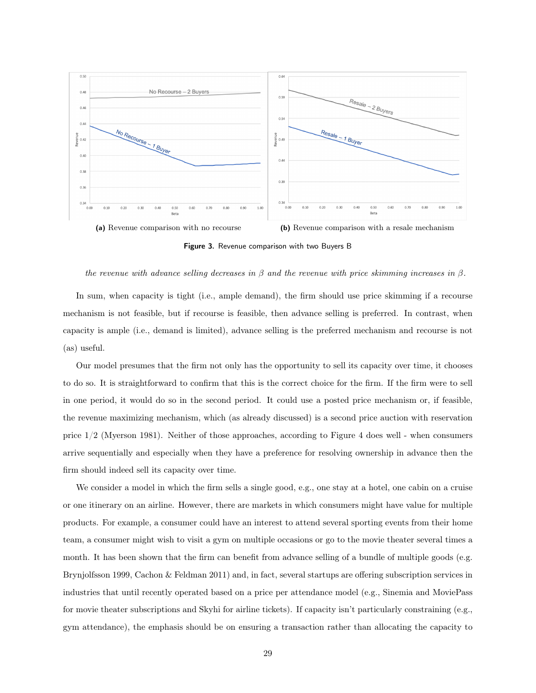

Figure 3. Revenue comparison with two Buyers B

#### the revenue with advance selling decreases in β and the revenue with price skimming increases in β.

In sum, when capacity is tight (i.e., ample demand), the firm should use price skimming if a recourse mechanism is not feasible, but if recourse is feasible, then advance selling is preferred. In contrast, when capacity is ample (i.e., demand is limited), advance selling is the preferred mechanism and recourse is not (as) useful.

Our model presumes that the firm not only has the opportunity to sell its capacity over time, it chooses to do so. It is straightforward to confirm that this is the correct choice for the firm. If the firm were to sell in one period, it would do so in the second period. It could use a posted price mechanism or, if feasible, the revenue maximizing mechanism, which (as already discussed) is a second price auction with reservation price 1/2 (Myerson 1981). Neither of those approaches, according to Figure 4 does well - when consumers arrive sequentially and especially when they have a preference for resolving ownership in advance then the firm should indeed sell its capacity over time.

We consider a model in which the firm sells a single good, e.g., one stay at a hotel, one cabin on a cruise or one itinerary on an airline. However, there are markets in which consumers might have value for multiple products. For example, a consumer could have an interest to attend several sporting events from their home team, a consumer might wish to visit a gym on multiple occasions or go to the movie theater several times a month. It has been shown that the firm can benefit from advance selling of a bundle of multiple goods (e.g. Brynjolfsson 1999, Cachon & Feldman 2011) and, in fact, several startups are offering subscription services in industries that until recently operated based on a price per attendance model (e.g., Sinemia and MoviePass for movie theater subscriptions and Skyhi for airline tickets). If capacity isn't particularly constraining (e.g., gym attendance), the emphasis should be on ensuring a transaction rather than allocating the capacity to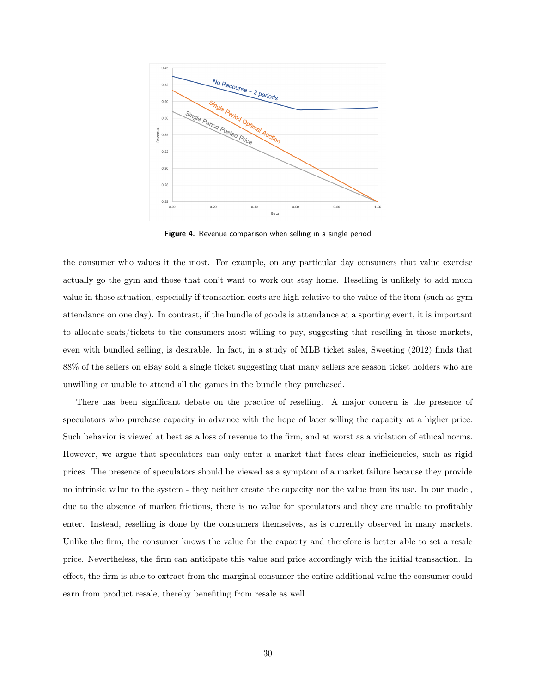

Figure 4. Revenue comparison when selling in a single period

the consumer who values it the most. For example, on any particular day consumers that value exercise actually go the gym and those that don't want to work out stay home. Reselling is unlikely to add much value in those situation, especially if transaction costs are high relative to the value of the item (such as gym attendance on one day). In contrast, if the bundle of goods is attendance at a sporting event, it is important to allocate seats/tickets to the consumers most willing to pay, suggesting that reselling in those markets, even with bundled selling, is desirable. In fact, in a study of MLB ticket sales, Sweeting (2012) finds that 88% of the sellers on eBay sold a single ticket suggesting that many sellers are season ticket holders who are unwilling or unable to attend all the games in the bundle they purchased.

There has been significant debate on the practice of reselling. A major concern is the presence of speculators who purchase capacity in advance with the hope of later selling the capacity at a higher price. Such behavior is viewed at best as a loss of revenue to the firm, and at worst as a violation of ethical norms. However, we argue that speculators can only enter a market that faces clear inefficiencies, such as rigid prices. The presence of speculators should be viewed as a symptom of a market failure because they provide no intrinsic value to the system - they neither create the capacity nor the value from its use. In our model, due to the absence of market frictions, there is no value for speculators and they are unable to profitably enter. Instead, reselling is done by the consumers themselves, as is currently observed in many markets. Unlike the firm, the consumer knows the value for the capacity and therefore is better able to set a resale price. Nevertheless, the firm can anticipate this value and price accordingly with the initial transaction. In effect, the firm is able to extract from the marginal consumer the entire additional value the consumer could earn from product resale, thereby benefiting from resale as well.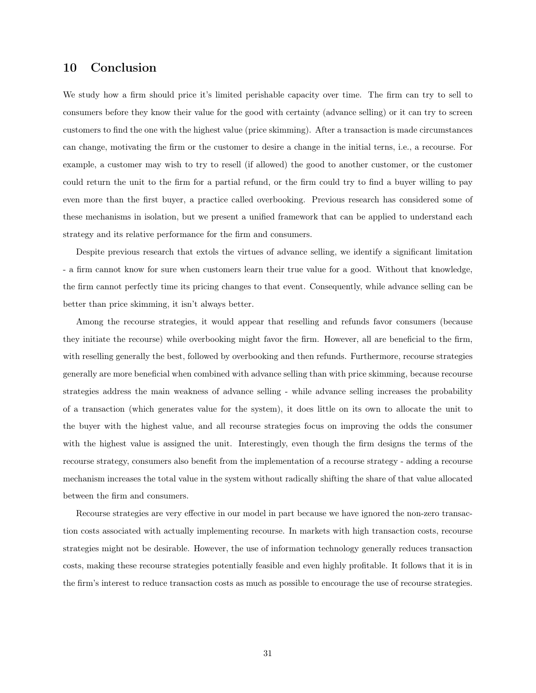### 10 Conclusion

We study how a firm should price it's limited perishable capacity over time. The firm can try to sell to consumers before they know their value for the good with certainty (advance selling) or it can try to screen customers to find the one with the highest value (price skimming). After a transaction is made circumstances can change, motivating the firm or the customer to desire a change in the initial terns, i.e., a recourse. For example, a customer may wish to try to resell (if allowed) the good to another customer, or the customer could return the unit to the firm for a partial refund, or the firm could try to find a buyer willing to pay even more than the first buyer, a practice called overbooking. Previous research has considered some of these mechanisms in isolation, but we present a unified framework that can be applied to understand each strategy and its relative performance for the firm and consumers.

Despite previous research that extols the virtues of advance selling, we identify a significant limitation - a firm cannot know for sure when customers learn their true value for a good. Without that knowledge, the firm cannot perfectly time its pricing changes to that event. Consequently, while advance selling can be better than price skimming, it isn't always better.

Among the recourse strategies, it would appear that reselling and refunds favor consumers (because they initiate the recourse) while overbooking might favor the firm. However, all are beneficial to the firm, with reselling generally the best, followed by overbooking and then refunds. Furthermore, recourse strategies generally are more beneficial when combined with advance selling than with price skimming, because recourse strategies address the main weakness of advance selling - while advance selling increases the probability of a transaction (which generates value for the system), it does little on its own to allocate the unit to the buyer with the highest value, and all recourse strategies focus on improving the odds the consumer with the highest value is assigned the unit. Interestingly, even though the firm designs the terms of the recourse strategy, consumers also benefit from the implementation of a recourse strategy - adding a recourse mechanism increases the total value in the system without radically shifting the share of that value allocated between the firm and consumers.

Recourse strategies are very effective in our model in part because we have ignored the non-zero transaction costs associated with actually implementing recourse. In markets with high transaction costs, recourse strategies might not be desirable. However, the use of information technology generally reduces transaction costs, making these recourse strategies potentially feasible and even highly profitable. It follows that it is in the firm's interest to reduce transaction costs as much as possible to encourage the use of recourse strategies.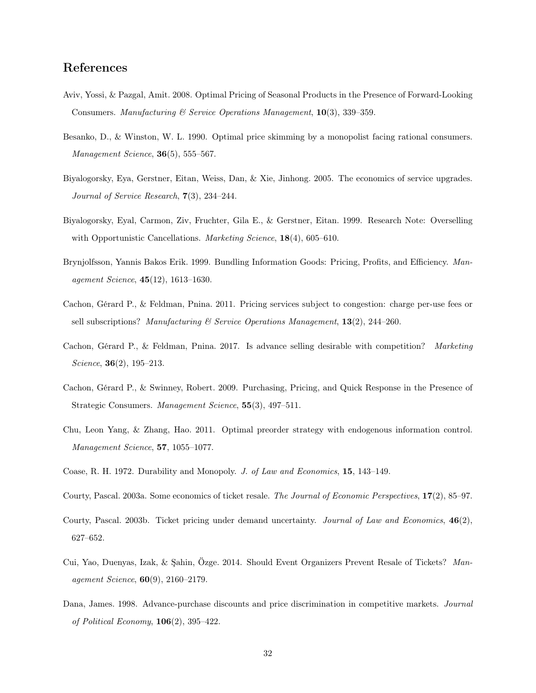## References

- Aviv, Yossi, & Pazgal, Amit. 2008. Optimal Pricing of Seasonal Products in the Presence of Forward-Looking Consumers. Manufacturing  $\mathscr B$  Service Operations Management,  $\mathbf{10}(3)$ , 339–359.
- Besanko, D., & Winston, W. L. 1990. Optimal price skimming by a monopolist facing rational consumers. Management Science, 36(5), 555-567.
- Biyalogorsky, Eya, Gerstner, Eitan, Weiss, Dan, & Xie, Jinhong. 2005. The economics of service upgrades. Journal of Service Research, 7(3), 234–244.
- Biyalogorsky, Eyal, Carmon, Ziv, Fruchter, Gila E., & Gerstner, Eitan. 1999. Research Note: Overselling with Opportunistic Cancellations. Marketing Science, 18(4), 605–610.
- Brynjolfsson, Yannis Bakos Erik. 1999. Bundling Information Goods: Pricing, Profits, and Efficiency. Management Science, 45(12), 1613–1630.
- Cachon, Gérard P., & Feldman, Pnina. 2011. Pricing services subject to congestion: charge per-use fees or sell subscriptions? Manufacturing  $\mathcal B$  Service Operations Management, 13(2), 244–260.
- Cachon, Gérard P., & Feldman, Pnina. 2017. Is advance selling desirable with competition? Marketing Science, **36**(2), 195-213.
- Cachon, Gérard P., & Swinney, Robert. 2009. Purchasing, Pricing, and Quick Response in the Presence of Strategic Consumers. Management Science, 55(3), 497–511.
- Chu, Leon Yang, & Zhang, Hao. 2011. Optimal preorder strategy with endogenous information control. Management Science, 57, 1055–1077.
- Coase, R. H. 1972. Durability and Monopoly. J. of Law and Economics, 15, 143–149.
- Courty, Pascal. 2003a. Some economics of ticket resale. The Journal of Economic Perspectives, 17(2), 85–97.
- Courty, Pascal. 2003b. Ticket pricing under demand uncertainty. Journal of Law and Economics, 46(2), 627–652.
- Cui, Yao, Duenyas, Izak, & Şahin, Özge. 2014. Should Event Organizers Prevent Resale of Tickets? Management Science, 60(9), 2160–2179.
- Dana, James. 1998. Advance-purchase discounts and price discrimination in competitive markets. Journal of Political Economy, 106(2), 395–422.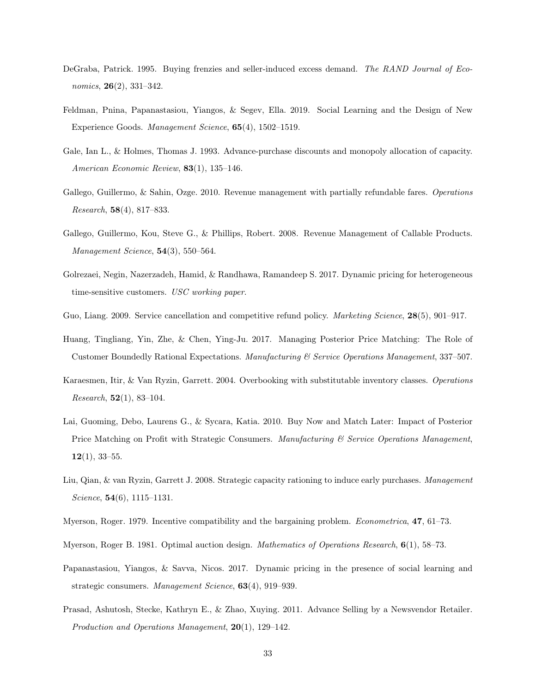- DeGraba, Patrick. 1995. Buying frenzies and seller-induced excess demand. The RAND Journal of Economics, 26(2), 331–342.
- Feldman, Pnina, Papanastasiou, Yiangos, & Segev, Ella. 2019. Social Learning and the Design of New Experience Goods. Management Science, 65(4), 1502–1519.
- Gale, Ian L., & Holmes, Thomas J. 1993. Advance-purchase discounts and monopoly allocation of capacity. American Economic Review, 83(1), 135–146.
- Gallego, Guillermo, & Sahin, Ozge. 2010. Revenue management with partially refundable fares. Operations *Research*,  $58(4)$ ,  $817-833$ .
- Gallego, Guillermo, Kou, Steve G., & Phillips, Robert. 2008. Revenue Management of Callable Products. Management Science, 54(3), 550–564.
- Golrezaei, Negin, Nazerzadeh, Hamid, & Randhawa, Ramandeep S. 2017. Dynamic pricing for heterogeneous time-sensitive customers. USC working paper.
- Guo, Liang. 2009. Service cancellation and competitive refund policy. *Marketing Science*, **28**(5), 901–917.
- Huang, Tingliang, Yin, Zhe, & Chen, Ying-Ju. 2017. Managing Posterior Price Matching: The Role of Customer Boundedly Rational Expectations. Manufacturing & Service Operations Management, 337–507.
- Karaesmen, Itir, & Van Ryzin, Garrett. 2004. Overbooking with substitutable inventory classes. Operations Research,  $52(1)$ , 83-104.
- Lai, Guoming, Debo, Laurens G., & Sycara, Katia. 2010. Buy Now and Match Later: Impact of Posterior Price Matching on Profit with Strategic Consumers. Manufacturing & Service Operations Management,  $12(1), 33-55.$
- Liu, Qian, & van Ryzin, Garrett J. 2008. Strategic capacity rationing to induce early purchases. Management Science, 54(6), 1115–1131.
- Myerson, Roger. 1979. Incentive compatibility and the bargaining problem. *Econometrica*, **47**, 61–73.
- Myerson, Roger B. 1981. Optimal auction design. Mathematics of Operations Research, 6(1), 58–73.
- Papanastasiou, Yiangos, & Savva, Nicos. 2017. Dynamic pricing in the presence of social learning and strategic consumers. Management Science, 63(4), 919–939.
- Prasad, Ashutosh, Stecke, Kathryn E., & Zhao, Xuying. 2011. Advance Selling by a Newsvendor Retailer. Production and Operations Management, 20(1), 129–142.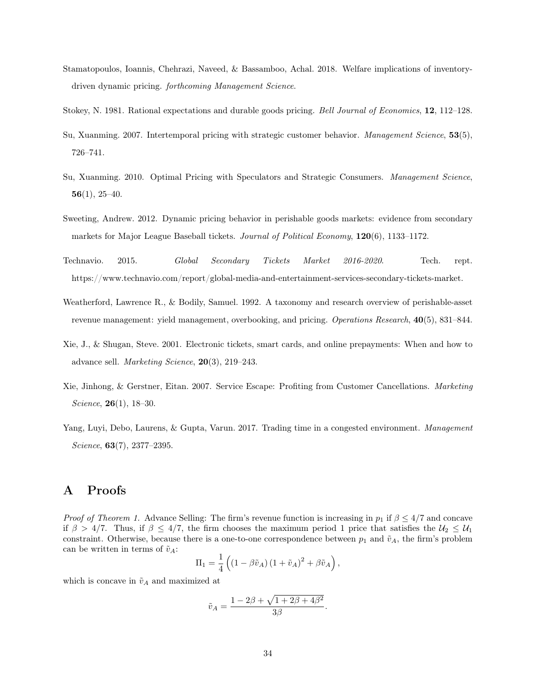- Stamatopoulos, Ioannis, Chehrazi, Naveed, & Bassamboo, Achal. 2018. Welfare implications of inventorydriven dynamic pricing. forthcoming Management Science.
- Stokey, N. 1981. Rational expectations and durable goods pricing. Bell Journal of Economics, 12, 112–128.
- Su, Xuanming. 2007. Intertemporal pricing with strategic customer behavior. Management Science, 53(5), 726–741.
- Su, Xuanming. 2010. Optimal Pricing with Speculators and Strategic Consumers. Management Science, 56 $(1), 25-40.$
- Sweeting, Andrew. 2012. Dynamic pricing behavior in perishable goods markets: evidence from secondary markets for Major League Baseball tickets. Journal of Political Economy, 120(6), 1133-1172.
- Technavio. 2015. Global Secondary Tickets Market 2016-2020. Tech. rept. https://www.technavio.com/report/global-media-and-entertainment-services-secondary-tickets-market.
- Weatherford, Lawrence R., & Bodily, Samuel. 1992. A taxonomy and research overview of perishable-asset revenue management: yield management, overbooking, and pricing. Operations Research, 40(5), 831–844.
- Xie, J., & Shugan, Steve. 2001. Electronic tickets, smart cards, and online prepayments: When and how to advance sell. Marketing Science, 20(3), 219–243.
- Xie, Jinhong, & Gerstner, Eitan. 2007. Service Escape: Profiting from Customer Cancellations. Marketing Science, 26(1), 18–30.
- Yang, Luyi, Debo, Laurens, & Gupta, Varun. 2017. Trading time in a congested environment. Management Science, 63(7), 2377–2395.

# A Proofs

*Proof of Theorem 1.* Advance Selling: The firm's revenue function is increasing in  $p_1$  if  $\beta \leq 4/7$  and concave if  $\beta > 4/7$ . Thus, if  $\beta \leq 4/7$ , the firm chooses the maximum period 1 price that satisfies the  $U_2 \leq U_1$ constraint. Otherwise, because there is a one-to-one correspondence between  $p_1$  and  $\tilde{v}_A$ , the firm's problem can be written in terms of  $\tilde{v}_A$ :

$$
\Pi_1 = \frac{1}{4} \left( \left( 1 - \beta \tilde{v}_A \right) \left( 1 + \tilde{v}_A \right)^2 + \beta \tilde{v}_A \right),
$$

which is concave in  $\tilde{v}_A$  and maximized at

$$
\tilde{v}_A = \frac{1 - 2\beta + \sqrt{1 + 2\beta + 4\beta^2}}{3\beta}.
$$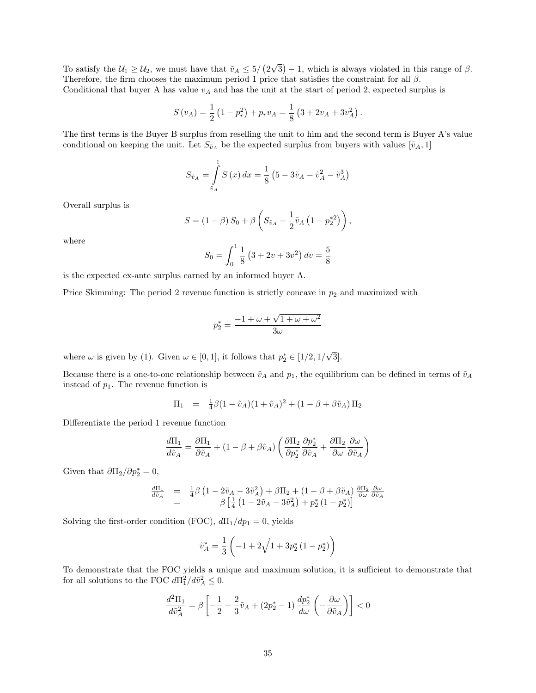To satisfy the  $\mathcal{U}_1 \geq \mathcal{U}_2$ , we must have that  $\tilde{v}_A \leq 5/2$ √  $\overline{3}$ ) – 1, which is always violated in this range of  $\beta$ . Therefore, the firm chooses the maximum period 1 price that satisfies the constraint for all  $\beta$ . Conditional that buyer A has value  $v_A$  and has the unit at the start of period 2, expected surplus is

$$
S(v_A) = \frac{1}{2} (1 - p_r^2) + p_r v_A = \frac{1}{8} (3 + 2v_A + 3v_A^2)
$$

.

The first terms is the Buyer B surplus from reselling the unit to him and the second term is Buyer A's value conditional on keeping the unit. Let  $S_{\tilde{v}_A}$  be the expected surplus from buyers with values  $[\tilde{v}_A, 1]$ 

$$
S_{\tilde{v}_A} = \int\limits_{\tilde{v}_A}^1 S(x) \, dx = \frac{1}{8} \left( 5 - 3\tilde{v}_A - \tilde{v}_A^2 - \tilde{v}_A^3 \right)
$$

Overall surplus is

$$
S = (1 - \beta) S_0 + \beta \left( S_{\tilde{v}_A} + \frac{1}{2} \tilde{v}_A (1 - p_2^{*2}) \right),
$$

where

$$
S_0 = \int_0^1 \frac{1}{8} (3 + 2v + 3v^2) dv = \frac{5}{8}
$$

is the expected ex-ante surplus earned by an informed buyer A.

Price Skimming: The period 2 revenue function is strictly concave in  $p_2$  and maximized with

$$
p_2^* = \frac{-1 + \omega + \sqrt{1 + \omega + \omega^2}}{3\omega}
$$

where  $\omega$  is given by (1). Given  $\omega \in [0,1]$ , it follows that  $p_2^* \in [1/2,1/2]$ √ 3].

Because there is a one-to-one relationship between  $\tilde{v}_A$  and  $p_1$ , the equilibrium can be defined in terms of  $\tilde{v}_A$ instead of  $p_1$ . The revenue function is

$$
\Pi_1 \;\; = \;\; \tfrac{1}{4}\beta(1-\tilde{v}_A)(1+\tilde{v}_A)^2 + (1-\beta+\beta \tilde{v}_A)\,\Pi_2
$$

Differentiate the period 1 revenue function

$$
\frac{d\Pi_1}{d\tilde{v}_A} = \frac{\partial \Pi_1}{\partial \tilde{v}_A} + (1 - \beta + \beta \tilde{v}_A) \left( \frac{\partial \Pi_2}{\partial p_2^*} \frac{\partial p_2^*}{\partial \tilde{v}_A} + \frac{\partial \Pi_2}{\partial \omega} \frac{\partial \omega}{\partial \tilde{v}_A} \right)
$$

Given that  $\partial \Pi_2 / \partial p_2^* = 0$ ,

$$
\begin{array}{rcl}\n\frac{d\Pi_1}{d\tilde{v}_A} &=& \frac{1}{4}\beta \left(1 - 2\tilde{v}_A - 3\tilde{v}_A^2\right) + \beta \Pi_2 + \left(1 - \beta + \beta \tilde{v}_A\right) \frac{\partial \Pi_2}{\partial \omega} \frac{\partial \omega}{\partial \tilde{v}_A} \\
&=& \beta \left[\frac{1}{4} \left(1 - 2\tilde{v}_A - 3\tilde{v}_A^2\right) + p_2^*(1 - p_2^*)\right]\n\end{array}
$$

Solving the first-order condition (FOC),  $d\Pi_1/dp_1 = 0$ , yields

$$
\tilde{v}_A^* = \frac{1}{3} \left( -1 + 2\sqrt{1 + 3p_2^* \left(1 - p_2^* \right)} \right)
$$

To demonstrate that the FOC yields a unique and maximum solution, it is sufficient to demonstrate that for all solutions to the FOC  $d\Pi_1^2/d\tilde{v}_A^2 \leq 0$ .

$$
\frac{d^2\Pi_1}{d\tilde{v}_A^2} = \beta \left[ -\frac{1}{2} - \frac{2}{3}\tilde{v}_A + (2p_2^* - 1)\frac{dp_2^*}{d\omega} \left( -\frac{\partial \omega}{\partial \tilde{v}_A} \right) \right] < 0
$$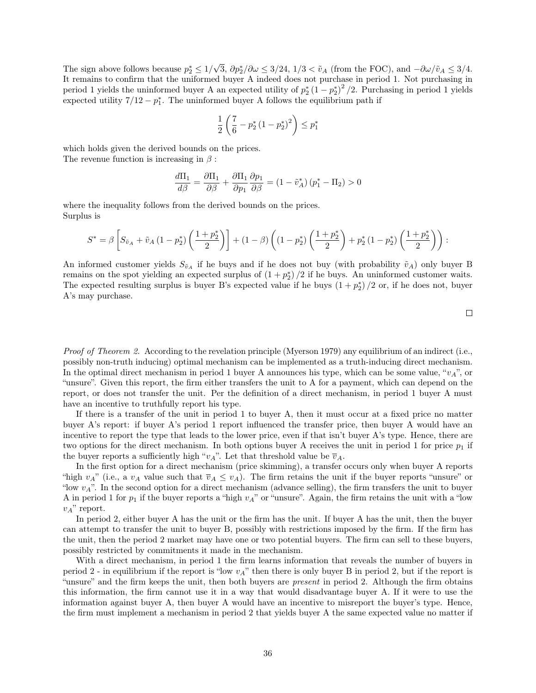The sign above follows because  $p_2^* \leq 1/4$  $\sqrt{3}$ ,  $\partial p_2^* / \partial \omega \leq 3/24$ , 1/3 <  $\tilde{v}_A$  (from the FOC), and  $-\partial \omega / \tilde{v}_A \leq 3/4$ . It remains to confirm that the uniformed buyer A indeed does not purchase in period 1. Not purchasing in period 1 yields the uninformed buyer A an expected utility of  $p_2^*(1-p_2^*)^2/2$ . Purchasing in period 1 yields expected utility  $7/12 - p_1^*$ . The uninformed buyer A follows the equilibrium path if

$$
\frac{1}{2} \left( \frac{7}{6} - p_2^* \left( 1 - p_2^* \right)^2 \right) \le p_1^*
$$

which holds given the derived bounds on the prices. The revenue function is increasing in  $\beta$ :

$$
\frac{d\Pi_1}{d\beta} = \frac{\partial \Pi_1}{\partial \beta} + \frac{\partial \Pi_1}{\partial p_1} \frac{\partial p_1}{\partial \beta} = (1 - \tilde{v}_A^*) (p_1^* - \Pi_2) > 0
$$

where the inequality follows from the derived bounds on the prices. Surplus is

$$
S^* = \beta \left[ S_{\tilde{v}_A} + \tilde{v}_A \left( 1 - p_2^* \right) \left( \frac{1 + p_2^*}{2} \right) \right] + (1 - \beta) \left( (1 - p_2^*) \left( \frac{1 + p_2^*}{2} \right) + p_2^* \left( 1 - p_2^* \right) \left( \frac{1 + p_2^*}{2} \right) \right) :
$$

An informed customer yields  $S_{\tilde{v}_A}$  if he buys and if he does not buy (with probability  $\tilde{v}_A$ ) only buyer B remains on the spot yielding an expected surplus of  $(1+p_2^*)/2$  if he buys. An uninformed customer waits. The expected resulting surplus is buyer B's expected value if he buys  $(1+p_2^*)/2$  or, if he does not, buyer A's may purchase.

 $\Box$ 

Proof of Theorem 2. According to the revelation principle (Myerson 1979) any equilibrium of an indirect (i.e., possibly non-truth inducing) optimal mechanism can be implemented as a truth-inducing direct mechanism. In the optimal direct mechanism in period 1 buyer A announces his type, which can be some value, " $v_A$ ", or "unsure". Given this report, the firm either transfers the unit to A for a payment, which can depend on the report, or does not transfer the unit. Per the definition of a direct mechanism, in period 1 buyer A must have an incentive to truthfully report his type.

If there is a transfer of the unit in period 1 to buyer A, then it must occur at a fixed price no matter buyer A's report: if buyer A's period 1 report influenced the transfer price, then buyer A would have an incentive to report the type that leads to the lower price, even if that isn't buyer A's type. Hence, there are two options for the direct mechanism. In both options buyer A receives the unit in period 1 for price  $p_1$  if the buyer reports a sufficiently high " $v_A$ ". Let that threshold value be  $\overline{v}_A$ .

In the first option for a direct mechanism (price skimming), a transfer occurs only when buyer A reports "high  $v_A$ " (i.e., a  $v_A$  value such that  $\overline{v}_A \leq v_A$ ). The firm retains the unit if the buyer reports "unsure" or "low  $v_A$ ". In the second option for a direct mechanism (advance selling), the firm transfers the unit to buyer A in period 1 for  $p_1$  if the buyer reports a "high  $v_A$ " or "unsure". Again, the firm retains the unit with a "low  $v_A$ " report.

In period 2, either buyer A has the unit or the firm has the unit. If buyer A has the unit, then the buyer can attempt to transfer the unit to buyer B, possibly with restrictions imposed by the firm. If the firm has the unit, then the period 2 market may have one or two potential buyers. The firm can sell to these buyers, possibly restricted by commitments it made in the mechanism.

With a direct mechanism, in period 1 the firm learns information that reveals the number of buyers in period 2 - in equilibrium if the report is "low  $v_A$ " then there is only buyer B in period 2, but if the report is "unsure" and the firm keeps the unit, then both buyers are present in period 2. Although the firm obtains this information, the firm cannot use it in a way that would disadvantage buyer A. If it were to use the information against buyer A, then buyer A would have an incentive to misreport the buyer's type. Hence, the firm must implement a mechanism in period 2 that yields buyer A the same expected value no matter if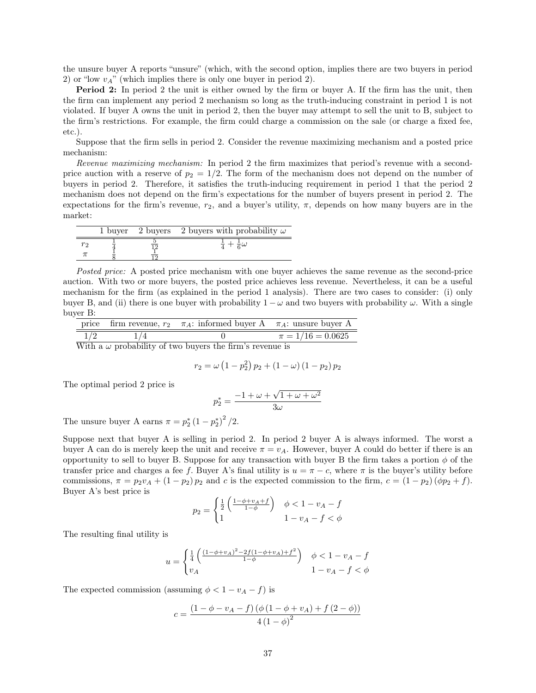the unsure buyer A reports "unsure" (which, with the second option, implies there are two buyers in period 2) or "low  $v_A$ " (which implies there is only one buyer in period 2).

Period 2: In period 2 the unit is either owned by the firm or buyer A. If the firm has the unit, then the firm can implement any period 2 mechanism so long as the truth-inducing constraint in period 1 is not violated. If buyer A owns the unit in period 2, then the buyer may attempt to sell the unit to B, subject to the firm's restrictions. For example, the firm could charge a commission on the sale (or charge a fixed fee, etc.).

Suppose that the firm sells in period 2. Consider the revenue maximizing mechanism and a posted price mechanism:

Revenue maximizing mechanism: In period 2 the firm maximizes that period's revenue with a secondprice auction with a reserve of  $p_2 = 1/2$ . The form of the mechanism does not depend on the number of buyers in period 2. Therefore, it satisfies the truth-inducing requirement in period 1 that the period 2 mechanism does not depend on the firm's expectations for the number of buyers present in period 2. The expectations for the firm's revenue,  $r_2$ , and a buyer's utility,  $\pi$ , depends on how many buyers are in the market:

|  | 1 buyer 2 buyers 2 buyers with probability $\omega$ |
|--|-----------------------------------------------------|
|  |                                                     |
|  |                                                     |

Posted price: A posted price mechanism with one buyer achieves the same revenue as the second-price auction. With two or more buyers, the posted price achieves less revenue. Nevertheless, it can be a useful mechanism for the firm (as explained in the period 1 analysis). There are two cases to consider: (i) only buyer B, and (ii) there is one buyer with probability  $1 - \omega$  and two buyers with probability  $\omega$ . With a single buyer B:

|     | price firm revenue, $r_2$ $\pi_A$ : informed buyer A $\pi_A$ : unsure buyer A |                       |
|-----|-------------------------------------------------------------------------------|-----------------------|
| 1/2 |                                                                               | $\pi = 1/16 = 0.0625$ |
|     | With a u probability of two buyors the firm's revenue is                      |                       |

With a  $\omega$  probability of two buyers the firm's revenue is

$$
r_2 = \omega (1 - p_2^2) p_2 + (1 - \omega) (1 - p_2) p_2
$$

The optimal period 2 price is

$$
p_2^* = \frac{-1 + \omega + \sqrt{1 + \omega + \omega^2}}{3\omega}
$$

The unsure buyer A earns  $\pi = p_2^* (1 - p_2^*)^2 / 2$ .

Suppose next that buyer A is selling in period 2. In period 2 buyer A is always informed. The worst a buyer A can do is merely keep the unit and receive  $\pi = v_A$ . However, buyer A could do better if there is an opportunity to sell to buyer B. Suppose for any transaction with buyer B the firm takes a portion  $\phi$  of the transfer price and charges a fee f. Buyer A's final utility is  $u = \pi - c$ , where  $\pi$  is the buyer's utility before commissions,  $\pi = p_2v_A + (1-p_2)p_2$  and c is the expected commission to the firm,  $c = (1-p_2)(\phi p_2 + f)$ . Buyer A's best price is

$$
p_2 = \begin{cases} \frac{1}{2} \left( \frac{1 - \phi + v_A + f}{1 - \phi} \right) & \phi < 1 - v_A - f \\ 1 & 1 - v_A - f < \phi \end{cases}
$$

The resulting final utility is

$$
u=\begin{cases}\frac{1}{4}\left(\frac{\left(1-\phi+v_A\right)^2-2f(1-\phi+v_A)+f^2}{1-\phi}\right) & \phi<1-v_A-f\\ v_A & 1-v_A-f<\phi\end{cases}
$$

The expected commission (assuming  $\phi < 1 - v_A - f$ ) is

$$
c = \frac{(1 - \phi - v_A - f) (\phi (1 - \phi + v_A) + f (2 - \phi))}{4 (1 - \phi)^2}
$$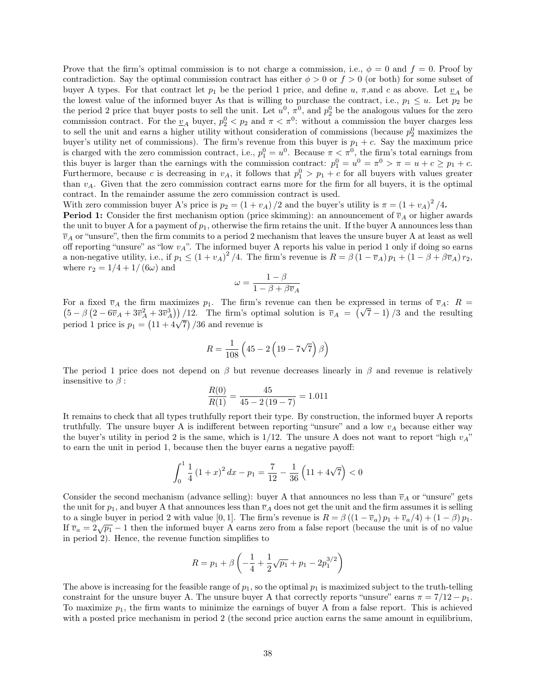Prove that the firm's optimal commission is to not charge a commission, i.e.,  $\phi = 0$  and  $f = 0$ . Proof by contradiction. Say the optimal commission contract has either  $\phi > 0$  or  $f > 0$  (or both) for some subset of buyer A types. For that contract let  $p_1$  be the period 1 price, and define u,  $\pi$ , and c as above. Let  $\underline{v}_A$  be the lowest value of the informed buyer As that is willing to purchase the contract, i.e.,  $p_1 \leq u$ . Let  $p_2$  be the period 2 price that buyer posts to sell the unit. Let  $u^0$ ,  $\pi^0$ , and  $p_2^0$  be the analogous values for the zero commission contract. For the  $\underline{v}_A$  buyer,  $p_2^0 < p_2$  and  $\pi < \pi^0$ : without a commission the buyer charges less to sell the unit and earns a higher utility without consideration of commissions (because  $p_2^0$  maximizes the buyer's utility net of commissions). The firm's revenue from this buyer is  $p_1 + c$ . Say the maximum price is charged with the zero commission contract, i.e.,  $p_1^0 = u^0$ . Because  $\pi < \pi^0$ , the firm's total earnings from this buyer is larger than the earnings with the commission contract:  $p_1^0 = u^0 = \pi^0 > \pi = u + c \ge p_1 + c$ . Furthermore, because c is decreasing in  $v_A$ , it follows that  $p_1^0 > p_1 + c$  for all buyers with values greater than  $v_A$ . Given that the zero commission contract earns more for the firm for all buyers, it is the optimal contract. In the remainder assume the zero commission contract is used.

With zero commission buyer A's price is  $p_2 = (1 + v_A)/2$  and the buyer's utility is  $\pi = (1 + v_A)^2/4$ .

**Period 1:** Consider the first mechanism option (price skimming): an announcement of  $\bar{v}_A$  or higher awards the unit to buyer A for a payment of  $p_1$ , otherwise the firm retains the unit. If the buyer A announces less than  $\overline{v}_A$  or "unsure", then the firm commits to a period 2 mechanism that leaves the unsure buyer A at least as well off reporting "unsure" as "low  $v_A$ ". The informed buyer A reports his value in period 1 only if doing so earns a non-negative utility, i.e., if  $p_1 \leq (1 + v_A)^2/4$ . The firm's revenue is  $R = \beta (1 - \overline{v}_A) p_1 + (1 - \beta + \beta \overline{v}_A) r_2$ , where  $r_2 = 1/4 + 1/(6\omega)$  and

$$
\omega = \frac{1 - \beta}{1 - \beta + \beta \overline{v}_A}
$$

For a fixed  $\bar{v}_A$  the firm maximizes  $p_1$ . The firm's revenue can then be expressed in terms of  $\bar{v}_A$ :  $R =$ For a fixed  $v_A$  the firm maximizes  $p_1$ . The firm's revenue can then be expressed in terms of  $v_A$ :  $\kappa = (5 - \beta (2 - 6\overline{v}_A + 3\overline{v}_A^2 + 3\overline{v}_A^3)) / 12$ . The firm's optimal solution is  $\overline{v}_A = (\sqrt{7} - 1)/3$  and the resul period 1 price is  $p_1 = (11 + 4\sqrt{7})/36$  and revenue is

$$
R = \frac{1}{108} \left( 45 - 2 \left( 19 - 7\sqrt{7} \right) \beta \right)
$$

The period 1 price does not depend on  $\beta$  but revenue decreases linearly in  $\beta$  and revenue is relatively insensitive to  $\beta$  :

$$
\frac{R(0)}{R(1)} = \frac{45}{45 - 2(19 - 7)} = 1.011
$$

It remains to check that all types truthfully report their type. By construction, the informed buyer A reports truthfully. The unsure buyer A is indifferent between reporting "unsure" and a low  $v_A$  because either way the buyer's utility in period 2 is the same, which is  $1/12$ . The unsure A does not want to report "high  $v_A$ " to earn the unit in period 1, because then the buyer earns a negative payoff:

$$
\int_0^1 \frac{1}{4} (1+x)^2 dx - p_1 = \frac{7}{12} - \frac{1}{36} \left( 11 + 4\sqrt{7} \right) < 0
$$

Consider the second mechanism (advance selling): buyer A that announces no less than  $\bar{v}_A$  or "unsure" gets the unit for  $p_1$ , and buyer A that announces less than  $\overline{v}_A$  does not get the unit and the firm assumes it is selling to a single buyer in period 2 with value [0, 1]. The firm's revenue is  $R = \beta ((1 - \overline{v}_a) p_1 + \overline{v}_a/4) + (1 - \beta) p_1$ . If  $\overline{v}_a = 2\sqrt{p_1} - 1$  then the informed buyer A earns zero from a false report (because the unit is of no value in period 2). Hence, the revenue function simplifies to

$$
R = p_1 + \beta \left( -\frac{1}{4} + \frac{1}{2}\sqrt{p_1} + p_1 - 2p_1^{3/2} \right)
$$

The above is increasing for the feasible range of  $p_1$ , so the optimal  $p_1$  is maximized subject to the truth-telling constraint for the unsure buyer A. The unsure buyer A that correctly reports "unsure" earns  $\pi = 7/12 - p_1$ . To maximize  $p_1$ , the firm wants to minimize the earnings of buyer A from a false report. This is achieved with a posted price mechanism in period 2 (the second price auction earns the same amount in equilibrium,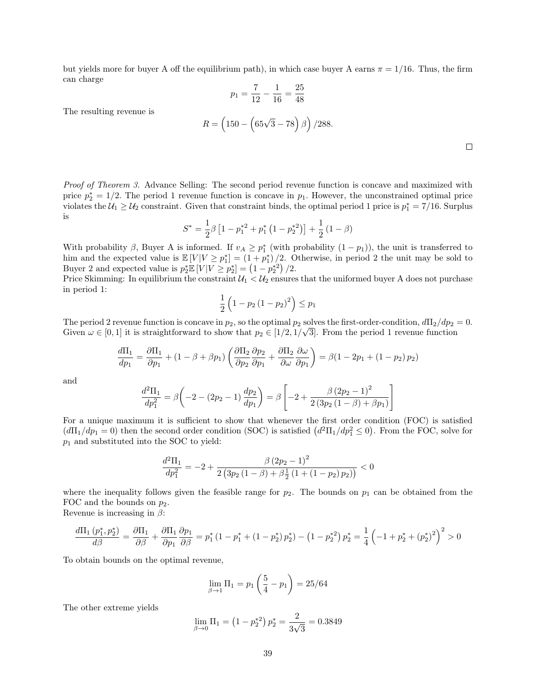but yields more for buyer A off the equilibrium path), in which case buyer A earns  $\pi = 1/16$ . Thus, the firm can charge

$$
p_1 = \frac{7}{12} - \frac{1}{16} = \frac{25}{48}
$$

The resulting revenue is

$$
R = (150 - (65\sqrt{3} - 78) \beta) / 288.
$$

Proof of Theorem 3. Advance Selling: The second period revenue function is concave and maximized with price  $p_2^* = 1/2$ . The period 1 revenue function is concave in  $p_1$ . However, the unconstrained optimal price violates the  $U_1 \geq U_2$  constraint. Given that constraint binds, the optimal period 1 price is  $p_1^* = 7/16$ . Surplus is

$$
S^* = \frac{1}{2}\beta \left[1 - p_1^{*2} + p_1^* \left(1 - p_2^{*2}\right)\right] + \frac{1}{2} \left(1 - \beta\right)
$$

With probability  $\beta$ , Buyer A is informed. If  $v_A \geq p_1^*$  (with probability  $(1-p_1)$ ), the unit is transferred to him and the expected value is  $\mathbb{E}[V|V \geq p_1^*] = (1 + p_1^*)/2$ . Otherwise, in period 2 the unit may be sold to Buyer 2 and expected value is  $p_2^* \mathbb{E}[V|V \geq p_2^*] = (1 - p_2^{*2})/2$ .

Price Skimming: In equilibrium the constraint  $\mathcal{U}_1 \leq \mathcal{U}_2$  ensures that the uniformed buyer A does not purchase in period 1:

$$
\frac{1}{2}\left(1 - p_2\left(1 - p_2\right)^2\right) \le p_1
$$

The period 2 revenue function is concave in  $p_2$ , so the optimal  $p_2$  solves the first-order-condition,  $d\Pi_2/dp_2 = 0$ . Given  $\omega \in [0,1]$  it is straightforward to show that  $p_2 \in [1/2, 1/\sqrt{3}]$ . From the period 1 revenue function

$$
\frac{d\Pi_1}{dp_1} = \frac{\partial \Pi_1}{\partial p_1} + (1 - \beta + \beta p_1) \left( \frac{\partial \Pi_2}{\partial p_2} \frac{\partial p_2}{\partial p_1} + \frac{\partial \Pi_2}{\partial \omega} \frac{\partial \omega}{\partial p_1} \right) = \beta (1 - 2p_1 + (1 - p_2) p_2)
$$

and

$$
\frac{d^2\Pi_1}{dp_1^2} = \beta \left( -2 - (2p_2 - 1) \frac{dp_2}{dp_1} \right) = \beta \left[ -2 + \frac{\beta (2p_2 - 1)^2}{2 (3p_2 (1 - \beta) + \beta p_1)} \right]
$$

For a unique maximum it is sufficient to show that whenever the first order condition (FOC) is satisfied  $(d\Pi_1/dp_1 = 0)$  then the second order condition (SOC) is satisfied  $(d^2\Pi_1/dp_1^2 \le 0)$ . From the FOC, solve for  $p_1$  and substituted into the SOC to yield:

$$
\frac{d^2\Pi_1}{dp_1^2} = -2 + \frac{\beta (2p_2 - 1)^2}{2(3p_2(1 - \beta) + \beta \frac{1}{2}(1 + (1 - p_2)p_2))} < 0
$$

where the inequality follows given the feasible range for  $p_2$ . The bounds on  $p_1$  can be obtained from the FOC and the bounds on  $p_2$ .

Revenue is increasing in  $\beta$ :

$$
\frac{d\Pi_1 (p_1^*, p_2^*)}{d\beta} = \frac{\partial \Pi_1}{\partial \beta} + \frac{\partial \Pi_1}{\partial p_1} \frac{\partial p_1}{\partial \beta} = p_1^* (1 - p_1^* + (1 - p_2^*)) p_2^*) - (1 - p_2^{*2}) p_2^* = \frac{1}{4} \left(-1 + p_2^* + (p_2^*)^2\right)^2 > 0
$$

To obtain bounds on the optimal revenue,

$$
\lim_{\beta \to 1} \Pi_1 = p_1 \left(\frac{5}{4} - p_1\right) = 25/64
$$

The other extreme yields

$$
\lim_{\beta \to 0} \Pi_1 = (1 - p_2^*) p_2^* = \frac{2}{3\sqrt{3}} = 0.3849
$$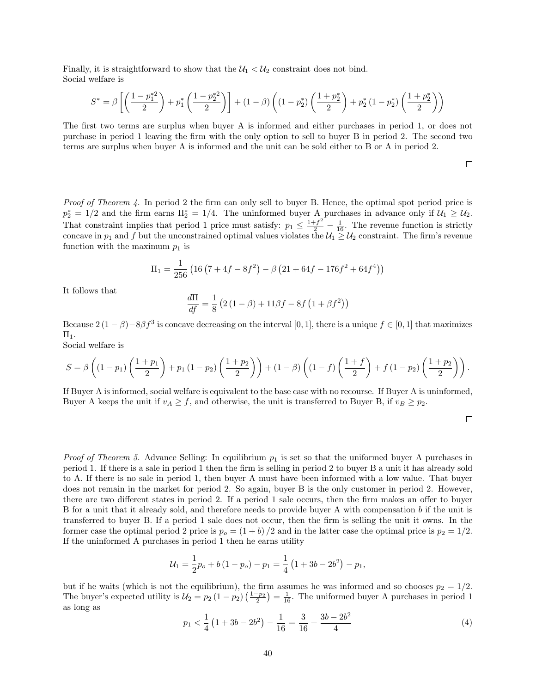Finally, it is straightforward to show that the  $\mathcal{U}_1 < \mathcal{U}_2$  constraint does not bind. Social welfare is

$$
S^* = \beta \left[ \left( \frac{1 - p_1^*^2}{2} \right) + p_1^* \left( \frac{1 - p_2^*^2}{2} \right) \right] + (1 - \beta) \left( (1 - p_2^*) \left( \frac{1 + p_2^*}{2} \right) + p_2^* \left( 1 - p_2^* \right) \left( \frac{1 + p_2^*}{2} \right) \right)
$$

The first two terms are surplus when buyer A is informed and either purchases in period 1, or does not purchase in period 1 leaving the firm with the only option to sell to buyer B in period 2. The second two terms are surplus when buyer A is informed and the unit can be sold either to B or A in period 2.

 $\Box$ 

*Proof of Theorem 4.* In period 2 the firm can only sell to buyer B. Hence, the optimal spot period price is  $p_2^* = 1/2$  and the firm earns  $\Pi_2^* = 1/4$ . The uninformed buyer A purchases in advance only if  $\mathcal{U}_1 \geq \mathcal{U}_2$ . That constraint implies that period 1 price must satisfy:  $p_1 \n\t\leq \frac{1+f^2}{2} - \frac{1}{16}$ . The revenue function is strictly concave in  $p_1$  and f but the unconstrained optimal values violates the  $\mathcal{U}_1 \geq \mathcal{U}_2$  constraint. The firm's revenue function with the maximum  $p_1$  is

$$
\Pi_1 = \frac{1}{256} \left( 16 \left( 7 + 4f - 8f^2 \right) - \beta \left( 21 + 64f - 176f^2 + 64f^4 \right) \right)
$$

It follows that

$$
\frac{d\Pi}{df} = \frac{1}{8} (2 (1 - \beta) + 11 \beta f - 8f (1 + \beta f^{2}))
$$

Because  $2(1-\beta)-8\beta f^3$  is concave decreasing on the interval [0, 1], there is a unique  $f \in [0,1]$  that maximizes  $\Pi_1$ .

Social welfare is

$$
S = \beta \left( (1 - p_1) \left( \frac{1 + p_1}{2} \right) + p_1 (1 - p_2) \left( \frac{1 + p_2}{2} \right) \right) + (1 - \beta) \left( (1 - f) \left( \frac{1 + f}{2} \right) + f (1 - p_2) \left( \frac{1 + p_2}{2} \right) \right).
$$

If Buyer A is informed, social welfare is equivalent to the base case with no recourse. If Buyer A is uninformed, Buyer A keeps the unit if  $v_A \ge f$ , and otherwise, the unit is transferred to Buyer B, if  $v_B \ge p_2$ .

*Proof of Theorem 5.* Advance Selling: In equilibrium  $p_1$  is set so that the uniformed buyer A purchases in period 1. If there is a sale in period 1 then the firm is selling in period 2 to buyer B a unit it has already sold to A. If there is no sale in period 1, then buyer A must have been informed with a low value. That buyer does not remain in the market for period 2. So again, buyer B is the only customer in period 2. However, there are two different states in period 2. If a period 1 sale occurs, then the firm makes an offer to buyer B for a unit that it already sold, and therefore needs to provide buyer A with compensation b if the unit is transferred to buyer B. If a period 1 sale does not occur, then the firm is selling the unit it owns. In the former case the optimal period 2 price is  $p_o = (1 + b)/2$  and in the latter case the optimal price is  $p_2 = 1/2$ . If the uninformed A purchases in period 1 then he earns utility

$$
U_1 = \frac{1}{2}p_o + b(1 - p_o) - p_1 = \frac{1}{4}(1 + 3b - 2b^2) - p_1,
$$

but if he waits (which is not the equilibrium), the firm assumes he was informed and so chooses  $p_2 = 1/2$ . The buyer's expected utility is  $\mathcal{U}_2 = p_2 \left(1 - p_2\right) \left(\frac{1 - p_2}{2}\right) = \frac{1}{16}$ . The uniformed buyer A purchases in period 1 as long as

$$
p_1 < \frac{1}{4} \left( 1 + 3b - 2b^2 \right) - \frac{1}{16} = \frac{3}{16} + \frac{3b - 2b^2}{4} \tag{4}
$$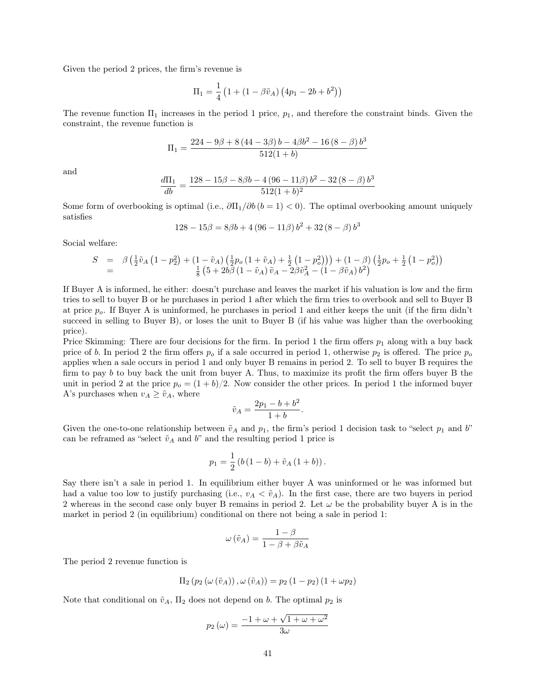Given the period 2 prices, the firm's revenue is

$$
\Pi_1 = \frac{1}{4} \left( 1 + (1 - \beta \tilde{v}_A) \left( 4p_1 - 2b + b^2 \right) \right)
$$

The revenue function  $\Pi_1$  increases in the period 1 price,  $p_1$ , and therefore the constraint binds. Given the constraint, the revenue function is

$$
\Pi_1 = \frac{224 - 9\beta + 8(44 - 3\beta)b - 4\beta b^2 - 16(8 - \beta)b^3}{512(1 + b)}
$$

and

$$
\frac{d\Pi_1}{db} = \frac{128 - 15\beta - 8\beta b - 4(96 - 11\beta)b^2 - 32(8 - \beta)b^3}{512(1 + b)^2}
$$

Some form of overbooking is optimal (i.e.,  $\partial \Pi_1/\partial b$  ( $b = 1$ ) < 0). The optimal overbooking amount uniquely satisfies

$$
128 - 15\beta = 8\beta b + 4(96 - 11\beta) b2 + 32(8 - \beta) b3
$$

Social welfare:

$$
S = \beta \left( \frac{1}{2} \tilde{v}_A \left( 1 - p_2^2 \right) + \left( 1 - \tilde{v}_A \right) \left( \frac{1}{2} p_o \left( 1 + \tilde{v}_A \right) + \frac{1}{2} \left( 1 - p_o^2 \right) \right) \right) + \left( 1 - \beta \right) \left( \frac{1}{2} p_o + \frac{1}{2} \left( 1 - p_o^2 \right) \right) = \frac{1}{8} \left( 5 + 2b\beta \left( 1 - \tilde{v}_A \right) \tilde{v}_A - 2\beta \tilde{v}_A^2 - \left( 1 - \beta \tilde{v}_A \right) b^2 \right)
$$

If Buyer A is informed, he either: doesn't purchase and leaves the market if his valuation is low and the firm tries to sell to buyer B or he purchases in period 1 after which the firm tries to overbook and sell to Buyer B at price  $p_o$ . If Buyer A is uninformed, he purchases in period 1 and either keeps the unit (if the firm didn't succeed in selling to Buyer B), or loses the unit to Buyer B (if his value was higher than the overbooking price).

Price Skimming: There are four decisions for the firm. In period 1 the firm offers  $p_1$  along with a buy back price of b. In period 2 the firm offers  $p_o$  if a sale occurred in period 1, otherwise  $p_2$  is offered. The price  $p_o$ applies when a sale occurs in period 1 and only buyer B remains in period 2. To sell to buyer B requires the firm to pay  $b$  to buy back the unit from buyer A. Thus, to maximize its profit the firm offers buyer B the unit in period 2 at the price  $p_o = (1 + b)/2$ . Now consider the other prices. In period 1 the informed buyer A's purchases when  $v_A \geq \tilde{v}_A$ , where

$$
\tilde{v}_A = \frac{2p_1 - b + b^2}{1 + b}.
$$

Given the one-to-one relationship between  $\tilde{v}_A$  and  $p_1$ , the firm's period 1 decision task to "select  $p_1$  and b" can be reframed as "select  $\tilde{v}_A$  and b" and the resulting period 1 price is

$$
p_1 = \frac{1}{2} (b (1 - b) + \tilde{v}_A (1 + b)).
$$

Say there isn't a sale in period 1. In equilibrium either buyer A was uninformed or he was informed but had a value too low to justify purchasing (i.e.,  $v_A < \tilde{v}_A$ ). In the first case, there are two buyers in period 2 whereas in the second case only buyer B remains in period 2. Let  $\omega$  be the probability buyer A is in the market in period 2 (in equilibrium) conditional on there not being a sale in period 1:

$$
\omega\left(\tilde{v}_A\right) = \frac{1-\beta}{1-\beta+\beta\tilde{v}_A}
$$

The period 2 revenue function is

$$
\Pi_2 (p_2 (\omega (\tilde{v}_A)), \omega (\tilde{v}_A)) = p_2 (1 - p_2) (1 + \omega p_2)
$$

Note that conditional on  $\tilde{v}_A$ ,  $\Pi_2$  does not depend on b. The optimal  $p_2$  is

$$
p_2(\omega) = \frac{-1 + \omega + \sqrt{1 + \omega + \omega^2}}{3\omega}
$$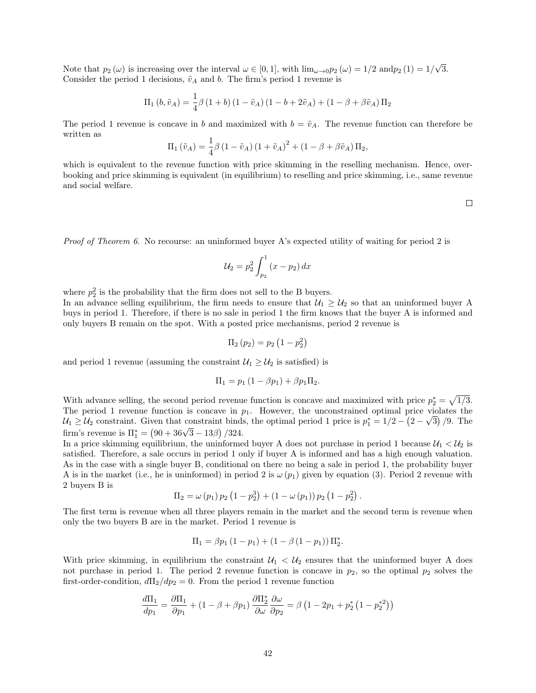Note that  $p_2(\omega)$  is increasing over the interval  $\omega \in [0,1]$ , with  $\lim_{\omega \to 0} p_2(\omega) = 1/2$  and  $p_2(1) = 1/2$ √ 3. Consider the period 1 decisions,  $\tilde{v}_A$  and b. The firm's period 1 revenue is

$$
\Pi_1 (b, \tilde{v}_A) = \frac{1}{4}\beta (1+b) (1-\tilde{v}_A) (1-b+2\tilde{v}_A) + (1-\beta+\beta\tilde{v}_A) \Pi_2
$$

The period 1 revenue is concave in b and maximized with  $b = \tilde{v}_A$ . The revenue function can therefore be written as

$$
\Pi_1 (\tilde{v}_A) = \frac{1}{4}\beta (1 - \tilde{v}_A) (1 + \tilde{v}_A)^2 + (1 - \beta + \beta \tilde{v}_A) \Pi_2,
$$

which is equivalent to the revenue function with price skimming in the reselling mechanism. Hence, overbooking and price skimming is equivalent (in equilibrium) to reselling and price skimming, i.e., same revenue and social welfare.

 $\Box$ 

Proof of Theorem 6. No recourse: an uninformed buyer A's expected utility of waiting for period 2 is

$$
U_2 = p_2^2 \int_{p_2}^1 (x - p_2) \, dx
$$

where  $p_2^2$  is the probability that the firm does not sell to the B buyers.

In an advance selling equilibrium, the firm needs to ensure that  $\mathcal{U}_1 \geq \mathcal{U}_2$  so that an uninformed buyer A buys in period 1. Therefore, if there is no sale in period 1 the firm knows that the buyer A is informed and only buyers B remain on the spot. With a posted price mechanisms, period 2 revenue is

$$
\Pi_2(p_2) = p_2 \left(1 - p_2^2\right)
$$

and period 1 revenue (assuming the constraint  $\mathcal{U}_1 \geq \mathcal{U}_2$  is satisfied) is

$$
\Pi_1 = p_1 (1 - \beta p_1) + \beta p_1 \Pi_2.
$$

With advance selling, the second period revenue function is concave and maximized with price  $p_2^* = \sqrt{1/3}$ . The period 1 revenue function is concave in  $p_1$ . However, the unconstrained optimal price violates the  $U_1 \geq U_2$  constraint. Given that constraint binds, the optimal period 1 price is  $p_1^* = 1/2 - (2 - \sqrt{3})/9$ . The  $m_1 \ge m_2$  constraint. Given that constraint binds<br>firm's revenue is  $\Pi_1^* = (90 + 36\sqrt{3} - 13\beta)/324$ .

In a price skimming equilibrium, the uninformed buyer A does not purchase in period 1 because  $U_1 < U_2$  is satisfied. Therefore, a sale occurs in period 1 only if buyer A is informed and has a high enough valuation. As in the case with a single buyer B, conditional on there no being a sale in period 1, the probability buyer A is in the market (i.e., he is uninformed) in period 2 is  $\omega(p_1)$  given by equation (3). Period 2 revenue with 2 buyers B is

$$
\Pi_2 = \omega (p_1) p_2 (1 - p_2^3) + (1 - \omega (p_1)) p_2 (1 - p_2^2).
$$

The first term is revenue when all three players remain in the market and the second term is revenue when only the two buyers B are in the market. Period 1 revenue is

$$
\Pi_1 = \beta p_1 (1 - p_1) + (1 - \beta (1 - p_1)) \Pi_2^*.
$$

With price skimming, in equilibrium the constraint  $\mathcal{U}_1 < \mathcal{U}_2$  ensures that the uninformed buyer A does not purchase in period 1. The period 2 revenue function is concave in  $p_2$ , so the optimal  $p_2$  solves the first-order-condition,  $d\Pi_2/dp_2 = 0$ . From the period 1 revenue function

$$
\frac{d\Pi_1}{dp_1} = \frac{\partial \Pi_1}{\partial p_1} + (1 - \beta + \beta p_1) \frac{\partial \Pi_2^*}{\partial \omega} \frac{\partial \omega}{\partial p_2} = \beta \left( 1 - 2p_1 + p_2^* \left( 1 - p_2^{*2} \right) \right)
$$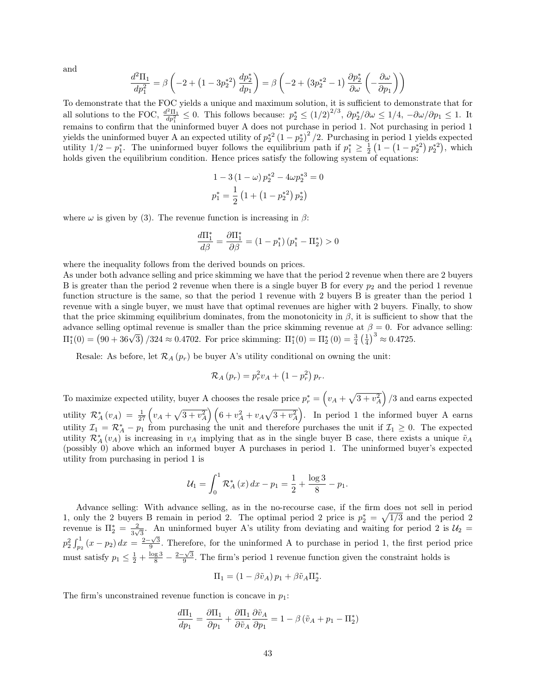and

$$
\frac{d^2\Pi_1}{dp_1^2} = \beta \left(-2 + \left(1 - 3p_2^{*2}\right) \frac{dp_2^*}{dp_1}\right) = \beta \left(-2 + \left(3p_2^{*2} - 1\right) \frac{\partial p_2^*}{\partial \omega} \left(-\frac{\partial \omega}{\partial p_1}\right)\right)
$$

To demonstrate that the FOC yields a unique and maximum solution, it is sufficient to demonstrate that for all solutions to the FOC,  $\frac{d^2\Pi_1}{dp_1^2} \leq 0$ . This follows because:  $p_2^* \leq (1/2)^{2/3}$ ,  $\partial p_2^*/\partial \omega \leq 1/4$ ,  $-\partial \omega/\partial p_1 \leq 1$ . It remains to confirm that the uninformed buyer A does not purchase in period 1. Not purchasing in period 1 yields the uninformed buyer A an expected utility of  $p_2^*^2(1-p_2^*)^2/2$ . Purchasing in period 1 yields expected utility  $1/2 - p_1^*$ . The uninformed buyer follows the equilibrium path if  $p_1^* \geq \frac{1}{2} (1 - (1 - p_2^{*2}) p_2^{*2})$ , which holds given the equilibrium condition. Hence prices satisfy the following system of equations:

$$
1 - 3(1 - \omega) p_2^{*2} - 4\omega p_2^{*3} = 0
$$
  

$$
p_1^* = \frac{1}{2} (1 + (1 - p_2^{*2}) p_2^*)
$$

where  $\omega$  is given by (3). The revenue function is increasing in  $\beta$ :

$$
\frac{d\Pi_1^*}{d\beta} = \frac{\partial \Pi_1^*}{\partial \beta} = (1 - p_1^*) \left( p_1^* - \Pi_2^* \right) > 0
$$

where the inequality follows from the derived bounds on prices.

As under both advance selling and price skimming we have that the period 2 revenue when there are 2 buyers B is greater than the period 2 revenue when there is a single buyer B for every  $p_2$  and the period 1 revenue function structure is the same, so that the period 1 revenue with 2 buyers B is greater than the period 1 revenue with a single buyer, we must have that optimal revenues are higher with 2 buyers. Finally, to show that the price skimming equilibrium dominates, from the monotonicity in  $\beta$ , it is sufficient to show that the advance selling optimal revenue is smaller than the price skimming revenue at  $\beta = 0$ . For advance selling: advance sening optimal revenue is sinaner than the price skimming revenue at  $β = 0$ . For a  $\Pi_1^*(0) = (90 + 36\sqrt{3}) / 324 ≈ 0.4702$ . For price skimming:  $\Pi_1^*(0) = \Pi_2^*(0) = \frac{3}{4} (\frac{1}{4})^3 ≈ 0.4725$ .

Resale: As before, let  $\mathcal{R}_A(p_r)$  be buyer A's utility conditional on owning the unit:

$$
\mathcal{R}_A(p_r) = p_r^2 v_A + \left(1 - p_r^2\right) p_r.
$$

To maximize expected utility, buyer A chooses the resale price  $p_r^* = \left(v_A + \sqrt{3 + v_A^2}\right)/3$  and earns expected utility  $\mathcal{R}^*_A(v_A) = \frac{1}{27} \left( v_A + \sqrt{3 + v_A^2} \right) \left( 6 + v_A^2 + v_A \sqrt{3 + v_A^2} \right)$ . In period 1 the informed buyer A earns utility  $\mathcal{I}_1 = \mathcal{R}^*_A - p_1$  from purchasing the unit and therefore purchases the unit if  $\mathcal{I}_1 \geq 0$ . The expected utility  $\mathcal{R}^*_A(v_A)$  is increasing in  $v_A$  implying that as in the single buyer B case, there exists a unique  $\tilde{v}_A$ (possibly 0) above which an informed buyer A purchases in period 1. The uninformed buyer's expected utility from purchasing in period 1 is

$$
\mathcal{U}_1 = \int_0^1 \mathcal{R}_A^* (x) \, dx - p_1 = \frac{1}{2} + \frac{\log 3}{8} - p_1.
$$

Advance selling: With advance selling, as in the no-recourse case, if the firm does not sell in period 1, only the 2 buyers B remain in period 2. The optimal period 2 price is  $p_2^* = \sqrt{1/3}$  and the period 2 revenue is  $\Pi_2^* = \frac{2}{3}$  $\frac{2}{3\sqrt{3}}$ . An uninformed buyer A's utility from deviating and waiting for period 2 is  $\mathcal{U}_2 =$  $p_2^2 \int_{p_2}^1 (x - p_2) dx = \frac{2 - \sqrt{3}}{9}$ . Therefore, for the uninformed A to purchase in period 1, the first period price must satisfy  $p_1 \leq \frac{1}{2} + \frac{\log 3}{8} - \frac{2-\sqrt{3}}{9}$ . The firm's period 1 revenue function given the constraint holds is

$$
\Pi_1 = (1 - \beta \tilde{v}_A) p_1 + \beta \tilde{v}_A \Pi_2^*.
$$

The firm's unconstrained revenue function is concave in  $p_1$ :

$$
\frac{d\Pi_1}{dp_1} = \frac{\partial \Pi_1}{\partial p_1} + \frac{\partial \Pi_1}{\partial \tilde{v}_A} \frac{\partial \tilde{v}_A}{\partial p_1} = 1 - \beta \left( \tilde{v}_A + p_1 - \Pi_2^* \right)
$$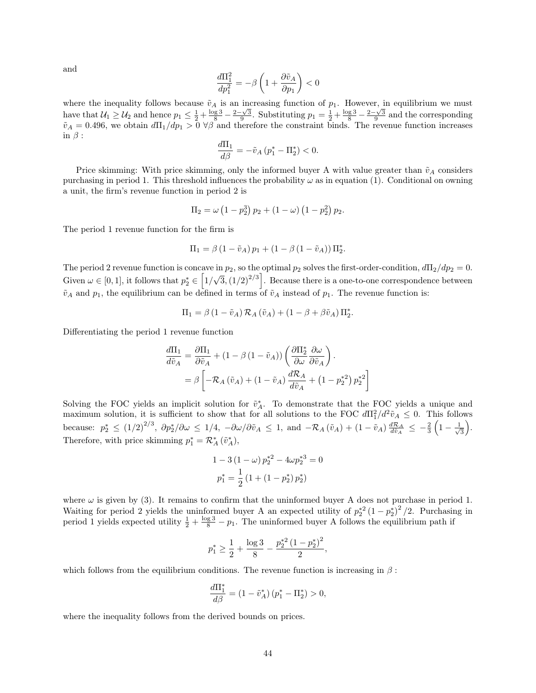and

$$
\frac{d\Pi_1^2}{dp_1^2}=-\beta\left(1+\frac{\partial \tilde{v}_A}{\partial p_1}\right)<0
$$

where the inequality follows because  $\tilde{v}_A$  is an increasing function of  $p_1$ . However, in equilibrium we must have that  $\mathcal{U}_1 \geq \mathcal{U}_2$  and hence  $p_1 \leq \frac{1}{2} + \frac{\log 3}{8} - \frac{2-\sqrt{3}}{9}$ . Substituting  $p_1 = \frac{1}{2} + \frac{\log 3}{8} - \frac{2-\sqrt{3}}{9}$  and the corresponding  $\tilde{v}_A = 0.496$ , we obtain  $d\Pi_1/dp_1 > 0 \,\forall \beta$  and therefore the constraint binds. The revenue function increases in  $\beta$  :

$$
\frac{d\Pi_1}{d\beta} = -\tilde{v}_A \left( p_1^* - \Pi_2^* \right) < 0.
$$

Price skimming: With price skimming, only the informed buyer A with value greater than  $\tilde{v}_A$  considers purchasing in period 1. This threshold influences the probability  $\omega$  as in equation (1). Conditional on owning a unit, the firm's revenue function in period 2 is

$$
\Pi_2 = \omega \left(1 - p_2^3\right) p_2 + \left(1 - \omega\right) \left(1 - p_2^2\right) p_2.
$$

The period 1 revenue function for the firm is

$$
\Pi_1 = \beta \left(1 - \tilde{v}_A\right) p_1 + \left(1 - \beta \left(1 - \tilde{v}_A\right)\right) \Pi_2^*.
$$

The period 2 revenue function is concave in  $p_2$ , so the optimal  $p_2$  solves the first-order-condition,  $d\Pi_2/dp_2 = 0$ . Given  $\omega \in [0, 1]$ , it follows that  $p_2^* \in \left[1\right]$  $\sqrt{3}$ ,  $(1/2)^{2/3}$ . Because there is a one-to-one correspondence between  $\tilde{v}_A$  and  $p_1$ , the equilibrium can be defined in terms of  $\tilde{v}_A$  instead of  $p_1$ . The revenue function is:

$$
\Pi_1 = \beta \left(1 - \tilde{v}_A\right) \mathcal{R}_A \left(\tilde{v}_A\right) + \left(1 - \beta + \beta \tilde{v}_A\right) \Pi_2^*.
$$

Differentiating the period 1 revenue function

$$
\frac{d\Pi_1}{d\tilde{v}_A} = \frac{\partial \Pi_1}{\partial \tilde{v}_A} + (1 - \beta (1 - \tilde{v}_A)) \left( \frac{\partial \Pi_2^*}{\partial \omega} \frac{\partial \omega}{\partial \tilde{v}_A} \right).
$$
  
=  $\beta \left[ -\mathcal{R}_A (\tilde{v}_A) + (1 - \tilde{v}_A) \frac{d\mathcal{R}_A}{d\tilde{v}_A} + (1 - p_2^{*2}) p_2^{*2} \right]$ 

Solving the FOC yields an implicit solution for  $\tilde{v}_A^*$ . To demonstrate that the FOC yields a unique and maximum solution, it is sufficient to show that for all solutions to the FOC  $d\Pi_1^2/d^2\tilde{v}_A \leq 0$ . This follows because:  $p_2^* \leq (1/2)^{2/3}$ ,  $\partial p_2^*/\partial \omega \leq 1/4$ ,  $-\partial \omega/\partial \tilde{v}_A \leq 1$ , and  $-\mathcal{R}_A(\tilde{v}_A) + (1-\tilde{v}_A) \frac{d\mathcal{R}_A}{d\tilde{v}_A} \leq -\frac{2}{3} \left(1 - \frac{1}{\sqrt{3}}\right)$  $\frac{1}{3}$ . Therefore, with price skimming  $p_1^* = \mathcal{R}_A^*$   $(\tilde{v}_A^*),$ 

$$
1 - 3(1 - \omega) p_2^{*2} - 4\omega p_2^{*3} = 0
$$

$$
p_1^* = \frac{1}{2} (1 + (1 - p_2^*) p_2^*)
$$

where  $\omega$  is given by (3). It remains to confirm that the uninformed buyer A does not purchase in period 1. Waiting for period 2 yields the uninformed buyer A an expected utility of  $p_2^{*2} (1 - p_2^*)^2/2$ . Purchasing in period 1 yields expected utility  $\frac{1}{2} + \frac{\log 3}{8} - p_1$ . The uninformed buyer A follows the equilibrium path if

$$
p_1^* \ge \frac{1}{2} + \frac{\log 3}{8} - \frac{p_2^{*2} (1 - p_2^*)^2}{2},
$$

which follows from the equilibrium conditions. The revenue function is increasing in  $\beta$ :

$$
\frac{d\Pi_1^*}{d\beta} = (1 - \tilde{v}_A^*) (p_1^* - \Pi_2^*) > 0,
$$

where the inequality follows from the derived bounds on prices.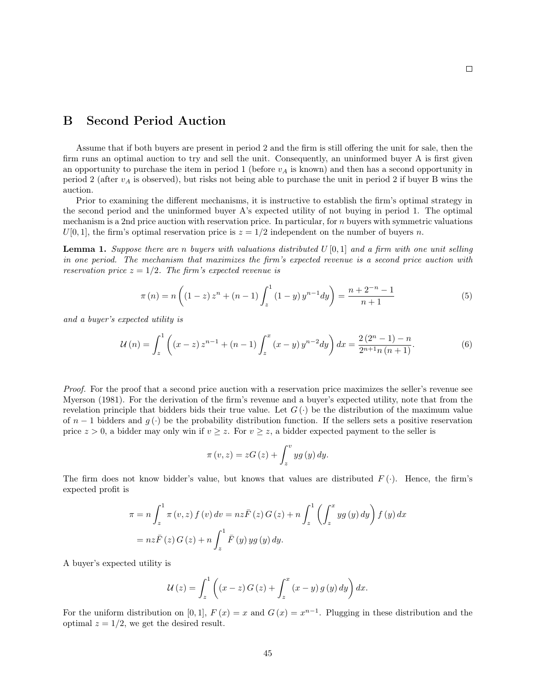$\Box$ 

### B Second Period Auction

Assume that if both buyers are present in period 2 and the firm is still offering the unit for sale, then the firm runs an optimal auction to try and sell the unit. Consequently, an uninformed buyer A is first given an opportunity to purchase the item in period 1 (before  $v_A$  is known) and then has a second opportunity in period 2 (after  $v_A$  is observed), but risks not being able to purchase the unit in period 2 if buyer B wins the auction.

Prior to examining the different mechanisms, it is instructive to establish the firm's optimal strategy in the second period and the uninformed buyer A's expected utility of not buying in period 1. The optimal mechanism is a 2nd price auction with reservation price. In particular, for n buyers with symmetric valuations  $U[0, 1]$ , the firm's optimal reservation price is  $z = 1/2$  independent on the number of buyers n.

**Lemma 1.** Suppose there are n buyers with valuations distributed  $U[0, 1]$  and a firm with one unit selling in one period. The mechanism that maximizes the firm's expected revenue is a second price auction with reservation price  $z = 1/2$ . The firm's expected revenue is

$$
\pi(n) = n\left(\left(1-z\right)z^{n} + \left(n-1\right)\int_{z}^{1}\left(1-y\right)y^{n-1}dy\right) = \frac{n+2^{-n}-1}{n+1}
$$
\n(5)

and a buyer's expected utility is

$$
\mathcal{U}(n) = \int_{z}^{1} \left( (x - z) z^{n-1} + (n - 1) \int_{z}^{x} (x - y) y^{n-2} dy \right) dx = \frac{2 (2^n - 1) - n}{2^{n+1} n (n+1)}.
$$
 (6)

Proof. For the proof that a second price auction with a reservation price maximizes the seller's revenue see Myerson (1981). For the derivation of the firm's revenue and a buyer's expected utility, note that from the revelation principle that bidders bids their true value. Let  $G(\cdot)$  be the distribution of the maximum value of  $n-1$  bidders and  $g(\cdot)$  be the probability distribution function. If the sellers sets a positive reservation price  $z > 0$ , a bidder may only win if  $v \geq z$ . For  $v \geq z$ , a bidder expected payment to the seller is

$$
\pi(v,z) = zG(z) + \int_{z}^{v} yg(y) dy.
$$

The firm does not know bidder's value, but knows that values are distributed  $F(\cdot)$ . Hence, the firm's expected profit is

$$
\pi = n \int_z^1 \pi(v, z) f(v) dv = nz \overline{F}(z) G(z) + n \int_z^1 \left( \int_z^x y g(y) dy \right) f(y) dx
$$
  
= nz \overline{F}(z) G(z) + n \int\_z^1 \overline{F}(y) y g(y) dy.

A buyer's expected utility is

$$
\mathcal{U}(z) = \int_{z}^{1} \left( (x - z) G(z) + \int_{z}^{x} (x - y) g(y) dy \right) dx.
$$

For the uniform distribution on [0, 1],  $F(x) = x$  and  $G(x) = x^{n-1}$ . Plugging in these distribution and the optimal  $z = 1/2$ , we get the desired result.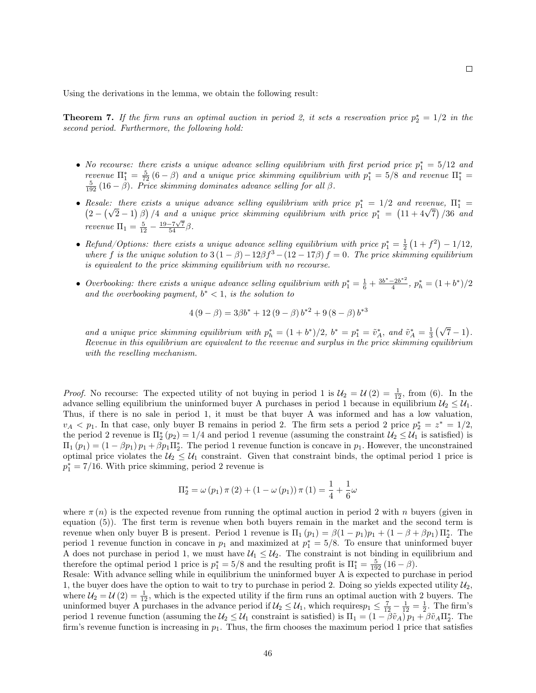Using the derivations in the lemma, we obtain the following result:

**Theorem 7.** If the firm runs an optimal auction in period 2, it sets a reservation price  $p_2^* = 1/2$  in the second period. Furthermore, the following hold:

- No recourse: there exists a unique advance selling equilibrium with first period price  $p_1^* = 5/12$  and revenue  $\Pi_1^* = \frac{5}{72}(6 - \beta)$  and a unique price skimming equilibrium with  $p_1^* = 5/8$  and revenue  $\Pi_1^* = \frac{5}{192}(16 - \beta)$ . Price skimming dominates advance selling for all  $\beta$ .
- Resale: there exists a unique advance selling equilibrium with price  $p_1^* = 1/2$  and revenue,  $\Pi_1^* = (2 (\sqrt{2} 1)\beta)/4$  and a unique price skimming equilibrium with price  $p_1^* = (11 + 4\sqrt{7})/36$  and *cesale: there exists a unique aavance selling equilibrium with price*  $p_1^* = 1/2$  and revenue,  $\Pi_1^* = 2 - (\sqrt{2} - 1)\beta)/4$  and a unique price skimming equilibrium with price  $p_1^* = (11 + 4\sqrt{7})/36$  and revenue  $\Pi_1 = \frac{5}{12} - \frac{19-7\sqrt{7}}{54} \beta$ .
- Refund/Options: there exists a unique advance selling equilibrium with price  $p_1^* = \frac{1}{2}(1+f^2) 1/12$ , where f is the unique solution to  $3(1 - \beta) - 12\beta f^3 - (12 - 17\beta) f = 0$ . The price skimming equilibrium is equivalent to the price skimming equilibrium with no recourse.
- Overbooking: there exists a unique advance selling equilibrium with  $p_1^* = \frac{1}{6} + \frac{3b^* 2b^{*2}}{4}$  $\frac{-2b^{*2}}{4}$ ,  $p_h^* = (1+b^*)/2$ and the overbooking payment,  $b^* < 1$ , is the solution to

$$
4(9 - \beta) = 3\beta b^* + 12(9 - \beta) b^{*2} + 9(8 - \beta) b^{*3}
$$

and a unique price skimming equilibrium with  $p_h^* = (1 + b^*)/2$ ,  $b^* = p_1^* = \tilde{v}_A^*$ , and  $\tilde{v}_A^* = \frac{1}{3} (\sqrt{7} - 1)$ . Revenue in this equilibrium are equivalent to the revenue and surplus in the price skimming equilibrium with the reselling mechanism.

*Proof.* No recourse: The expected utility of not buying in period 1 is  $U_2 = U(2) = \frac{1}{12}$ , from (6). In the advance selling equilibrium the uninformed buyer A purchases in period 1 because in equilibrium  $\mathcal{U}_2 \leq \mathcal{U}_1$ . Thus, if there is no sale in period 1, it must be that buyer A was informed and has a low valuation,  $v_A < p_1$ . In that case, only buyer B remains in period 2. The firm sets a period 2 price  $p_2^* = z^* = 1/2$ , the period 2 revenue is  $\Pi_2^*(p_2) = 1/4$  and period 1 revenue (assuming the constraint  $\mathcal{U}_2 \leq \mathcal{U}_1$  is satisfied) is  $\Pi_1(p_1) = (1 - \beta p_1) p_1 + \beta p_1 \Pi_2^*$ . The period 1 revenue function is concave in  $p_1$ . However, the unconstrained optimal price violates the  $U_2 \leq U_1$  constraint. Given that constraint binds, the optimal period 1 price is  $p_1^* = 7/16$ . With price skimming, period 2 revenue is

$$
\Pi_2^* = \omega(p_1) \pi(2) + (1 - \omega(p_1)) \pi(1) = \frac{1}{4} + \frac{1}{6}\omega
$$

where  $\pi(n)$  is the expected revenue from running the optimal auction in period 2 with n buyers (given in equation (5)). The first term is revenue when both buyers remain in the market and the second term is revenue when only buyer B is present. Period 1 revenue is  $\Pi_1(p_1) = \beta(1-p_1)p_1 + (1-\beta+\beta p_1)\Pi_2^*$ . The period 1 revenue function in concave in  $p_1$  and maximized at  $p_1^* = 5/8$ . To ensure that uninformed buyer A does not purchase in period 1, we must have  $\mathcal{U}_1 \leq \mathcal{U}_2$ . The constraint is not binding in equilibrium and therefore the optimal period 1 price is  $p_1^* = 5/8$  and the resulting profit is  $\Pi_1^* = \frac{5}{192} (16 - \beta)$ .

Resale: With advance selling while in equilibrium the uninformed buyer A is expected to purchase in period 1, the buyer does have the option to wait to try to purchase in period 2. Doing so yields expected utility  $\mathcal{U}_2$ , where  $U_2 = U(2) = \frac{1}{12}$ , which is the expected utility if the firm runs an optimal auction with 2 buyers. The uninformed buyer A purchases in the advance period if  $\mathcal{U}_2 \leq \mathcal{U}_1$ , which requires $p_1 \leq \frac{7}{12} - \frac{1}{12} = \frac{1}{2}$ . The firm's period 1 revenue function (assuming the  $\mathcal{U}_2 \leq \mathcal{U}_1$  constraint is satisfied) is  $\Pi_1 = (1 - \tilde{\beta}\tilde{v}_A)\tilde{p}_1 + \tilde{\beta}\tilde{v}_A\Pi_2^*$ . The firm's revenue function is increasing in  $p_1$ . Thus, the firm chooses the maximum period 1 price that satisfies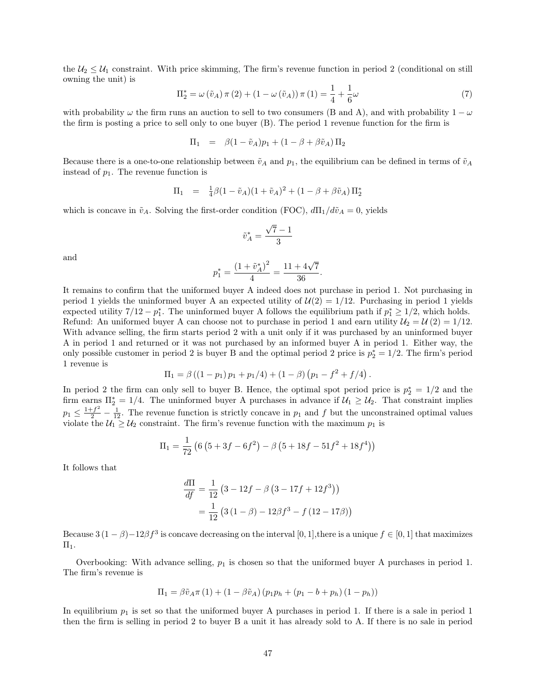the  $U_2 \leq U_1$  constraint. With price skimming, The firm's revenue function in period 2 (conditional on still owning the unit) is

$$
\Pi_2^* = \omega(\tilde{v}_A)\pi(2) + (1 - \omega(\tilde{v}_A))\pi(1) = \frac{1}{4} + \frac{1}{6}\omega\tag{7}
$$

.

with probability  $\omega$  the firm runs an auction to sell to two consumers (B and A), and with probability  $1 - \omega$ the firm is posting a price to sell only to one buyer (B). The period 1 revenue function for the firm is

$$
\Pi_1 = \beta(1 - \tilde{v}_A)p_1 + (1 - \beta + \beta \tilde{v}_A)\Pi_2
$$

Because there is a one-to-one relationship between  $\tilde{v}_A$  and  $p_1$ , the equilibrium can be defined in terms of  $\tilde{v}_A$ instead of  $p_1$ . The revenue function is

$$
\Pi_1 = \frac{1}{4}\beta(1-\tilde{v}_A)(1+\tilde{v}_A)^2 + (1-\beta+\beta\tilde{v}_A)\Pi_2^*
$$

which is concave in  $\tilde{v}_A$ . Solving the first-order condition (FOC),  $d\Pi_1/d\tilde{v}_A = 0$ , yields

$$
\tilde{v}_A^* = \frac{\sqrt{7}-1}{3}
$$

and

$$
p_1^* = \frac{(1 + \tilde{v}_A^*)^2}{4} = \frac{11 + 4\sqrt{7}}{36}.
$$

It remains to confirm that the uniformed buyer A indeed does not purchase in period 1. Not purchasing in period 1 yields the uninformed buyer A an expected utility of  $U(2) = 1/12$ . Purchasing in period 1 yields expected utility  $7/12 - p_1^*$ . The uninformed buyer A follows the equilibrium path if  $p_1^* \geq 1/2$ , which holds. Refund: An uniformed buyer A can choose not to purchase in period 1 and earn utility  $\mathcal{U}_2 = \mathcal{U}(2) = 1/12$ . With advance selling, the firm starts period 2 with a unit only if it was purchased by an uninformed buyer A in period 1 and returned or it was not purchased by an informed buyer A in period 1. Either way, the only possible customer in period 2 is buyer B and the optimal period 2 price is  $p_2^* = 1/2$ . The firm's period 1 revenue is

$$
\Pi_1 = \beta ((1 - p_1) p_1 + p_1/4) + (1 - \beta) (p_1 - f^2 + f/4)
$$

In period 2 the firm can only sell to buyer B. Hence, the optimal spot period price is  $p_2^* = 1/2$  and the firm earns  $\Pi_2^* = 1/4$ . The uninformed buyer A purchases in advance if  $\mathcal{U}_1 \geq \mathcal{U}_2$ . That constraint implies  $p_1 \n\t\leq \frac{1+f^2}{2} - \frac{1}{12}$ . The revenue function is strictly concave in  $p_1$  and f but the unconstrained optimal values violate the  $\mathcal{U}_1 \geq \mathcal{U}_2$  constraint. The firm's revenue function with the maximum  $p_1$  is

$$
\Pi_1 = \frac{1}{72} \left( 6 \left( 5 + 3f - 6f^2 \right) - \beta \left( 5 + 18f - 51f^2 + 18f^4 \right) \right)
$$

It follows that

$$
\frac{d\Pi}{df} = \frac{1}{12} \left( 3 - 12f - \beta \left( 3 - 17f + 12f^3 \right) \right)
$$

$$
= \frac{1}{12} \left( 3 \left( 1 - \beta \right) - 12\beta f^3 - f \left( 12 - 17\beta \right) \right)
$$

Because  $3(1-\beta)-12\beta f^3$  is concave decreasing on the interval [0, 1], there is a unique  $f \in [0,1]$  that maximizes  $\Pi_1$ .

Overbooking: With advance selling,  $p_1$  is chosen so that the uniformed buyer A purchases in period 1. The firm's revenue is

$$
\Pi_1 = \beta \tilde{v}_A \pi (1) + (1 - \beta \tilde{v}_A) (p_1 p_h + (p_1 - b + p_h) (1 - p_h))
$$

In equilibrium  $p_1$  is set so that the uniformed buyer A purchases in period 1. If there is a sale in period 1 then the firm is selling in period 2 to buyer B a unit it has already sold to A. If there is no sale in period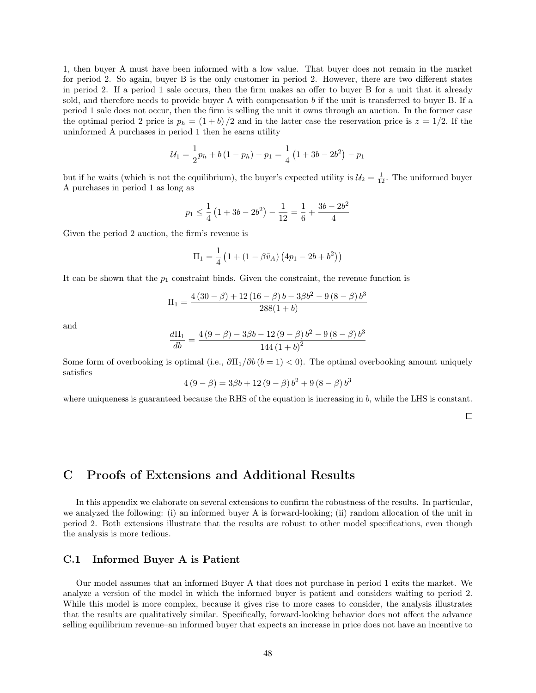1, then buyer A must have been informed with a low value. That buyer does not remain in the market for period 2. So again, buyer B is the only customer in period 2. However, there are two different states in period 2. If a period 1 sale occurs, then the firm makes an offer to buyer B for a unit that it already sold, and therefore needs to provide buyer A with compensation  $b$  if the unit is transferred to buyer B. If a period 1 sale does not occur, then the firm is selling the unit it owns through an auction. In the former case the optimal period 2 price is  $p_h = (1 + b)/2$  and in the latter case the reservation price is  $z = 1/2$ . If the uninformed A purchases in period 1 then he earns utility

$$
U_1 = \frac{1}{2}p_h + b(1 - p_h) - p_1 = \frac{1}{4}(1 + 3b - 2b^2) - p_1
$$

but if he waits (which is not the equilibrium), the buyer's expected utility is  $\mathcal{U}_2 = \frac{1}{12}$ . The uniformed buyer A purchases in period 1 as long as

$$
p_1 \le \frac{1}{4} \left( 1 + 3b - 2b^2 \right) - \frac{1}{12} = \frac{1}{6} + \frac{3b - 2b^2}{4}
$$

Given the period 2 auction, the firm's revenue is

$$
\Pi_1 = \frac{1}{4} (1 + (1 - \beta \tilde{v}_A) (4p_1 - 2b + b^2))
$$

It can be shown that the  $p_1$  constraint binds. Given the constraint, the revenue function is

$$
\Pi_1 = \frac{4(30 - \beta) + 12(16 - \beta) b - 3\beta b^2 - 9(8 - \beta) b^3}{288(1 + b)}
$$

and

$$
\frac{d\Pi_1}{db} = \frac{4(9-\beta) - 3\beta b - 12(9-\beta)b^2 - 9(8-\beta)b^3}{144(1+b)^2}
$$

Some form of overbooking is optimal (i.e.,  $\partial \Pi_1/\partial b$  ( $b = 1$ ) < 0). The optimal overbooking amount uniquely satisfies

$$
4(9 - \beta) = 3\beta b + 12(9 - \beta) b^{2} + 9(8 - \beta) b^{3}
$$

where uniqueness is guaranteed because the RHS of the equation is increasing in  $b$ , while the LHS is constant.

 $\Box$ 

### C Proofs of Extensions and Additional Results

In this appendix we elaborate on several extensions to confirm the robustness of the results. In particular, we analyzed the following: (i) an informed buyer A is forward-looking; (ii) random allocation of the unit in period 2. Both extensions illustrate that the results are robust to other model specifications, even though the analysis is more tedious.

#### C.1 Informed Buyer A is Patient

Our model assumes that an informed Buyer A that does not purchase in period 1 exits the market. We analyze a version of the model in which the informed buyer is patient and considers waiting to period 2. While this model is more complex, because it gives rise to more cases to consider, the analysis illustrates that the results are qualitatively similar. Specifically, forward-looking behavior does not affect the advance selling equilibrium revenue–an informed buyer that expects an increase in price does not have an incentive to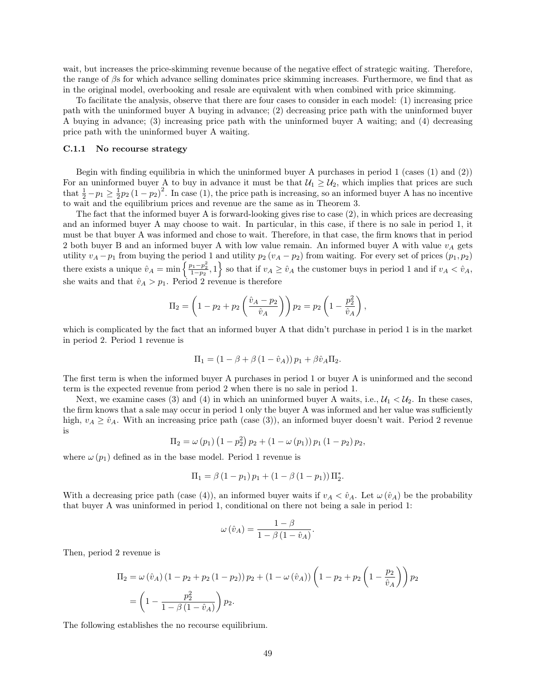wait, but increases the price-skimming revenue because of the negative effect of strategic waiting. Therefore, the range of  $\beta$ s for which advance selling dominates price skimming increases. Furthermore, we find that as in the original model, overbooking and resale are equivalent with when combined with price skimming.

To facilitate the analysis, observe that there are four cases to consider in each model: (1) increasing price path with the uninformed buyer A buying in advance; (2) decreasing price path with the uninformed buyer A buying in advance; (3) increasing price path with the uninformed buyer A waiting; and (4) decreasing price path with the uninformed buyer A waiting.

#### C.1.1 No recourse strategy

Begin with finding equilibria in which the uninformed buyer A purchases in period 1 (cases (1) and (2)) For an uninformed buyer A to buy in advance it must be that  $U_1 \geq U_2$ , which implies that prices are such that  $\frac{1}{2} - p_1 \ge \frac{1}{2}p_2(1 - p_2)^2$ . In case (1), the price path is increasing, so an informed buyer A has no incentive to wait and the equilibrium prices and revenue are the same as in Theorem 3.

The fact that the informed buyer A is forward-looking gives rise to case (2), in which prices are decreasing and an informed buyer A may choose to wait. In particular, in this case, if there is no sale in period 1, it must be that buyer A was informed and chose to wait. Therefore, in that case, the firm knows that in period 2 both buyer B and an informed buyer A with low value remain. An informed buyer A with value  $v_A$  gets utility  $v_A - p_1$  from buying the period 1 and utility  $p_2(v_A - p_2)$  from waiting. For every set of prices  $(p_1, p_2)$ there exists a unique  $\hat{v}_A = \min\left\{\frac{p_1 - p_2^2}{1 - p_2}, 1\right\}$  so that if  $v_A \ge \hat{v}_A$  the customer buys in period 1 and if  $v_A < \hat{v}_A$ , she waits and that  $\hat{v}_A > p_1$ . Period 2 revenue is therefore

$$
\Pi_2 = \left(1 - p_2 + p_2 \left(\frac{\hat{v}_A - p_2}{\hat{v}_A}\right)\right) p_2 = p_2 \left(1 - \frac{p_2^2}{\hat{v}_A}\right),
$$

which is complicated by the fact that an informed buyer A that didn't purchase in period 1 is in the market in period 2. Period 1 revenue is

$$
\Pi_1 = (1 - \beta + \beta (1 - \hat{v}_A)) p_1 + \beta \hat{v}_A \Pi_2.
$$

The first term is when the informed buyer A purchases in period 1 or buyer A is uninformed and the second term is the expected revenue from period 2 when there is no sale in period 1.

Next, we examine cases (3) and (4) in which an uninformed buyer A waits, i.e.,  $\mathcal{U}_1 < \mathcal{U}_2$ . In these cases, the firm knows that a sale may occur in period 1 only the buyer A was informed and her value was sufficiently high,  $v_A \geq \hat{v}_A$ . With an increasing price path (case (3)), an informed buyer doesn't wait. Period 2 revenue is

$$
\Pi_2 = \omega (p_1) (1 - p_2^2) p_2 + (1 - \omega (p_1)) p_1 (1 - p_2) p_2,
$$

where  $\omega(p_1)$  defined as in the base model. Period 1 revenue is

$$
\Pi_1 = \beta (1 - p_1) p_1 + (1 - \beta (1 - p_1)) \Pi_2^*.
$$

With a decreasing price path (case (4)), an informed buyer waits if  $v_A < \hat{v}_A$ . Let  $\omega(\hat{v}_A)$  be the probability that buyer A was uninformed in period 1, conditional on there not being a sale in period 1:

$$
\omega(\hat{v}_A) = \frac{1-\beta}{1-\beta(1-\hat{v}_A)}
$$

.

Then, period 2 revenue is

$$
\Pi_2 = \omega (\hat{v}_A) (1 - p_2 + p_2 (1 - p_2)) p_2 + (1 - \omega (\hat{v}_A)) \left( 1 - p_2 + p_2 \left( 1 - \frac{p_2}{\hat{v}_A} \right) \right) p_2
$$
  
=  $\left( 1 - \frac{p_2^2}{1 - \beta (1 - \hat{v}_A)} \right) p_2.$ 

The following establishes the no recourse equilibrium.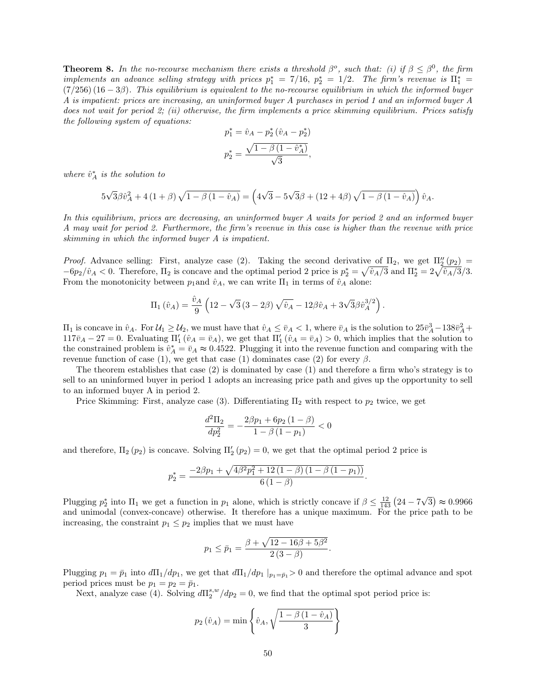**Theorem 8.** In the no-recourse mechanism there exists a threshold  $\beta^o$ , such that: (i) if  $\beta \leq \beta^0$ , the firm implements an advance selling strategy with prices  $p_1^* = 7/16$ ,  $p_2^* = 1/2$ . The firm's revenue is  $\Pi_1^* =$  $(7/256)$  (16 – 3 $\beta$ ). This equilibrium is equivalent to the no-recourse equilibrium in which the informed buyer A is impatient: prices are increasing, an uninformed buyer A purchases in period 1 and an informed buyer A does not wait for period 2; (ii) otherwise, the firm implements a price skimming equilibrium. Prices satisfy the following system of equations:

$$
p_1^* = \hat{v}_A - p_2^* (\hat{v}_A - p_2^*)
$$
  

$$
p_2^* = \frac{\sqrt{1 - \beta (1 - \hat{v}_A^*)}}{\sqrt{3}},
$$

where  $\hat{v}_A^*$  is the solution to

$$
5\sqrt{3}\beta \hat{v}_A^2 + 4(1+\beta)\sqrt{1-\beta(1-\hat{v}_A)} = (4\sqrt{3}-5\sqrt{3}\beta + (12+4\beta)\sqrt{1-\beta(1-\hat{v}_A)})\hat{v}_A.
$$

In this equilibrium, prices are decreasing, an uninformed buyer A waits for period 2 and an informed buyer A may wait for period 2. Furthermore, the firm's revenue in this case is higher than the revenue with price skimming in which the informed buyer A is impatient.

*Proof.* Advance selling: First, analyze case (2). Taking the second derivative of  $\Pi_2$ , we get  $\Pi_2'(p_2)$  $-6p_2/\hat{v}_A < 0$ . Therefore,  $\Pi_2$  is concave and the optimal period 2 price is  $p_2^* = \sqrt{\hat{v}_A/3}$  and  $\Pi_2^* = 2\sqrt{\hat{v}_A/3}/3$ . From the monotonicity between  $p_1$  and  $\hat{v}_A$ , we can write  $\Pi_1$  in terms of  $\hat{v}_A$  alone:

$$
\Pi_1 (\hat{v}_A) = \frac{\hat{v}_A}{9} \left( 12 - \sqrt{3} (3 - 2\beta) \sqrt{\hat{v}_A} - 12\beta \hat{v}_A + 3\sqrt{3} \beta \hat{v}_A^{3/2} \right).
$$

 $\Pi_1$  is concave in  $\hat{v}_A$ . For  $\mathcal{U}_1 \geq \mathcal{U}_2$ , we must have that  $\hat{v}_A \leq \bar{v}_A < 1$ , where  $\bar{v}_A$  is the solution to  $25\bar{v}_A^3 - 138\bar{v}_A^2 +$  $117\bar{v}_A - 27 = 0$ . Evaluating  $\Pi_1'(\hat{v}_A = \bar{v}_A)$ , we get that  $\Pi_1'(\hat{v}_A = \bar{v}_A) > 0$ , which implies that the solution to the constrained problem is  $\hat{v}_A^* = \bar{v}_A \approx 0.4522$ . Plugging it into the revenue function and comparing with the revenue function of case (1), we get that case (1) dominates case (2) for every  $\beta$ .

The theorem establishes that case (2) is dominated by case (1) and therefore a firm who's strategy is to sell to an uninformed buyer in period 1 adopts an increasing price path and gives up the opportunity to sell to an informed buyer A in period 2.

Price Skimming: First, analyze case (3). Differentiating  $\Pi_2$  with respect to  $p_2$  twice, we get

$$
\frac{d^2\Pi_2}{dp_2^2} = -\frac{2\beta p_1 + 6p_2(1-\beta)}{1-\beta(1-p_1)} < 0
$$

and therefore,  $\Pi_2(p_2)$  is concave. Solving  $\Pi_2'(p_2) = 0$ , we get that the optimal period 2 price is

$$
p_2^* = \frac{-2\beta p_1 + \sqrt{4\beta^2 p_1^2 + 12(1-\beta)(1-\beta(1-p_1))}}{6(1-\beta)}.
$$

Plugging  $p_2^*$  into  $\Pi_1$  we get a function in  $p_1$  alone, which is strictly concave if  $\beta \leq \frac{12}{143}$   $\left(24 - 7\right)$ √  $\overline{3}$   $\approx 0.9966$ and unimodal (convex-concave) otherwise. It therefore has a unique maximum. For the price path to be increasing, the constraint  $p_1 \leq p_2$  implies that we must have

$$
p_1 \leq \bar{p}_1 = \frac{\beta + \sqrt{12 - 16\beta + 5\beta^2}}{2(3 - \beta)}.
$$

Plugging  $p_1 = \bar{p}_1$  into  $d\Pi_1/dp_1$ , we get that  $d\Pi_1/dp_1 |_{p_1=\bar{p}_1}> 0$  and therefore the optimal advance and spot period prices must be  $p_1 = p_2 = \bar{p}_1$ .

Next, analyze case (4). Solving  $d\Pi_2^{s,w}/dp_2=0$ , we find that the optimal spot period price is:

$$
p_2(\hat{v}_A) = \min\left\{\hat{v}_A, \sqrt{\frac{1 - \beta(1 - \hat{v}_A)}{3}}\right\}
$$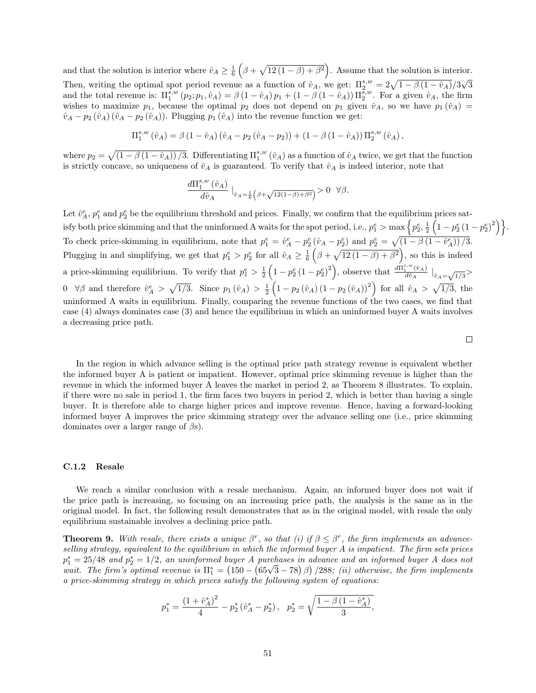and that the solution is interior where  $\hat{v}_A \geq \frac{1}{6} \left( \beta + \sqrt{12(1-\beta)+\beta^2} \right)$ . Assume that the solution is interior. Then, writing the optimal spot period revenue as a function of  $\hat{v}_A$ , we get:  $\Pi_2^{s,w} = 2\sqrt{1-\beta(1-\hat{v}_A)}/3$ √ 3 and the total revenue is:  $\Pi_1^{s,w} (p_2; p_1, \hat{v}_A) = \beta (1 - \hat{v}_A) p_1 + (1 - \beta (1 - \hat{v}_A)) \Pi_2^{\tilde{s},w}$ . For a given  $\hat{v}_A$ , the firm wishes to maximize  $p_1$ , because the optimal  $p_2$  does not depend on  $p_1$  given  $\hat{v}_A$ , so we have  $p_1(\hat{v}_A)$  =  $\hat{v}_A - p_2 \left(\hat{v}_A\right) \left(\hat{v}_A - p_2 \left(\hat{v}_A\right)\right)$ . Plugging  $p_1 \left(\hat{v}_A\right)$  into the revenue function we get:

$$
\Pi_{1}^{s,w}(\hat{v}_A) = \beta (1 - \hat{v}_A) (\hat{v}_A - p_2 (\hat{v}_A - p_2)) + (1 - \beta (1 - \hat{v}_A)) \Pi_{2}^{s,w} (\hat{v}_A),
$$

where  $p_2 = \sqrt{(1 - \beta (1 - \hat{v}_A))/3}$ . Differentiating  $\Pi_1^{s,w}(\hat{v}_A)$  as a function of  $\hat{v}_A$  twice, we get that the function is strictly concave, so uniqueness of  $\hat{v}_A$  is guaranteed. To verify that  $\hat{v}_A$  is indeed interior, note that

$$
\frac{d\Pi_1^{s,w}\left(\hat{v}_A\right)}{d\hat{v}_A}\mid_{\hat{v}_A=\frac{1}{6}\left(\beta+\sqrt{12(1-\beta)+\beta^2}\right)}>0\quad \forall \beta.
$$

Let  $\hat{v}_A^e$ ,  $p_1^e$  and  $p_2^e$  be the equilibrium threshold and prices. Finally, we confirm that the equilibrium prices satisfy both price skimming and that the uninformed A waits for the spot period, i.e.,  $p_1^e > \max\left\{p_2^e, \frac{1}{2}\left(1 - p_2^e\left(1 - p_2^e\right)^2\right)\right\}$ . To check price-skimming in equilibrium, note that  $p_1^e = \hat{v}_A^e - p_2^e (\hat{v}_A - p_2^e)$  and  $p_2^e = \sqrt{(1 - \beta (1 - \hat{v}_A^e))/3}$ . Plugging in and simplifying, we get that  $p_1^e > p_2^e$  for all  $\hat{v}_A \geq \frac{1}{6} \left( \beta + \sqrt{12(1-\beta)+\beta^2} \right)$ , so this is indeed a price-skimming equilibrium. To verify that  $p_1^e > \frac{1}{2} \left(1 - p_2^e \left(1 - p_2^e\right)^2\right)$ , observe that  $\frac{d\Pi_1^{s,w}(\hat{v}_A)}{d\hat{v}_A}$  $\frac{d\hat{v}_A^{s,w}(\hat{v}_A)}{d\hat{v}_A}$   $\Big|_{\hat{v}_A=\sqrt{1/3}}$ 0 ∀β and therefore  $\hat{v}^e_A > \sqrt{1/3}$ . Since  $p_1(\hat{v}_A) > \frac{1}{2} (1 - p_2(\hat{v}_A) (1 - p_2(\hat{v}_A))^2)$  for all  $\hat{v}_A > \sqrt{1/3}$ , the uninformed A waits in equilibrium. Finally, comparing the revenue functions of the two cases, we find that case (4) always dominates case (3) and hence the equilibrium in which an uninformed buyer A waits involves a decreasing price path.

In the region in which advance selling is the optimal price path strategy revenue is equivalent whether the informed buyer A is patient or impatient. However, optimal price skimming revenue is higher than the revenue in which the informed buyer A leaves the market in period 2, as Theorem 8 illustrates. To explain, if there were no sale in period 1, the firm faces two buyers in period 2, which is better than having a single buyer. It is therefore able to charge higher prices and improve revenue. Hence, having a forward-looking informed buyer A improves the price skimming strategy over the advance selling one (i.e., price skimming dominates over a larger range of  $\beta$ s).

#### C.1.2 Resale

We reach a similar conclusion with a resale mechanism. Again, an informed buyer does not wait if the price path is increasing, so focusing on an increasing price path, the analysis is the same as in the original model. In fact, the following result demonstrates that as in the original model, with resale the only equilibrium sustainable involves a declining price path.

**Theorem 9.** With resale, there exists a unique  $\beta^r$ , so that (i) if  $\beta \leq \beta^r$ , the firm implements an advanceselling strategy, equivalent to the equilibrium in which the informed buyer  $A$  is impatient. The firm sets prices  $p_1^* = 25/48$  and  $p_2^* = 1/2$ , an uninformed buyer A purchases in advance and an informed buyer A does not  $p_1^2 = 25/48$  and  $p_2^2 = 1/2$ , an uninformed buyer A purchases in advance and an informed buyer A does not wait. The firm's optimal revenue is  $\Pi_1^* = (150 - (65\sqrt{3} - 78) \beta)/288$ ; (ii) otherwise, the firm implements a price-skimming strategy in which prices satisfy the following system of equations:

$$
p_1^* = \frac{\left(1 + \hat{v}_A^*\right)^2}{4} - p_2^*\left(\hat{v}_A^* - p_2^*\right), \quad p_2^* = \sqrt{\frac{1 - \beta\left(1 - \hat{v}_A^*\right)}{3}},
$$

 $\Box$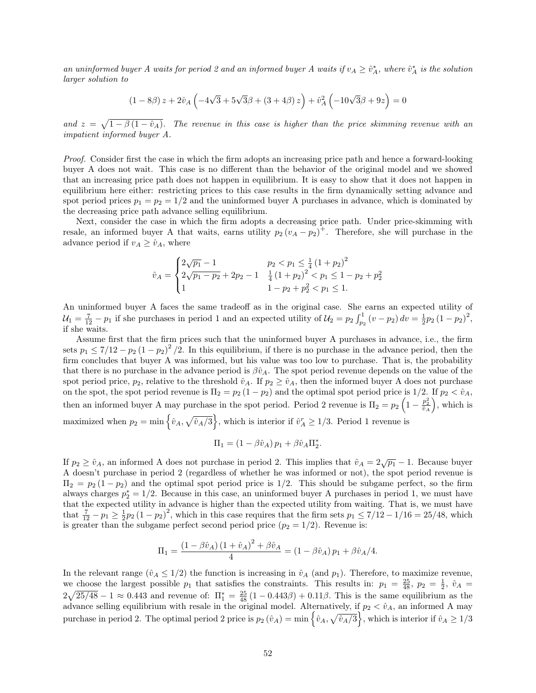an uninformed buyer A waits for period 2 and an informed buyer A waits if  $v_A \geq \hat{v}_A^*$ , where  $\hat{v}_A^*$  is the solution larger solution to

$$
(1 - 8\beta) z + 2\hat{v}_A \left( -4\sqrt{3} + 5\sqrt{3}\beta + (3 + 4\beta) z \right) + \hat{v}_A^2 \left( -10\sqrt{3}\beta + 9z \right) = 0
$$

and  $z = \sqrt{1 - \beta(1 - \hat{v}_A)}$ . The revenue in this case is higher than the price skimming revenue with an impatient informed buyer A.

Proof. Consider first the case in which the firm adopts an increasing price path and hence a forward-looking buyer A does not wait. This case is no different than the behavior of the original model and we showed that an increasing price path does not happen in equilibrium. It is easy to show that it does not happen in equilibrium here either: restricting prices to this case results in the firm dynamically setting advance and spot period prices  $p_1 = p_2 = 1/2$  and the uninformed buyer A purchases in advance, which is dominated by the decreasing price path advance selling equilibrium.

Next, consider the case in which the firm adopts a decreasing price path. Under price-skimming with resale, an informed buyer A that waits, earns utility  $p_2(v_A - p_2)^+$ . Therefore, she will purchase in the advance period if  $v_A \geq \hat{v}_A$ , where

$$
\hat{v}_A = \begin{cases} 2\sqrt{p_1} - 1 & p_2 < p_1 \le \frac{1}{4} \left(1 + p_2\right)^2 \\ 2\sqrt{p_1 - p_2} + 2p_2 - 1 & \frac{1}{4} \left(1 + p_2\right)^2 < p_1 \le 1 - p_2 + p_2^2 \\ 1 & 1 - p_2 + p_2^2 < p_1 \le 1. \end{cases}
$$

An uninformed buyer A faces the same tradeoff as in the original case. She earns an expected utility of  $\mathcal{U}_1 = \frac{7}{12} - p_1$  if she purchases in period 1 and an expected utility of  $\mathcal{U}_2 = p_2 \int_{p_2}^1 (v - p_2) dv = \frac{1}{2} p_2 (1 - p_2)^2$ , if she waits.

Assume first that the firm prices such that the uninformed buyer A purchases in advance, i.e., the firm sets  $p_1 \leq 7/12 - p_2 (1 - p_2)^2/2$ . In this equilibrium, if there is no purchase in the advance period, then the firm concludes that buyer A was informed, but his value was too low to purchase. That is, the probability that there is no purchase in the advance period is  $\beta \hat{v}_A$ . The spot period revenue depends on the value of the spot period price,  $p_2$ , relative to the threshold  $\hat{v}_A$ . If  $p_2 \geq \hat{v}_A$ , then the informed buyer A does not purchase on the spot, the spot period revenue is  $\Pi_2 = p_2 (1 - p_2)$  and the optimal spot period price is  $1/2$ . If  $p_2 < \hat{v}_A$ , then an informed buyer A may purchase in the spot period. Period 2 revenue is  $\Pi_2 = p_2 \left(1 - \frac{p_2^2}{\hat{v}_A}\right)$ , which is maximized when  $p_2 = \min \left\{ \hat{v}_A, \sqrt{\hat{v}_A/3} \right\}$ , which is interior if  $\hat{v}_A^r \ge 1/3$ . Period 1 revenue is

$$
\Pi_1 = (1 - \beta \hat{v}_A) p_1 + \beta \hat{v}_A \Pi_2^*.
$$

If  $p_2 \geq \hat{v}_A$ , an informed A does not purchase in period 2. This implies that  $\hat{v}_A = 2\sqrt{p_1} - 1$ . Because buyer A doesn't purchase in period 2 (regardless of whether he was informed or not), the spot period revenue is  $\Pi_2 = p_2 (1 - p_2)$  and the optimal spot period price is 1/2. This should be subgame perfect, so the firm always charges  $p_2^* = 1/2$ . Because in this case, an uninformed buyer A purchases in period 1, we must have that the expected utility in advance is higher than the expected utility from waiting. That is, we must have that  $\frac{7}{12} - p_1 \ge \frac{1}{2}p_2(1-p_2)^2$ , which in this case requires that the firm sets  $p_1 \le 7/12 - 1/16 = 25/48$ , which is greater than the subgame perfect second period price  $(p_2 = 1/2)$ . Revenue is:

$$
\Pi_1 = \frac{(1 - \beta \hat{v}_A)(1 + \hat{v}_A)^2 + \beta \hat{v}_A}{4} = (1 - \beta \hat{v}_A) p_1 + \beta \hat{v}_A / 4.
$$

In the relevant range  $(\hat{v}_A \le 1/2)$  the function is increasing in  $\hat{v}_A$  (and  $p_1$ ). Therefore, to maximize revenue, we choose the largest possible  $p_1$  that satisfies the constraints. This results in:  $p_1 = \frac{25}{48}$ ,  $p_2 = \frac{1}{2}$ ,  $\hat{v}_A$  $2\sqrt{25/48} - 1 \approx 0.443$  and revenue of:  $\Pi_1^* = \frac{25}{48} (1 - 0.443\beta) + 0.11\beta$ . This is the same equilibrium as the advance selling equilibrium with resale in the original model. Alternatively, if  $p_2 < \hat{v}_A$ , an informed A may purchase in period 2. The optimal period 2 price is  $p_2(\hat{v}_A) = \min\left\{\hat{v}_A, \sqrt{\hat{v}_A/3}\right\}$ , which is interior if  $\hat{v}_A \ge 1/3$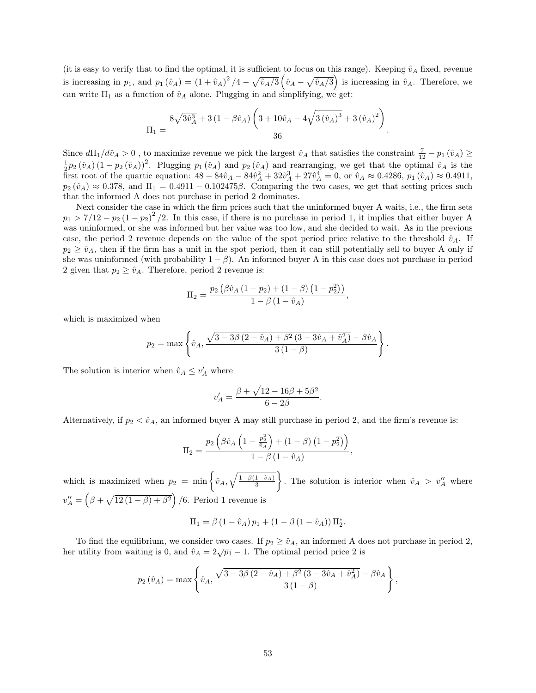(it is easy to verify that to find the optimal, it is sufficient to focus on this range). Keeping  $\hat{v}_A$  fixed, revenue is increasing in  $p_1$ , and  $p_1(\hat{v}_A) = (1 + \hat{v}_A)^2/4 - \sqrt{\hat{v}_A/3}(\hat{v}_A - \sqrt{\hat{v}_A/3})$  is increasing in  $\hat{v}_A$ . Therefore, we can write  $\Pi_1$  as a function of  $\hat{v}_A$  alone. Plugging in and simplifying, we get:

$$
\Pi_{1}=\frac{8\sqrt{3\hat{v}_{A}^{3}+3\left(1-\beta\hat{v}_{A}\right)\left(3+10\hat{v}_{A}-4\sqrt{3\left(\hat{v}_{A}\right)^{3}+3\left(\hat{v}_{A}\right)^{2}}\right)}{36}.
$$

Since  $d\Pi_1/d\hat{v}_A > 0$ , to maximize revenue we pick the largest  $\hat{v}_A$  that satisfies the constraint  $\frac{7}{12} - p_1(\hat{v}_A) \ge$  $\frac{1}{2}p_2(\hat{v}_A)(1-p_2(\hat{v}_A))^2$ . Plugging  $p_1(\hat{v}_A)$  and  $p_2(\hat{v}_A)$  and rearranging, we get that the optimal  $\hat{v}_A$  is the first root of the quartic equation:  $48 - 84\hat{v}_A - 84\hat{v}_A^2 + 32\hat{v}_A^3 + 27\hat{v}_A^4 = 0$ , or  $\hat{v}_A \approx 0.4286$ ,  $p_1(\hat{v}_A) \approx 0.4911$ ,  $p_2(\hat{v}_A) \approx 0.378$ , and  $\Pi_1 = 0.4911 - 0.102475\beta$ . Comparing the two cases, we get that setting prices such that the informed A does not purchase in period 2 dominates.

Next consider the case in which the firm prices such that the uninformed buyer A waits, i.e., the firm sets  $p_1 > 7/12 - p_2 (1 - p_2)^2/2$ . In this case, if there is no purchase in period 1, it implies that either buyer A was uninformed, or she was informed but her value was too low, and she decided to wait. As in the previous case, the period 2 revenue depends on the value of the spot period price relative to the threshold  $\hat{v}_A$ . If  $p_2 \geq \hat{v}_A$ , then if the firm has a unit in the spot period, then it can still potentially sell to buyer A only if she was uninformed (with probability  $1 - \beta$ ). An informed buyer A in this case does not purchase in period 2 given that  $p_2 \geq \hat{v}_A$ . Therefore, period 2 revenue is:

$$
\Pi_2 = \frac{p_2 \left(\beta \hat{v}_A \left(1-p_2\right) + \left(1-\beta\right) \left(1-p_2^2\right)\right)}{1-\beta \left(1-\hat{v}_A\right)},
$$

which is maximized when

$$
p_2=\max\left\{\hat{v}_A,\frac{\sqrt{3-3\beta\left(2-\hat{v}_A\right)+\beta ^2\left(3-3\hat{v}_A+\hat{v}_A^2\right)}-\beta \hat{v}_A}{3\left(1-\beta\right)}\right\}.
$$

The solution is interior when  $\hat{v}_A \leq v'_A$  where

$$
v'_A = \frac{\beta + \sqrt{12 - 16\beta + 5\beta^2}}{6 - 2\beta}.
$$

Alternatively, if  $p_2 < \hat{v}_A$ , an informed buyer A may still purchase in period 2, and the firm's revenue is:

$$
\Pi_2 = \frac{p_2 \left(\beta \hat{v}_A \left(1 - \frac{p_2^2}{\hat{v}_A}\right) + \left(1 - \beta\right) \left(1 - p_2^2\right)\right)}{1 - \beta \left(1 - \hat{v}_A\right)},
$$

which is maximized when  $p_2 = \min \left\{ \hat{v}_A, \sqrt{\frac{1-\beta(1-\hat{v}_A)}{3}} \right\}$ The solution is interior when  $\hat{v}_A > v''_A$  where  $v''_A = \left(\beta + \sqrt{12(1-\beta)+\beta^2}\right)/6$ . Period 1 revenue is

$$
\Pi_1 = \beta (1 - \hat{v}_A) p_1 + (1 - \beta (1 - \hat{v}_A)) \Pi_2^*.
$$

To find the equilibrium, we consider two cases. If  $p_2 \geq \hat{v}_A$ , an informed A does not purchase in period 2, her utility from waiting is 0, and  $\hat{v}_A = 2\sqrt{p_1} - 1$ . The optimal period price 2 is

$$
p_2(\hat{v}_A) = \max \left\{ \hat{v}_A, \frac{\sqrt{3 - 3\beta (2 - \hat{v}_A) + \beta^2 (3 - 3\hat{v}_A + \hat{v}_A^2)} - \beta \hat{v}_A}{3(1 - \beta)} \right\}
$$

,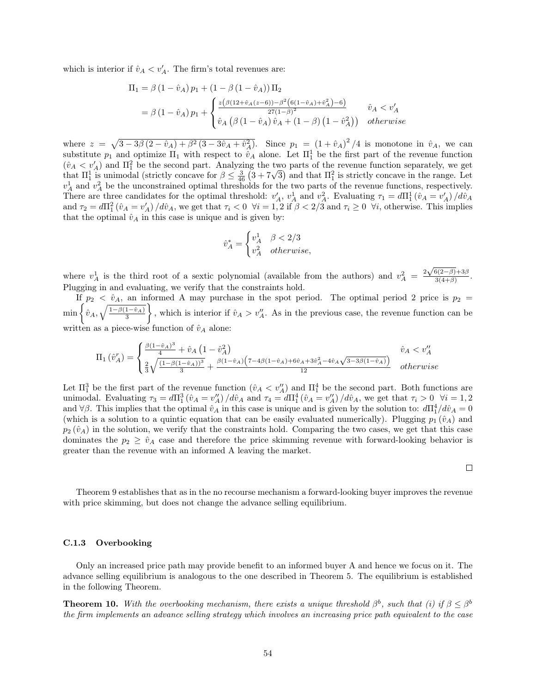which is interior if  $\hat{v}_A < v'_A$ . The firm's total revenues are:

$$
\Pi_1 = \beta (1 - \hat{v}_A) p_1 + (1 - \beta (1 - \hat{v}_A)) \Pi_2
$$
\n
$$
= \beta (1 - \hat{v}_A) p_1 + \begin{cases}\n\frac{z(\beta (12 + \hat{v}_A(z - 6)) - \beta^2 (6(1 - \hat{v}_A) + \hat{v}_A^2) - 6)}{27(1 - \beta)^2} & \hat{v}_A < v'_A \\
\hat{v}_A (\beta (1 - \hat{v}_A) \hat{v}_A + (1 - \beta) (1 - \hat{v}_A^2)) & otherwise\n\end{cases}
$$

where  $z = \sqrt{3 - 3\beta (2 - \hat{v}_A) + \beta^2 (3 - 3\hat{v}_A + \hat{v}_A^2)}$ . Since  $p_1 = (1 + \hat{v}_A)^2 / 4$  is monotone in  $\hat{v}_A$ , we can substitute  $p_1$  and optimize  $\Pi_1$  with respect to  $\hat{v}_A$  alone. Let  $\Pi_1^1$  be the first part of the revenue function  $(\hat{v}_A < v'_A)$  and  $\Pi_1^2$  be the second part. Analyzing the two parts of the revenue function separately, we get  $(v_A < v_A)$  and  $\Pi_1^2$  be the second part. Analyzing the two parts of the revenue function separately, we get<br>that  $\Pi_1^1$  is unimodal (strictly concave for  $\beta \leq \frac{3}{46} (3 + 7\sqrt{3})$  and that  $\Pi_1^2$  is strictly concave  $v_A^1$  and  $v_A^2$  be the unconstrained optimal thresholds for the two parts of the revenue functions, respectively. There are three candidates for the optimal threshold:  $v'_A$ ,  $v_A^1$  and  $v_A^2$ . Evaluating  $\tau_1 = d\Pi_1^1(\hat{v}_A = v'_A)/d\hat{v}_A$ and  $\tau_2 = d\Pi_1^2(\hat{v}_A = v'_A)/d\hat{v}_A$ , we get that  $\tau_i < 0$   $\forall i = 1, 2$  if  $\beta < 2/3$  and  $\tau_i \geq 0$   $\forall i$ , otherwise. This implies that the optimal  $\hat{v}_A$  in this case is unique and is given by:

$$
\hat{v}_A^* = \begin{cases} v_A^1 & \beta < 2/3 \\ v_A^2 & \text{otherwise,} \end{cases}
$$

where  $v_A^1$  is the third root of a sextic polynomial (available from the authors) and  $v_A^2 = \frac{2\sqrt{6(2-\beta)}+3\beta}{3(4+\beta)}$  $\frac{3(4+\beta)}{3(4+\beta)}$ . Plugging in and evaluating, we verify that the constraints hold.

If  $p_2 < \hat{v}_A$ , an informed A may purchase in the spot period. The optimal period 2 price is  $p_2 =$  $\min\left\{\hat{v}_A, \sqrt{\frac{1-\beta(1-\hat{v}_A)}{3}}\right\}$ , which is interior if  $\hat{v}_A > v''_A$ . As in the previous case, the revenue function can be written as a piece-wise function of  $\hat{v}_A$  alone:

$$
\Pi_1(\hat{v}_A^r) = \begin{cases} \frac{\beta(1-\hat{v}_A)^3}{4} + \hat{v}_A \left(1-\hat{v}_A^2\right) & \hat{v}_A < v_A^{\prime\prime} \\ \frac{2}{3} \sqrt{\frac{(1-\beta(1-\hat{v}_A))^3}{3}} + \frac{\beta(1-\hat{v}_A)\left(7-4\beta(1-\hat{v}_A) + 6\hat{v}_A + 3\hat{v}_A^2 - 4\hat{v}_A\sqrt{3-3\beta(1-\hat{v}_A)}\right)} & \hat{v}_A < v_A^{\prime\prime} \\ 12 & otherwise \end{cases}
$$

Let  $\Pi_1^3$  be the first part of the revenue function  $(\hat{v}_A < v''_A)$  and  $\Pi_1^4$  be the second part. Both functions are unimodal. Evaluating  $\tau_3 = d\Pi_1^3(\hat{v}_A = v''_A)/d\hat{v}_A$  and  $\tau_4 = d\Pi_1^4(\hat{v}_A = v''_A)/d\hat{v}_A$ , we get that  $\tau_i > 0$   $\forall i = 1, 2$ and  $\forall \beta$ . This implies that the optimal  $\hat{v}_A$  in this case is unique and is given by the solution to:  $d\Pi_1^4/d\hat{v}_A = 0$ (which is a solution to a quintic equation that can be easily evaluated numerically). Plugging  $p_1(\hat{v}_A)$  and  $p_2(\hat{v}_A)$  in the solution, we verify that the constraints hold. Comparing the two cases, we get that this case dominates the  $p_2 \geq \hat{v}_A$  case and therefore the price skimming revenue with forward-looking behavior is greater than the revenue with an informed A leaving the market.

Theorem 9 establishes that as in the no recourse mechanism a forward-looking buyer improves the revenue with price skimming, but does not change the advance selling equilibrium.

#### C.1.3 Overbooking

Only an increased price path may provide benefit to an informed buyer A and hence we focus on it. The advance selling equilibrium is analogous to the one described in Theorem 5. The equilibrium is established in the following Theorem.

**Theorem 10.** With the overbooking mechanism, there exists a unique threshold  $\beta^b$ , such that (i) if  $\beta \leq \beta^b$ the firm implements an advance selling strategy which involves an increasing price path equivalent to the case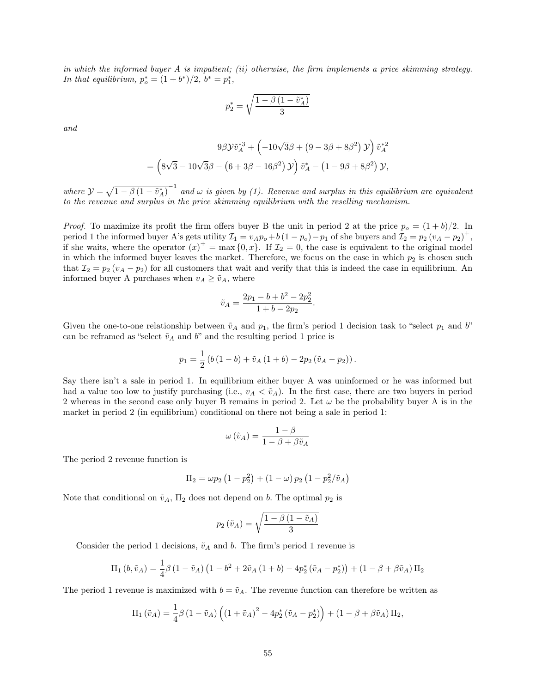in which the informed buyer A is impatient; (ii) otherwise, the firm implements a price skimming strategy. In that equilibrium,  $p_o^* = (1 + b^*)/2, b^* = p_1^*$ ,

$$
p_2^* = \sqrt{\frac{1-\beta\left(1-\tilde{v}_A^*\right)}{3}}
$$

and

$$
9\beta \mathcal{Y}\tilde{v}_A^{*3} + \left(-10\sqrt{3}\beta + (9 - 3\beta + 8\beta^2) \mathcal{Y}\right) \tilde{v}_A^{*2}
$$

$$
= \left(8\sqrt{3} - 10\sqrt{3}\beta - (6 + 3\beta - 16\beta^2) \mathcal{Y}\right) \tilde{v}_A^* - \left(1 - 9\beta + 8\beta^2\right) \mathcal{Y},
$$

where  $\mathcal{Y} = \sqrt{1 - \beta (1 - \tilde{v}_A^*)}^{-1}$  and  $\omega$  is given by (1). Revenue and surplus in this equilibrium are equivalent to the revenue and surplus in the price skimming equilibrium with the reselling mechanism.

*Proof.* To maximize its profit the firm offers buyer B the unit in period 2 at the price  $p_o = (1 + b)/2$ . In period 1 the informed buyer A's gets utility  $\mathcal{I}_1 = v_A p_o + b (1 - p_o) - p_1$  of she buyers and  $\mathcal{I}_2 = p_2 (v_A - p_2)^+$ , if she waits, where the operator  $(x)^{+} = \max\{0, x\}$ . If  $\mathcal{I}_2 = 0$ , the case is equivalent to the original model in which the informed buyer leaves the market. Therefore, we focus on the case in which  $p_2$  is chosen such that  $\mathcal{I}_2 = p_2(v_A - p_2)$  for all customers that wait and verify that this is indeed the case in equilibrium. An informed buyer A purchases when  $v_A \geq \tilde{v}_A$ , where

$$
\tilde{v}_A = \frac{2p_1 - b + b^2 - 2p_2^2}{1 + b - 2p_2}.
$$

Given the one-to-one relationship between  $\tilde{v}_A$  and  $p_1$ , the firm's period 1 decision task to "select  $p_1$  and b" can be reframed as "select  $\tilde{v}_A$  and b" and the resulting period 1 price is

$$
p_1 = \frac{1}{2} (b (1 - b) + \tilde{v}_A (1 + b) - 2p_2 (\tilde{v}_A - p_2)).
$$

Say there isn't a sale in period 1. In equilibrium either buyer A was uninformed or he was informed but had a value too low to justify purchasing (i.e.,  $v_A < \tilde{v}_A$ ). In the first case, there are two buyers in period 2 whereas in the second case only buyer B remains in period 2. Let  $\omega$  be the probability buyer A is in the market in period 2 (in equilibrium) conditional on there not being a sale in period 1:

$$
\omega\left(\tilde{v}_A\right) = \frac{1-\beta}{1-\beta+\beta\tilde{v}_A}
$$

The period 2 revenue function is

$$
\Pi_2 = \omega p_2 (1 - p_2^2) + (1 - \omega) p_2 (1 - p_2^2 / \tilde{v}_A)
$$

Note that conditional on  $\tilde{v}_A$ ,  $\Pi_2$  does not depend on b. The optimal  $p_2$  is

$$
p_2\left(\tilde{v}_A\right) = \sqrt{\frac{1 - \beta\left(1 - \tilde{v}_A\right)}{3}}
$$

Consider the period 1 decisions,  $\tilde{v}_A$  and b. The firm's period 1 revenue is

$$
\Pi_1 (b, \tilde{v}_A) = \frac{1}{4} \beta (1 - \tilde{v}_A) (1 - b^2 + 2 \tilde{v}_A (1 + b) - 4 p_2^* (\tilde{v}_A - p_2^*) ) + (1 - \beta + \beta \tilde{v}_A) \Pi_2
$$

The period 1 revenue is maximized with  $b = \tilde{v}_A$ . The revenue function can therefore be written as

$$
\Pi_1(\tilde{v}_A) = \frac{1}{4}\beta \left(1 - \tilde{v}_A\right) \left(\left(1 + \tilde{v}_A\right)^2 - 4p_2^* \left(\tilde{v}_A - p_2^*\right)\right) + \left(1 - \beta + \beta \tilde{v}_A\right)\Pi_2,
$$